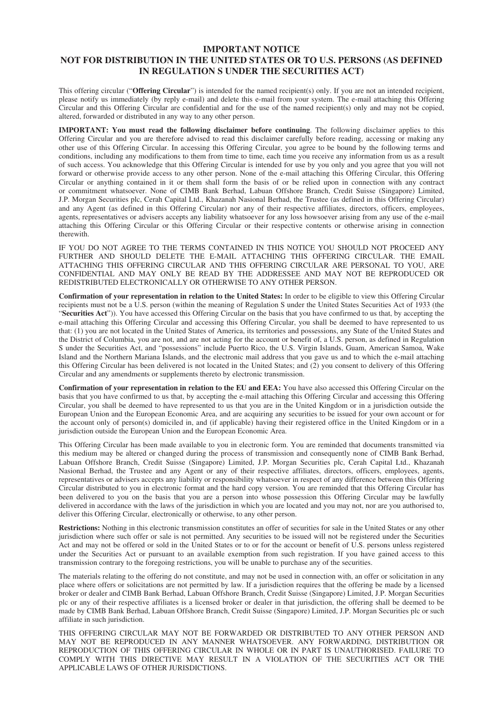#### **IMPORTANT NOTICE NOT FOR DISTRIBUTION IN THE UNITED STATES OR TO U.S. PERSONS (AS DEFINED IN REGULATION S UNDER THE SECURITIES ACT)**

This offering circular ("**Offering Circular**") is intended for the named recipient(s) only. If you are not an intended recipient, please notify us immediately (by reply e-mail) and delete this e-mail from your system. The e-mail attaching this Offering Circular and this Offering Circular are confidential and for the use of the named recipient(s) only and may not be copied, altered, forwarded or distributed in any way to any other person.

**IMPORTANT: You must read the following disclaimer before continuing**. The following disclaimer applies to this Offering Circular and you are therefore advised to read this disclaimer carefully before reading, accessing or making any other use of this Offering Circular. In accessing this Offering Circular, you agree to be bound by the following terms and conditions, including any modifications to them from time to time, each time you receive any information from us as a result of such access. You acknowledge that this Offering Circular is intended for use by you only and you agree that you will not forward or otherwise provide access to any other person. None of the e-mail attaching this Offering Circular, this Offering Circular or anything contained in it or them shall form the basis of or be relied upon in connection with any contract or commitment whatsoever. None of CIMB Bank Berhad, Labuan Offshore Branch, Credit Suisse (Singapore) Limited, J.P. Morgan Securities plc, Cerah Capital Ltd., Khazanah Nasional Berhad, the Trustee (as defined in this Offering Circular) and any Agent (as defined in this Offering Circular) nor any of their respective affiliates, directors, officers, employees, agents, representatives or advisers accepts any liability whatsoever for any loss howsoever arising from any use of the e-mail attaching this Offering Circular or this Offering Circular or their respective contents or otherwise arising in connection therewith.

IF YOU DO NOT AGREE TO THE TERMS CONTAINED IN THIS NOTICE YOU SHOULD NOT PROCEED ANY FURTHER AND SHOULD DELETE THE E-MAIL ATTACHING THIS OFFERING CIRCULAR. THE EMAIL ATTACHING THIS OFFERING CIRCULAR AND THIS OFFERING CIRCULAR ARE PERSONAL TO YOU, ARE CONFIDENTIAL AND MAY ONLY BE READ BY THE ADDRESSEE AND MAY NOT BE REPRODUCED OR REDISTRIBUTED ELECTRONICALLY OR OTHERWISE TO ANY OTHER PERSON.

**Confirmation of your representation in relation to the United States:** In order to be eligible to view this Offering Circular recipients must not be a U.S. person (within the meaning of Regulation S under the United States Securities Act of 1933 (the "**Securities Act**")). You have accessed this Offering Circular on the basis that you have confirmed to us that, by accepting the e-mail attaching this Offering Circular and accessing this Offering Circular, you shall be deemed to have represented to us that: (1) you are not located in the United States of America, its territories and possessions, any State of the United States and the District of Columbia, you are not, and are not acting for the account or benefit of, a U.S. person, as defined in Regulation S under the Securities Act, and "possessions" include Puerto Rico, the U.S. Virgin Islands, Guam, American Samoa, Wake Island and the Northern Mariana Islands, and the electronic mail address that you gave us and to which the e-mail attaching this Offering Circular has been delivered is not located in the United States; and (2) you consent to delivery of this Offering Circular and any amendments or supplements thereto by electronic transmission.

**Confirmation of your representation in relation to the EU and EEA:** You have also accessed this Offering Circular on the basis that you have confirmed to us that, by accepting the e-mail attaching this Offering Circular and accessing this Offering Circular, you shall be deemed to have represented to us that you are in the United Kingdom or in a jurisdiction outside the European Union and the European Economic Area, and are acquiring any securities to be issued for your own account or for the account only of person(s) domiciled in, and (if applicable) having their registered office in the United Kingdom or in a jurisdiction outside the European Union and the European Economic Area.

This Offering Circular has been made available to you in electronic form. You are reminded that documents transmitted via this medium may be altered or changed during the process of transmission and consequently none of CIMB Bank Berhad, Labuan Offshore Branch, Credit Suisse (Singapore) Limited, J.P. Morgan Securities plc, Cerah Capital Ltd., Khazanah Nasional Berhad, the Trustee and any Agent or any of their respective affiliates, directors, officers, employees, agents, representatives or advisers accepts any liability or responsibility whatsoever in respect of any difference between this Offering Circular distributed to you in electronic format and the hard copy version. You are reminded that this Offering Circular has been delivered to you on the basis that you are a person into whose possession this Offering Circular may be lawfully delivered in accordance with the laws of the jurisdiction in which you are located and you may not, nor are you authorised to, deliver this Offering Circular, electronically or otherwise, to any other person.

**Restrictions:** Nothing in this electronic transmission constitutes an offer of securities for sale in the United States or any other jurisdiction where such offer or sale is not permitted. Any securities to be issued will not be registered under the Securities Act and may not be offered or sold in the United States or to or for the account or benefit of U.S. persons unless registered under the Securities Act or pursuant to an available exemption from such registration. If you have gained access to this transmission contrary to the foregoing restrictions, you will be unable to purchase any of the securities.

The materials relating to the offering do not constitute, and may not be used in connection with, an offer or solicitation in any place where offers or solicitations are not permitted by law. If a jurisdiction requires that the offering be made by a licensed broker or dealer and CIMB Bank Berhad, Labuan Offshore Branch, Credit Suisse (Singapore) Limited, J.P. Morgan Securities plc or any of their respective affiliates is a licensed broker or dealer in that jurisdiction, the offering shall be deemed to be made by CIMB Bank Berhad, Labuan Offshore Branch, Credit Suisse (Singapore) Limited, J.P. Morgan Securities plc or such affiliate in such jurisdiction.

THIS OFFERING CIRCULAR MAY NOT BE FORWARDED OR DISTRIBUTED TO ANY OTHER PERSON AND MAY NOT BE REPRODUCED IN ANY MANNER WHATSOEVER. ANY FORWARDING, DISTRIBUTION OR REPRODUCTION OF THIS OFFERING CIRCULAR IN WHOLE OR IN PART IS UNAUTHORISED. FAILURE TO COMPLY WITH THIS DIRECTIVE MAY RESULT IN A VIOLATION OF THE SECURITIES ACT OR THE APPLICABLE LAWS OF OTHER JURISDICTIONS.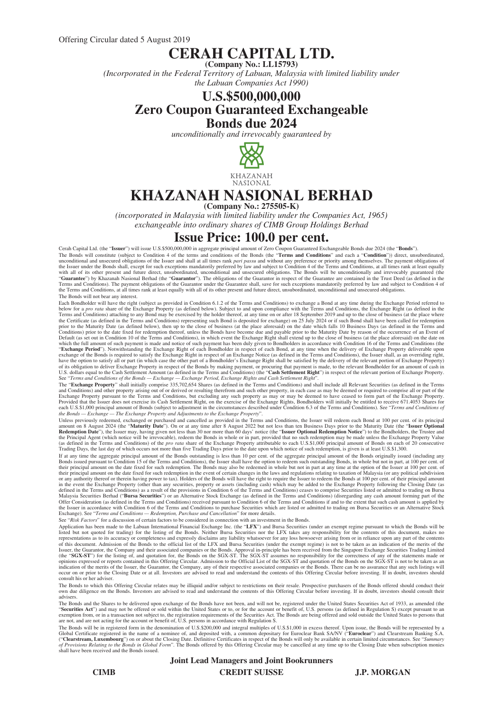## **CERAH CAPITAL LTD.**

**(Company No.: LL15793)**

*(Incorporated in the Federal Territory of Labuan, Malaysia with limited liability under the Labuan Companies Act 1990)*

## **U.S.\$500,000,000 Zero Coupon Guaranteed Exchangeable Bonds due 2024**

*unconditionally and irrevocably guaranteed by*



**KHAZANAH** NASIONAL

# **KHAZANAH NASIONAL BERHAD**

**(Company No.: 275505-K)**

*(incorporated in Malaysia with limited liability under the Companies Act, 1965) exchangeable into ordinary shares of CIMB Group Holdings Berhad*

## **Issue Price: 100.0 per cent.**

Cerah Capital Ltd. (the "**Issuer**") will issue U.S.\$500,000,000 in aggregate principal amount of Zero Coupon Guaranteed Exchangeable Bonds due 2024 (the "**Bonds**").<br>The Bonds will constitute (subject to Condition 4 of the unconditional and unsecured obligations of the Issuer and shall at all times rank *pari passu* and without any preference or priority among themselves. The payment obligations of the Issuer under the Bonds shall, except fo The Bonds will not bear any interest.

Each Bondholder will have the right (subject as provided in Condition 6.1.2 of the Terms and Conditions) to exchange a Bond at any time during the Exchange Period referred to<br>below for a pro rata share of the Exchange Prop Default (as set out in Condition 10 of the Terms and Conditions), in which event the Exchange Right shall extend up to the close of business (at the place aforesaid) on the date on which the full amount of such and note of

The "**Exchange Property**" shall initially comprise 335,702,654 Shares (as defined in the Terms and Conditions) and shall include all Relevant Securities (as defined in the Terms and Conditions) and other property arising out of or derived or resulting therefrom and such other property, in each case as may be deemed or required to comprise all or part of the Exchange Property pursuant to the Terms

Unless previously redeemed, exchanged or purchased and cancelled as provided in the Terms and Conditions, the Issuer will redeem each Bond at 100 per cent. of its principal amount on 8 August 2024 (the "**Maturity Date**"). On or at any time after 8 August 2022 but not less than ten Business Days prior to the Maturity Date (the "**Issuer Optional Redemption Date**"), the Issuer may, having given

If at any time the aggregate principal amount of the Bonds outstanding is less than 10 per cent. of the aggregate principal amount of the Bonds originally issued (including any<br>Bonds issued prustant to Condition 15 of the

Application has been made to the Labuan International Financial Exchange Inc. (the "LFX") and Bursa Securities (under an exempt regime pursuant to which the Bonds will be<br>listed but not quoted for trading) for the listing consult his or her adviser.

The Bonds to which this Offering Circular relates may be illiquid and/or subject to restrictions on their resale. Prospective purchasers of the Bonds offered should conduct their<br>own due diligence on the Bonds. Investors a advisers.

The Bonds and the Shares to be delivered upon exchange of the Bonds have not been, and will not be, registered under the United States Securities Act of 1933, as amended (the<br>"S**ecurities Act**") and may not be offered or s

are not, and are not acting for the account or benefit of, U.S. persons in accordance with Regulation S.<br>The Bonds will be in registered form in the denomination of U.S.\$200,000 and integral multiples of U.S.\$1,000 in exce

#### **Joint Lead Managers and Joint Bookrunners**

**CIMB CREDIT SUISSE J.P. MORGAN**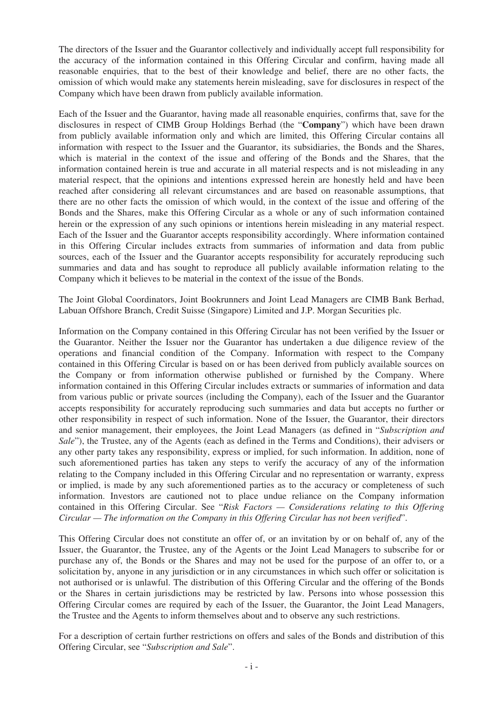The directors of the Issuer and the Guarantor collectively and individually accept full responsibility for the accuracy of the information contained in this Offering Circular and confirm, having made all reasonable enquiries, that to the best of their knowledge and belief, there are no other facts, the omission of which would make any statements herein misleading, save for disclosures in respect of the Company which have been drawn from publicly available information.

Each of the Issuer and the Guarantor, having made all reasonable enquiries, confirms that, save for the disclosures in respect of CIMB Group Holdings Berhad (the "**Company**") which have been drawn from publicly available information only and which are limited, this Offering Circular contains all information with respect to the Issuer and the Guarantor, its subsidiaries, the Bonds and the Shares, which is material in the context of the issue and offering of the Bonds and the Shares, that the information contained herein is true and accurate in all material respects and is not misleading in any material respect, that the opinions and intentions expressed herein are honestly held and have been reached after considering all relevant circumstances and are based on reasonable assumptions, that there are no other facts the omission of which would, in the context of the issue and offering of the Bonds and the Shares, make this Offering Circular as a whole or any of such information contained herein or the expression of any such opinions or intentions herein misleading in any material respect. Each of the Issuer and the Guarantor accepts responsibility accordingly. Where information contained in this Offering Circular includes extracts from summaries of information and data from public sources, each of the Issuer and the Guarantor accepts responsibility for accurately reproducing such summaries and data and has sought to reproduce all publicly available information relating to the Company which it believes to be material in the context of the issue of the Bonds.

The Joint Global Coordinators, Joint Bookrunners and Joint Lead Managers are CIMB Bank Berhad, Labuan Offshore Branch, Credit Suisse (Singapore) Limited and J.P. Morgan Securities plc.

Information on the Company contained in this Offering Circular has not been verified by the Issuer or the Guarantor. Neither the Issuer nor the Guarantor has undertaken a due diligence review of the operations and financial condition of the Company. Information with respect to the Company contained in this Offering Circular is based on or has been derived from publicly available sources on the Company or from information otherwise published or furnished by the Company. Where information contained in this Offering Circular includes extracts or summaries of information and data from various public or private sources (including the Company), each of the Issuer and the Guarantor accepts responsibility for accurately reproducing such summaries and data but accepts no further or other responsibility in respect of such information. None of the Issuer, the Guarantor, their directors and senior management, their employees, the Joint Lead Managers (as defined in "*Subscription and Sale*"), the Trustee, any of the Agents (each as defined in the Terms and Conditions), their advisers or any other party takes any responsibility, express or implied, for such information. In addition, none of such aforementioned parties has taken any steps to verify the accuracy of any of the information relating to the Company included in this Offering Circular and no representation or warranty, express or implied, is made by any such aforementioned parties as to the accuracy or completeness of such information. Investors are cautioned not to place undue reliance on the Company information contained in this Offering Circular. See "*Risk Factors — Considerations relating to this Offering Circular — The information on the Company in this Offering Circular has not been verified*".

This Offering Circular does not constitute an offer of, or an invitation by or on behalf of, any of the Issuer, the Guarantor, the Trustee, any of the Agents or the Joint Lead Managers to subscribe for or purchase any of, the Bonds or the Shares and may not be used for the purpose of an offer to, or a solicitation by, anyone in any jurisdiction or in any circumstances in which such offer or solicitation is not authorised or is unlawful. The distribution of this Offering Circular and the offering of the Bonds or the Shares in certain jurisdictions may be restricted by law. Persons into whose possession this Offering Circular comes are required by each of the Issuer, the Guarantor, the Joint Lead Managers, the Trustee and the Agents to inform themselves about and to observe any such restrictions.

For a description of certain further restrictions on offers and sales of the Bonds and distribution of this Offering Circular, see "*Subscription and Sale*".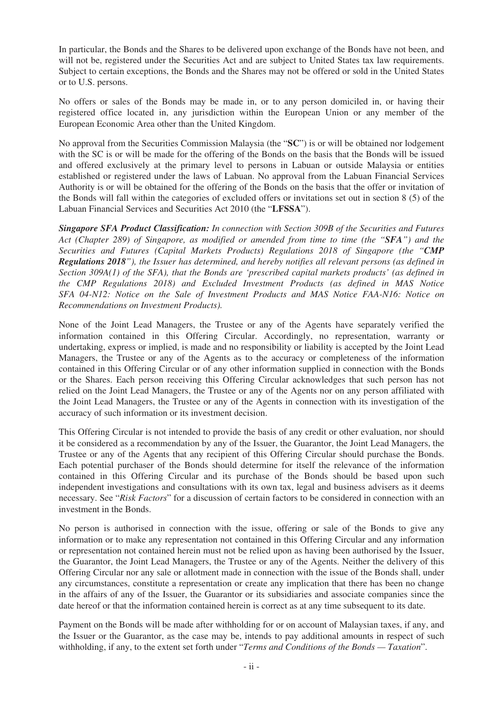In particular, the Bonds and the Shares to be delivered upon exchange of the Bonds have not been, and will not be, registered under the Securities Act and are subject to United States tax law requirements. Subject to certain exceptions, the Bonds and the Shares may not be offered or sold in the United States or to U.S. persons.

No offers or sales of the Bonds may be made in, or to any person domiciled in, or having their registered office located in, any jurisdiction within the European Union or any member of the European Economic Area other than the United Kingdom.

No approval from the Securities Commission Malaysia (the "**SC**") is or will be obtained nor lodgement with the SC is or will be made for the offering of the Bonds on the basis that the Bonds will be issued and offered exclusively at the primary level to persons in Labuan or outside Malaysia or entities established or registered under the laws of Labuan. No approval from the Labuan Financial Services Authority is or will be obtained for the offering of the Bonds on the basis that the offer or invitation of the Bonds will fall within the categories of excluded offers or invitations set out in section 8 (5) of the Labuan Financial Services and Securities Act 2010 (the "**LFSSA**").

*Singapore SFA Product Classification: In connection with Section 309B of the Securities and Futures Act (Chapter 289) of Singapore, as modified or amended from time to time (the "SFA") and the Securities and Futures (Capital Markets Products) Regulations 2018 of Singapore (the "CMP Regulations 2018"), the Issuer has determined, and hereby notifies all relevant persons (as defined in Section 309A(1) of the SFA), that the Bonds are 'prescribed capital markets products' (as defined in the CMP Regulations 2018) and Excluded Investment Products (as defined in MAS Notice SFA 04-N12: Notice on the Sale of Investment Products and MAS Notice FAA-N16: Notice on Recommendations on Investment Products).*

None of the Joint Lead Managers, the Trustee or any of the Agents have separately verified the information contained in this Offering Circular. Accordingly, no representation, warranty or undertaking, express or implied, is made and no responsibility or liability is accepted by the Joint Lead Managers, the Trustee or any of the Agents as to the accuracy or completeness of the information contained in this Offering Circular or of any other information supplied in connection with the Bonds or the Shares. Each person receiving this Offering Circular acknowledges that such person has not relied on the Joint Lead Managers, the Trustee or any of the Agents nor on any person affiliated with the Joint Lead Managers, the Trustee or any of the Agents in connection with its investigation of the accuracy of such information or its investment decision.

This Offering Circular is not intended to provide the basis of any credit or other evaluation, nor should it be considered as a recommendation by any of the Issuer, the Guarantor, the Joint Lead Managers, the Trustee or any of the Agents that any recipient of this Offering Circular should purchase the Bonds. Each potential purchaser of the Bonds should determine for itself the relevance of the information contained in this Offering Circular and its purchase of the Bonds should be based upon such independent investigations and consultations with its own tax, legal and business advisers as it deems necessary. See "*Risk Factors*" for a discussion of certain factors to be considered in connection with an investment in the Bonds.

No person is authorised in connection with the issue, offering or sale of the Bonds to give any information or to make any representation not contained in this Offering Circular and any information or representation not contained herein must not be relied upon as having been authorised by the Issuer, the Guarantor, the Joint Lead Managers, the Trustee or any of the Agents. Neither the delivery of this Offering Circular nor any sale or allotment made in connection with the issue of the Bonds shall, under any circumstances, constitute a representation or create any implication that there has been no change in the affairs of any of the Issuer, the Guarantor or its subsidiaries and associate companies since the date hereof or that the information contained herein is correct as at any time subsequent to its date.

Payment on the Bonds will be made after withholding for or on account of Malaysian taxes, if any, and the Issuer or the Guarantor, as the case may be, intends to pay additional amounts in respect of such withholding, if any, to the extent set forth under "*Terms and Conditions of the Bonds — Taxation*".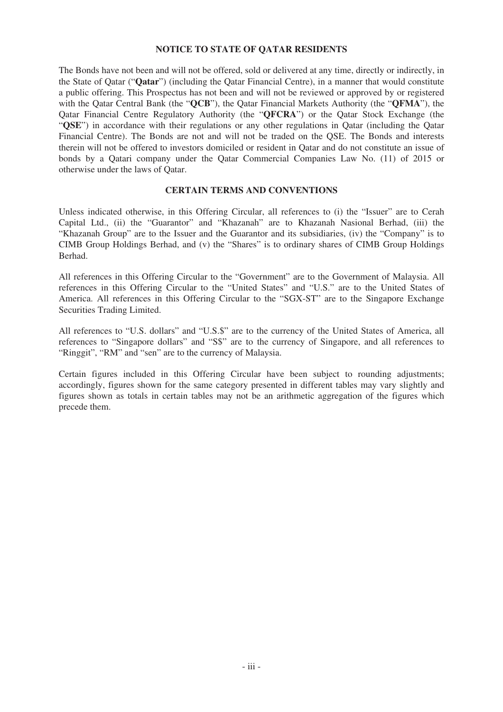#### **NOTICE TO STATE OF QATAR RESIDENTS**

The Bonds have not been and will not be offered, sold or delivered at any time, directly or indirectly, in the State of Qatar ("**Qatar**") (including the Qatar Financial Centre), in a manner that would constitute a public offering. This Prospectus has not been and will not be reviewed or approved by or registered with the Qatar Central Bank (the "**QCB**"), the Qatar Financial Markets Authority (the "**QFMA**"), the Qatar Financial Centre Regulatory Authority (the "**QFCRA**") or the Qatar Stock Exchange (the "**QSE**") in accordance with their regulations or any other regulations in Qatar (including the Qatar Financial Centre). The Bonds are not and will not be traded on the QSE. The Bonds and interests therein will not be offered to investors domiciled or resident in Qatar and do not constitute an issue of bonds by a Qatari company under the Qatar Commercial Companies Law No. (11) of 2015 or otherwise under the laws of Qatar.

## **CERTAIN TERMS AND CONVENTIONS**

Unless indicated otherwise, in this Offering Circular, all references to (i) the "Issuer" are to Cerah Capital Ltd., (ii) the "Guarantor" and "Khazanah" are to Khazanah Nasional Berhad, (iii) the "Khazanah Group" are to the Issuer and the Guarantor and its subsidiaries, (iv) the "Company" is to CIMB Group Holdings Berhad, and (v) the "Shares" is to ordinary shares of CIMB Group Holdings Berhad.

All references in this Offering Circular to the "Government" are to the Government of Malaysia. All references in this Offering Circular to the "United States" and "U.S." are to the United States of America. All references in this Offering Circular to the "SGX-ST" are to the Singapore Exchange Securities Trading Limited.

All references to "U.S. dollars" and "U.S.\$" are to the currency of the United States of America, all references to "Singapore dollars" and "S\$" are to the currency of Singapore, and all references to "Ringgit", "RM" and "sen" are to the currency of Malaysia.

Certain figures included in this Offering Circular have been subject to rounding adjustments; accordingly, figures shown for the same category presented in different tables may vary slightly and figures shown as totals in certain tables may not be an arithmetic aggregation of the figures which precede them.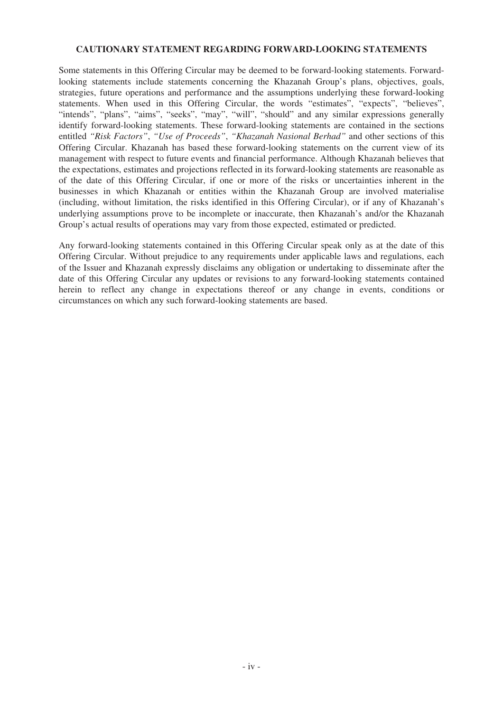#### **CAUTIONARY STATEMENT REGARDING FORWARD-LOOKING STATEMENTS**

Some statements in this Offering Circular may be deemed to be forward-looking statements. Forwardlooking statements include statements concerning the Khazanah Group's plans, objectives, goals, strategies, future operations and performance and the assumptions underlying these forward-looking statements. When used in this Offering Circular, the words "estimates", "expects", "believes", "intends", "plans", "aims", "seeks", "may", "will", "should" and any similar expressions generally identify forward-looking statements. These forward-looking statements are contained in the sections entitled *"Risk Factors"*, *"Use of Proceeds"*, *"Khazanah Nasional Berhad"* and other sections of this Offering Circular. Khazanah has based these forward-looking statements on the current view of its management with respect to future events and financial performance. Although Khazanah believes that the expectations, estimates and projections reflected in its forward-looking statements are reasonable as of the date of this Offering Circular, if one or more of the risks or uncertainties inherent in the businesses in which Khazanah or entities within the Khazanah Group are involved materialise (including, without limitation, the risks identified in this Offering Circular), or if any of Khazanah's underlying assumptions prove to be incomplete or inaccurate, then Khazanah's and/or the Khazanah Group's actual results of operations may vary from those expected, estimated or predicted.

Any forward-looking statements contained in this Offering Circular speak only as at the date of this Offering Circular. Without prejudice to any requirements under applicable laws and regulations, each of the Issuer and Khazanah expressly disclaims any obligation or undertaking to disseminate after the date of this Offering Circular any updates or revisions to any forward-looking statements contained herein to reflect any change in expectations thereof or any change in events, conditions or circumstances on which any such forward-looking statements are based.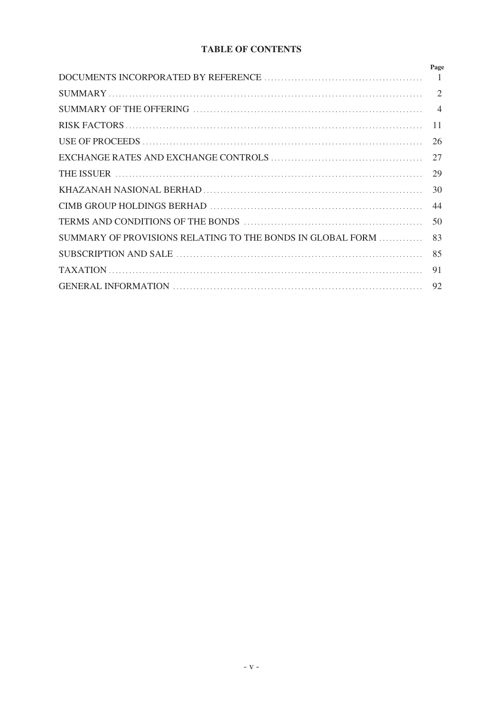## **TABLE OF CONTENTS**

|                                                            | Page                        |
|------------------------------------------------------------|-----------------------------|
|                                                            | $\overline{1}$              |
|                                                            | $\mathcal{D}_{\mathcal{L}}$ |
|                                                            | $\overline{4}$              |
|                                                            | 11                          |
|                                                            | 26                          |
|                                                            | 27                          |
|                                                            | 29                          |
|                                                            | 30                          |
|                                                            | 44                          |
|                                                            | 50                          |
| SUMMARY OF PROVISIONS RELATING TO THE BONDS IN GLOBAL FORM | 83                          |
|                                                            | 85                          |
|                                                            | 91                          |
|                                                            |                             |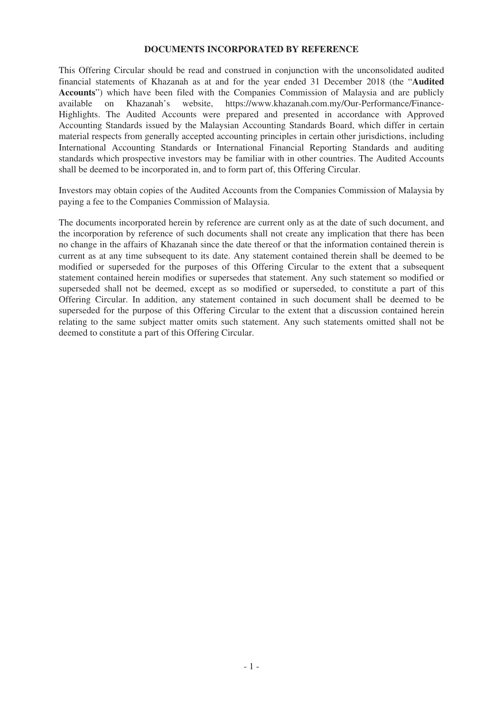#### **DOCUMENTS INCORPORATED BY REFERENCE**

This Offering Circular should be read and construed in conjunction with the unconsolidated audited financial statements of Khazanah as at and for the year ended 31 December 2018 (the "**Audited Accounts**") which have been filed with the Companies Commission of Malaysia and are publicly available on Khazanah's website, https://www.khazanah.com.my/Our-Performance/Finance-Highlights. The Audited Accounts were prepared and presented in accordance with Approved Accounting Standards issued by the Malaysian Accounting Standards Board, which differ in certain material respects from generally accepted accounting principles in certain other jurisdictions, including International Accounting Standards or International Financial Reporting Standards and auditing standards which prospective investors may be familiar with in other countries. The Audited Accounts shall be deemed to be incorporated in, and to form part of, this Offering Circular.

Investors may obtain copies of the Audited Accounts from the Companies Commission of Malaysia by paying a fee to the Companies Commission of Malaysia.

The documents incorporated herein by reference are current only as at the date of such document, and the incorporation by reference of such documents shall not create any implication that there has been no change in the affairs of Khazanah since the date thereof or that the information contained therein is current as at any time subsequent to its date. Any statement contained therein shall be deemed to be modified or superseded for the purposes of this Offering Circular to the extent that a subsequent statement contained herein modifies or supersedes that statement. Any such statement so modified or superseded shall not be deemed, except as so modified or superseded, to constitute a part of this Offering Circular. In addition, any statement contained in such document shall be deemed to be superseded for the purpose of this Offering Circular to the extent that a discussion contained herein relating to the same subject matter omits such statement. Any such statements omitted shall not be deemed to constitute a part of this Offering Circular.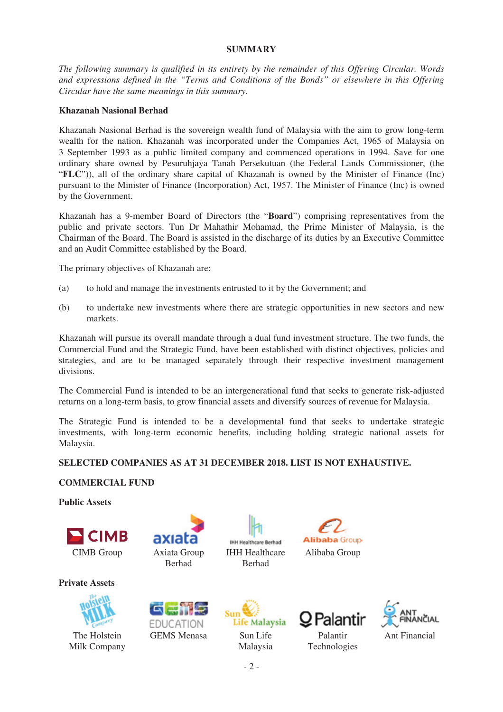### **SUMMARY**

*The following summary is qualified in its entirety by the remainder of this Offering Circular. Words and expressions defined in the "Terms and Conditions of the Bonds" or elsewhere in this Offering Circular have the same meanings in this summary.*

## **Khazanah Nasional Berhad**

Khazanah Nasional Berhad is the sovereign wealth fund of Malaysia with the aim to grow long-term wealth for the nation. Khazanah was incorporated under the Companies Act, 1965 of Malaysia on 3 September 1993 as a public limited company and commenced operations in 1994. Save for one ordinary share owned by Pesuruhjaya Tanah Persekutuan (the Federal Lands Commissioner, (the "**FLC**")), all of the ordinary share capital of Khazanah is owned by the Minister of Finance (Inc) pursuant to the Minister of Finance (Incorporation) Act, 1957. The Minister of Finance (Inc) is owned by the Government.

Khazanah has a 9-member Board of Directors (the "**Board**") comprising representatives from the public and private sectors. Tun Dr Mahathir Mohamad, the Prime Minister of Malaysia, is the Chairman of the Board. The Board is assisted in the discharge of its duties by an Executive Committee and an Audit Committee established by the Board.

The primary objectives of Khazanah are:

- (a) to hold and manage the investments entrusted to it by the Government; and
- (b) to undertake new investments where there are strategic opportunities in new sectors and new markets.

Khazanah will pursue its overall mandate through a dual fund investment structure. The two funds, the Commercial Fund and the Strategic Fund, have been established with distinct objectives, policies and strategies, and are to be managed separately through their respective investment management divisions.

The Commercial Fund is intended to be an intergenerational fund that seeks to generate risk-adjusted returns on a long-term basis, to grow financial assets and diversify sources of revenue for Malaysia.

The Strategic Fund is intended to be a developmental fund that seeks to undertake strategic investments, with long-term economic benefits, including holding strategic national assets for Malaysia.

## **SELECTED COMPANIES AS AT 31 DECEMBER 2018. LIST IS NOT EXHAUSTIVE.**

#### **COMMERCIAL FUND**

**Public Assets**





**EDUCATION** 

**Private Assets**



The Holstein Milk Company



GEMS Menasa Sun Life Malaysia

IHH Healthcare Berhad

**IHH Healthcare Berhad** 





Palantir Technologies

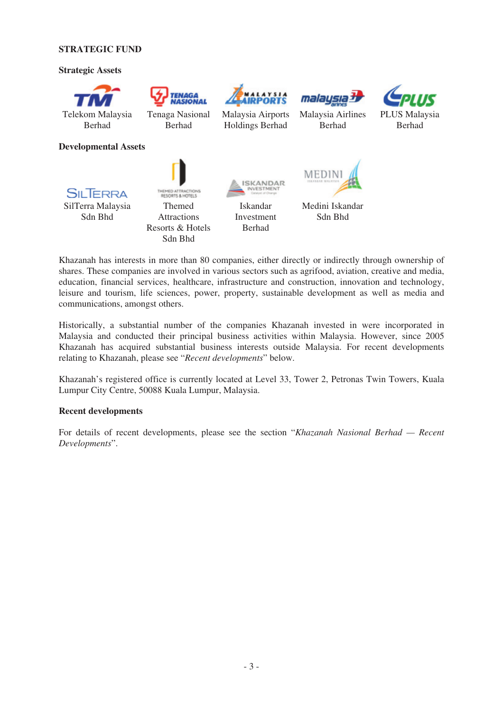#### **STRATEGIC FUND**

#### **Strategic Assets**



Khazanah has interests in more than 80 companies, either directly or indirectly through ownership of shares. These companies are involved in various sectors such as agrifood, aviation, creative and media, education, financial services, healthcare, infrastructure and construction, innovation and technology, leisure and tourism, life sciences, power, property, sustainable development as well as media and communications, amongst others.

Sdn Bhd

Historically, a substantial number of the companies Khazanah invested in were incorporated in Malaysia and conducted their principal business activities within Malaysia. However, since 2005 Khazanah has acquired substantial business interests outside Malaysia. For recent developments relating to Khazanah, please see "*Recent developments*" below.

Khazanah's registered office is currently located at Level 33, Tower 2, Petronas Twin Towers, Kuala Lumpur City Centre, 50088 Kuala Lumpur, Malaysia.

#### **Recent developments**

For details of recent developments, please see the section "*Khazanah Nasional Berhad — Recent Developments*".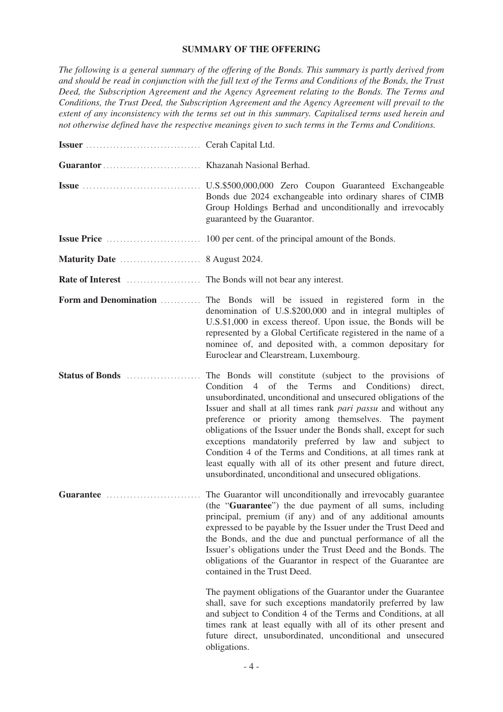#### **SUMMARY OF THE OFFERING**

*The following is a general summary of the offering of the Bonds. This summary is partly derived from and should be read in conjunction with the full text of the Terms and Conditions of the Bonds, the Trust Deed, the Subscription Agreement and the Agency Agreement relating to the Bonds. The Terms and Conditions, the Trust Deed, the Subscription Agreement and the Agency Agreement will prevail to the extent of any inconsistency with the terms set out in this summary. Capitalised terms used herein and not otherwise defined have the respective meanings given to such terms in the Terms and Conditions.*

|                       | Bonds due 2024 exchangeable into ordinary shares of CIMB<br>Group Holdings Berhad and unconditionally and irrevocably<br>guaranteed by the Guarantor.                                                                                                                                                                                                                                                                                                                                                                                                                                                                                            |
|-----------------------|--------------------------------------------------------------------------------------------------------------------------------------------------------------------------------------------------------------------------------------------------------------------------------------------------------------------------------------------------------------------------------------------------------------------------------------------------------------------------------------------------------------------------------------------------------------------------------------------------------------------------------------------------|
|                       |                                                                                                                                                                                                                                                                                                                                                                                                                                                                                                                                                                                                                                                  |
|                       |                                                                                                                                                                                                                                                                                                                                                                                                                                                                                                                                                                                                                                                  |
|                       |                                                                                                                                                                                                                                                                                                                                                                                                                                                                                                                                                                                                                                                  |
| Form and Denomination | The Bonds will be issued in registered form in the<br>denomination of U.S.\$200,000 and in integral multiples of<br>U.S.\$1,000 in excess thereof. Upon issue, the Bonds will be<br>represented by a Global Certificate registered in the name of a<br>nominee of, and deposited with, a common depositary for<br>Euroclear and Clearstream, Luxembourg.                                                                                                                                                                                                                                                                                         |
| Status of Bonds       | The Bonds will constitute (subject to the provisions of<br>Condition 4 of the Terms<br>and Conditions)<br>direct,<br>unsubordinated, unconditional and unsecured obligations of the<br>Issuer and shall at all times rank <i>pari passu</i> and without any<br>preference or priority among themselves. The payment<br>obligations of the Issuer under the Bonds shall, except for such<br>exceptions mandatorily preferred by law and subject to<br>Condition 4 of the Terms and Conditions, at all times rank at<br>least equally with all of its other present and future direct,<br>unsubordinated, unconditional and unsecured obligations. |
| Guarantee             | The Guarantor will unconditionally and irrevocably guarantee<br>(the "Guarantee") the due payment of all sums, including<br>principal, premium (if any) and of any additional amounts<br>expressed to be payable by the Issuer under the Trust Deed and<br>the Bonds, and the due and punctual performance of all the<br>Issuer's obligations under the Trust Deed and the Bonds. The<br>obligations of the Guarantor in respect of the Guarantee are<br>contained in the Trust Deed.                                                                                                                                                            |
|                       | The payment obligations of the Guarantor under the Guarantee<br>shall, save for such exceptions mandatorily preferred by law<br>and subject to Condition 4 of the Terms and Conditions, at all<br>times rank at least equally with all of its other present and<br>future direct, unsubordinated, unconditional and unsecured<br>obligations.                                                                                                                                                                                                                                                                                                    |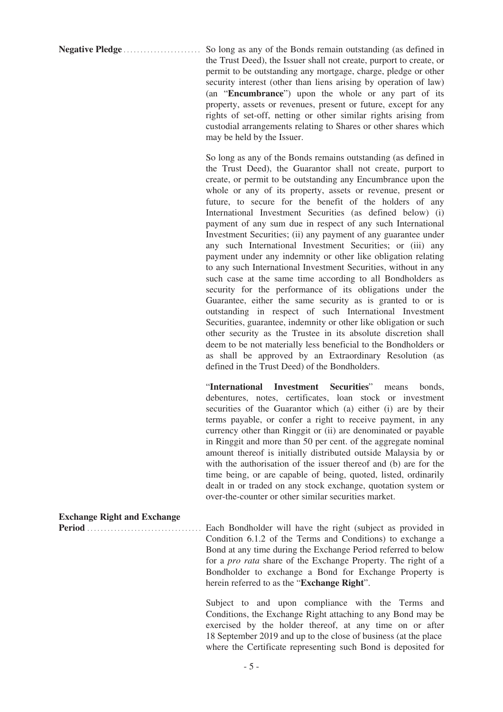**Negative Pledge** ....................... So long as any of the Bonds remain outstanding (as defined in the Trust Deed), the Issuer shall not create, purport to create, or permit to be outstanding any mortgage, charge, pledge or other security interest (other than liens arising by operation of law) (an "**Encumbrance**") upon the whole or any part of its property, assets or revenues, present or future, except for any rights of set-off, netting or other similar rights arising from custodial arrangements relating to Shares or other shares which may be held by the Issuer.

> So long as any of the Bonds remains outstanding (as defined in the Trust Deed), the Guarantor shall not create, purport to create, or permit to be outstanding any Encumbrance upon the whole or any of its property, assets or revenue, present or future, to secure for the benefit of the holders of any International Investment Securities (as defined below) (i) payment of any sum due in respect of any such International Investment Securities; (ii) any payment of any guarantee under any such International Investment Securities; or (iii) any payment under any indemnity or other like obligation relating to any such International Investment Securities, without in any such case at the same time according to all Bondholders as security for the performance of its obligations under the Guarantee, either the same security as is granted to or is outstanding in respect of such International Investment Securities, guarantee, indemnity or other like obligation or such other security as the Trustee in its absolute discretion shall deem to be not materially less beneficial to the Bondholders or as shall be approved by an Extraordinary Resolution (as defined in the Trust Deed) of the Bondholders.

> "**International Investment Securities**" means bonds, debentures, notes, certificates, loan stock or investment securities of the Guarantor which (a) either (i) are by their terms payable, or confer a right to receive payment, in any currency other than Ringgit or (ii) are denominated or payable in Ringgit and more than 50 per cent. of the aggregate nominal amount thereof is initially distributed outside Malaysia by or with the authorisation of the issuer thereof and (b) are for the time being, or are capable of being, quoted, listed, ordinarily dealt in or traded on any stock exchange, quotation system or over-the-counter or other similar securities market.

**Exchange Right and Exchange**

**Period** .................................. Each Bondholder will have the right (subject as provided in Condition 6.1.2 of the Terms and Conditions) to exchange a Bond at any time during the Exchange Period referred to below for a *pro rata* share of the Exchange Property. The right of a Bondholder to exchange a Bond for Exchange Property is herein referred to as the "**Exchange Right**".

> Subject to and upon compliance with the Terms and Conditions, the Exchange Right attaching to any Bond may be exercised by the holder thereof, at any time on or after 18 September 2019 and up to the close of business (at the place where the Certificate representing such Bond is deposited for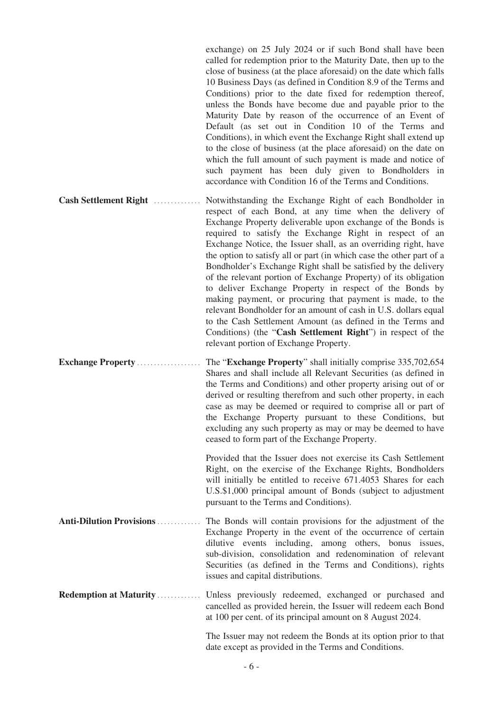exchange) on 25 July 2024 or if such Bond shall have been called for redemption prior to the Maturity Date, then up to the close of business (at the place aforesaid) on the date which falls 10 Business Days (as defined in Condition 8.9 of the Terms and Conditions) prior to the date fixed for redemption thereof, unless the Bonds have become due and payable prior to the Maturity Date by reason of the occurrence of an Event of Default (as set out in Condition 10 of the Terms and Conditions), in which event the Exchange Right shall extend up to the close of business (at the place aforesaid) on the date on which the full amount of such payment is made and notice of such payment has been duly given to Bondholders in accordance with Condition 16 of the Terms and Conditions.

- **Cash Settlement Right** .............. Notwithstanding the Exchange Right of each Bondholder in respect of each Bond, at any time when the delivery of Exchange Property deliverable upon exchange of the Bonds is required to satisfy the Exchange Right in respect of an Exchange Notice, the Issuer shall, as an overriding right, have the option to satisfy all or part (in which case the other part of a Bondholder's Exchange Right shall be satisfied by the delivery of the relevant portion of Exchange Property) of its obligation to deliver Exchange Property in respect of the Bonds by making payment, or procuring that payment is made, to the relevant Bondholder for an amount of cash in U.S. dollars equal to the Cash Settlement Amount (as defined in the Terms and Conditions) (the "**Cash Settlement Right**") in respect of the relevant portion of Exchange Property.
- **Exchange Property** ................... The "**Exchange Property**" shall initially comprise 335,702,654 Shares and shall include all Relevant Securities (as defined in the Terms and Conditions) and other property arising out of or derived or resulting therefrom and such other property, in each case as may be deemed or required to comprise all or part of the Exchange Property pursuant to these Conditions, but excluding any such property as may or may be deemed to have ceased to form part of the Exchange Property.

Provided that the Issuer does not exercise its Cash Settlement Right, on the exercise of the Exchange Rights, Bondholders will initially be entitled to receive 671.4053 Shares for each U.S.\$1,000 principal amount of Bonds (subject to adjustment pursuant to the Terms and Conditions).

- **Anti-Dilution Provisions** ............. The Bonds will contain provisions for the adjustment of the Exchange Property in the event of the occurrence of certain dilutive events including, among others, bonus issues, sub-division, consolidation and redenomination of relevant Securities (as defined in the Terms and Conditions), rights issues and capital distributions.
- **Redemption at Maturity** ............. Unless previously redeemed, exchanged or purchased and cancelled as provided herein, the Issuer will redeem each Bond at 100 per cent. of its principal amount on 8 August 2024.

The Issuer may not redeem the Bonds at its option prior to that date except as provided in the Terms and Conditions.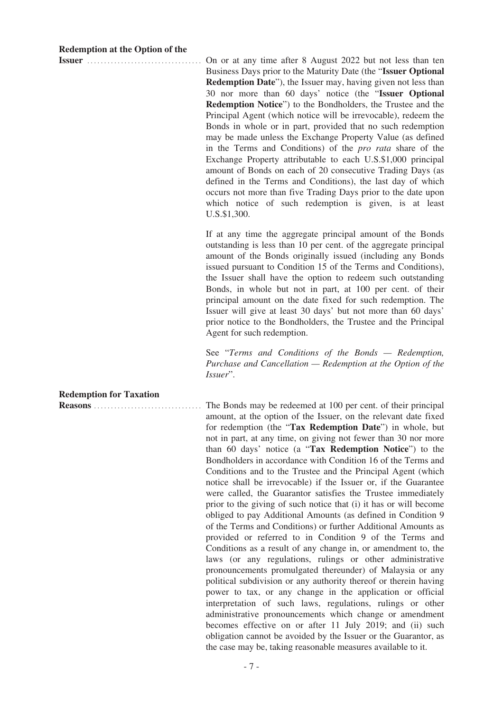#### **Redemption at the Option of the**

**Issuer** .................................. On or at any time after 8 August 2022 but not less than ten Business Days prior to the Maturity Date (the "**Issuer Optional Redemption Date**"), the Issuer may, having given not less than 30 nor more than 60 days' notice (the "**Issuer Optional Redemption Notice**") to the Bondholders, the Trustee and the Principal Agent (which notice will be irrevocable), redeem the Bonds in whole or in part, provided that no such redemption may be made unless the Exchange Property Value (as defined in the Terms and Conditions) of the *pro rata* share of the Exchange Property attributable to each U.S.\$1,000 principal amount of Bonds on each of 20 consecutive Trading Days (as defined in the Terms and Conditions), the last day of which occurs not more than five Trading Days prior to the date upon which notice of such redemption is given, is at least U.S.\$1,300.

> If at any time the aggregate principal amount of the Bonds outstanding is less than 10 per cent. of the aggregate principal amount of the Bonds originally issued (including any Bonds issued pursuant to Condition 15 of the Terms and Conditions), the Issuer shall have the option to redeem such outstanding Bonds, in whole but not in part, at 100 per cent. of their principal amount on the date fixed for such redemption. The Issuer will give at least 30 days' but not more than 60 days' prior notice to the Bondholders, the Trustee and the Principal Agent for such redemption.

> See "*Terms and Conditions of the Bonds — Redemption, Purchase and Cancellation — Redemption at the Option of the Issuer*".

**Redemption for Taxation**

**Reasons** ................................ The Bonds may be redeemed at 100 per cent. of their principal amount, at the option of the Issuer, on the relevant date fixed for redemption (the "**Tax Redemption Date**") in whole, but not in part, at any time, on giving not fewer than 30 nor more than 60 days' notice (a "**Tax Redemption Notice**") to the Bondholders in accordance with Condition 16 of the Terms and Conditions and to the Trustee and the Principal Agent (which notice shall be irrevocable) if the Issuer or, if the Guarantee were called, the Guarantor satisfies the Trustee immediately prior to the giving of such notice that (i) it has or will become obliged to pay Additional Amounts (as defined in Condition 9 of the Terms and Conditions) or further Additional Amounts as provided or referred to in Condition 9 of the Terms and Conditions as a result of any change in, or amendment to, the laws (or any regulations, rulings or other administrative pronouncements promulgated thereunder) of Malaysia or any political subdivision or any authority thereof or therein having power to tax, or any change in the application or official interpretation of such laws, regulations, rulings or other administrative pronouncements which change or amendment becomes effective on or after 11 July 2019; and (ii) such obligation cannot be avoided by the Issuer or the Guarantor, as the case may be, taking reasonable measures available to it.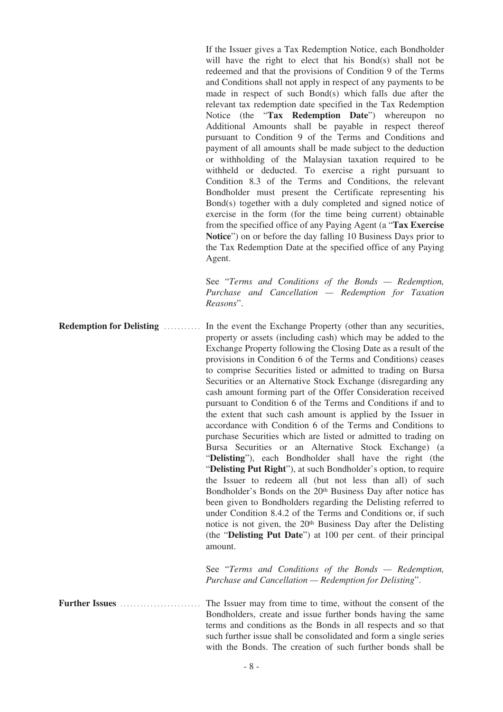If the Issuer gives a Tax Redemption Notice, each Bondholder will have the right to elect that his Bond(s) shall not be redeemed and that the provisions of Condition 9 of the Terms and Conditions shall not apply in respect of any payments to be made in respect of such Bond(s) which falls due after the relevant tax redemption date specified in the Tax Redemption Notice (the "**Tax Redemption Date**") whereupon no Additional Amounts shall be payable in respect thereof pursuant to Condition 9 of the Terms and Conditions and payment of all amounts shall be made subject to the deduction or withholding of the Malaysian taxation required to be withheld or deducted. To exercise a right pursuant to Condition 8.3 of the Terms and Conditions, the relevant Bondholder must present the Certificate representing his Bond(s) together with a duly completed and signed notice of exercise in the form (for the time being current) obtainable from the specified office of any Paying Agent (a "**Tax Exercise Notice**") on or before the day falling 10 Business Days prior to the Tax Redemption Date at the specified office of any Paying Agent.

See "*Terms and Conditions of the Bonds — Redemption, Purchase and Cancellation — Redemption for Taxation Reasons*".

**Redemption for Delisting** ........... In the event the Exchange Property (other than any securities, property or assets (including cash) which may be added to the Exchange Property following the Closing Date as a result of the provisions in Condition 6 of the Terms and Conditions) ceases to comprise Securities listed or admitted to trading on Bursa Securities or an Alternative Stock Exchange (disregarding any cash amount forming part of the Offer Consideration received pursuant to Condition 6 of the Terms and Conditions if and to the extent that such cash amount is applied by the Issuer in accordance with Condition 6 of the Terms and Conditions to purchase Securities which are listed or admitted to trading on Bursa Securities or an Alternative Stock Exchange) (a "**Delisting**"), each Bondholder shall have the right (the "**Delisting Put Right**"), at such Bondholder's option, to require the Issuer to redeem all (but not less than all) of such Bondholder's Bonds on the 20<sup>th</sup> Business Day after notice has been given to Bondholders regarding the Delisting referred to under Condition 8.4.2 of the Terms and Conditions or, if such notice is not given, the 20<sup>th</sup> Business Day after the Delisting (the "**Delisting Put Date**") at 100 per cent. of their principal amount.

> See "*Terms and Conditions of the Bonds — Redemption, Purchase and Cancellation — Redemption for Delisting*".

**Further Issues** ........................ The Issuer may from time to time, without the consent of the Bondholders, create and issue further bonds having the same terms and conditions as the Bonds in all respects and so that such further issue shall be consolidated and form a single series with the Bonds. The creation of such further bonds shall be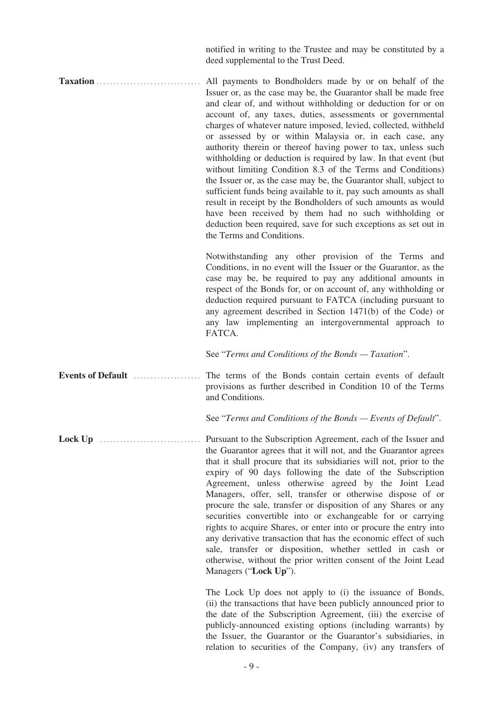notified in writing to the Trustee and may be constituted by a deed supplemental to the Trust Deed.

**Taxation** ............................... All payments to Bondholders made by or on behalf of the Issuer or, as the case may be, the Guarantor shall be made free and clear of, and without withholding or deduction for or on account of, any taxes, duties, assessments or governmental charges of whatever nature imposed, levied, collected, withheld or assessed by or within Malaysia or, in each case, any authority therein or thereof having power to tax, unless such withholding or deduction is required by law. In that event (but without limiting Condition 8.3 of the Terms and Conditions) the Issuer or, as the case may be, the Guarantor shall, subject to sufficient funds being available to it, pay such amounts as shall result in receipt by the Bondholders of such amounts as would have been received by them had no such withholding or deduction been required, save for such exceptions as set out in the Terms and Conditions.

> Notwithstanding any other provision of the Terms and Conditions, in no event will the Issuer or the Guarantor, as the case may be, be required to pay any additional amounts in respect of the Bonds for, or on account of, any withholding or deduction required pursuant to FATCA (including pursuant to any agreement described in Section 1471(b) of the Code) or any law implementing an intergovernmental approach to FATCA.

See "*Terms and Conditions of the Bonds — Taxation*".

**Events of Default** .................... The terms of the Bonds contain certain events of default provisions as further described in Condition 10 of the Terms and Conditions.

See "*Terms and Conditions of the Bonds — Events of Default*".

**Lock Up** .............................. Pursuant to the Subscription Agreement, each of the Issuer and the Guarantor agrees that it will not, and the Guarantor agrees that it shall procure that its subsidiaries will not, prior to the expiry of 90 days following the date of the Subscription Agreement, unless otherwise agreed by the Joint Lead Managers, offer, sell, transfer or otherwise dispose of or procure the sale, transfer or disposition of any Shares or any securities convertible into or exchangeable for or carrying rights to acquire Shares, or enter into or procure the entry into any derivative transaction that has the economic effect of such sale, transfer or disposition, whether settled in cash or otherwise, without the prior written consent of the Joint Lead Managers ("**Lock Up**").

> The Lock Up does not apply to (i) the issuance of Bonds, (ii) the transactions that have been publicly announced prior to the date of the Subscription Agreement, (iii) the exercise of publicly-announced existing options (including warrants) by the Issuer, the Guarantor or the Guarantor's subsidiaries, in relation to securities of the Company, (iv) any transfers of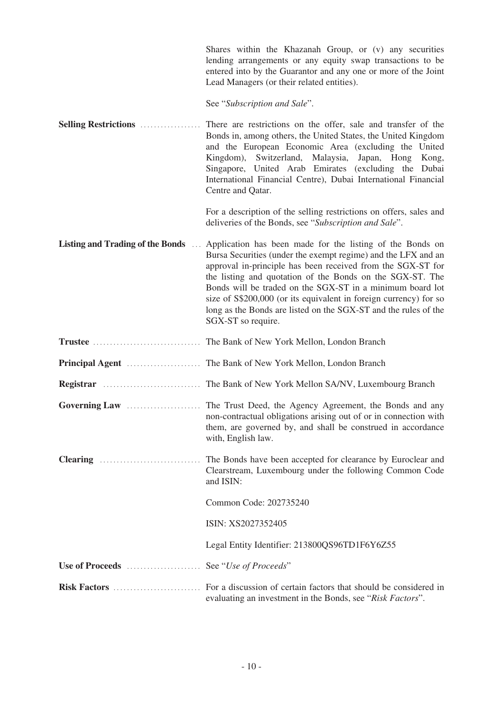Shares within the Khazanah Group, or (v) any securities lending arrangements or any equity swap transactions to be entered into by the Guarantor and any one or more of the Joint Lead Managers (or their related entities).

See "*Subscription and Sale*".

**Selling Restrictions** .................. There are restrictions on the offer, sale and transfer of the Bonds in, among others, the United States, the United Kingdom and the European Economic Area (excluding the United Kingdom), Switzerland, Malaysia, Japan, Hong Kong, Singapore, United Arab Emirates (excluding the Dubai International Financial Centre), Dubai International Financial Centre and Qatar.

> For a description of the selling restrictions on offers, sales and deliveries of the Bonds, see "*Subscription and Sale*".

- **Listing and Trading of the Bonds** ... Application has been made for the listing of the Bonds on Bursa Securities (under the exempt regime) and the LFX and an approval in-principle has been received from the SGX-ST for the listing and quotation of the Bonds on the SGX-ST. The Bonds will be traded on the SGX-ST in a minimum board lot size of S\$200,000 (or its equivalent in foreign currency) for so long as the Bonds are listed on the SGX-ST and the rules of the SGX-ST so require.
- **Trustee** ................................ The Bank of New York Mellon, London Branch
- **Principal Agent** ...................... The Bank of New York Mellon, London Branch
- **Registrar** ............................. The Bank of New York Mellon SA/NV, Luxembourg Branch
- **Governing Law** ...................... The Trust Deed, the Agency Agreement, the Bonds and any non-contractual obligations arising out of or in connection with them, are governed by, and shall be construed in accordance with, English law.
- **Clearing** .............................. The Bonds have been accepted for clearance by Euroclear and Clearstream, Luxembourg under the following Common Code and ISIN:

Common Code: 202735240

ISIN: XS2027352405

Legal Entity Identifier: 213800QS96TD1F6Y6Z55

**Use of Proceeds** ...................... See "*Use of Proceeds*"

**Risk Factors** .......................... For a discussion of certain factors that should be considered in evaluating an investment in the Bonds, see "*Risk Factors*".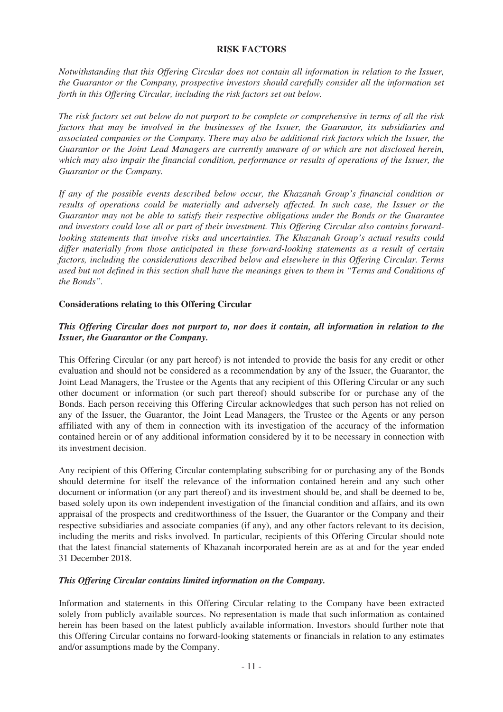## **RISK FACTORS**

*Notwithstanding that this Offering Circular does not contain all information in relation to the Issuer, the Guarantor or the Company, prospective investors should carefully consider all the information set forth in this Offering Circular, including the risk factors set out below.*

*The risk factors set out below do not purport to be complete or comprehensive in terms of all the risk factors that may be involved in the businesses of the Issuer, the Guarantor, its subsidiaries and associated companies or the Company. There may also be additional risk factors which the Issuer, the Guarantor or the Joint Lead Managers are currently unaware of or which are not disclosed herein, which may also impair the financial condition, performance or results of operations of the Issuer, the Guarantor or the Company.*

*If any of the possible events described below occur, the Khazanah Group's financial condition or results of operations could be materially and adversely affected. In such case, the Issuer or the Guarantor may not be able to satisfy their respective obligations under the Bonds or the Guarantee and investors could lose all or part of their investment. This Offering Circular also contains forwardlooking statements that involve risks and uncertainties. The Khazanah Group's actual results could differ materially from those anticipated in these forward-looking statements as a result of certain factors, including the considerations described below and elsewhere in this Offering Circular. Terms used but not defined in this section shall have the meanings given to them in "Terms and Conditions of the Bonds".*

## **Considerations relating to this Offering Circular**

## *This Offering Circular does not purport to, nor does it contain, all information in relation to the Issuer, the Guarantor or the Company.*

This Offering Circular (or any part hereof) is not intended to provide the basis for any credit or other evaluation and should not be considered as a recommendation by any of the Issuer, the Guarantor, the Joint Lead Managers, the Trustee or the Agents that any recipient of this Offering Circular or any such other document or information (or such part thereof) should subscribe for or purchase any of the Bonds. Each person receiving this Offering Circular acknowledges that such person has not relied on any of the Issuer, the Guarantor, the Joint Lead Managers, the Trustee or the Agents or any person affiliated with any of them in connection with its investigation of the accuracy of the information contained herein or of any additional information considered by it to be necessary in connection with its investment decision.

Any recipient of this Offering Circular contemplating subscribing for or purchasing any of the Bonds should determine for itself the relevance of the information contained herein and any such other document or information (or any part thereof) and its investment should be, and shall be deemed to be, based solely upon its own independent investigation of the financial condition and affairs, and its own appraisal of the prospects and creditworthiness of the Issuer, the Guarantor or the Company and their respective subsidiaries and associate companies (if any), and any other factors relevant to its decision, including the merits and risks involved. In particular, recipients of this Offering Circular should note that the latest financial statements of Khazanah incorporated herein are as at and for the year ended 31 December 2018.

#### *This Offering Circular contains limited information on the Company.*

Information and statements in this Offering Circular relating to the Company have been extracted solely from publicly available sources. No representation is made that such information as contained herein has been based on the latest publicly available information. Investors should further note that this Offering Circular contains no forward-looking statements or financials in relation to any estimates and/or assumptions made by the Company.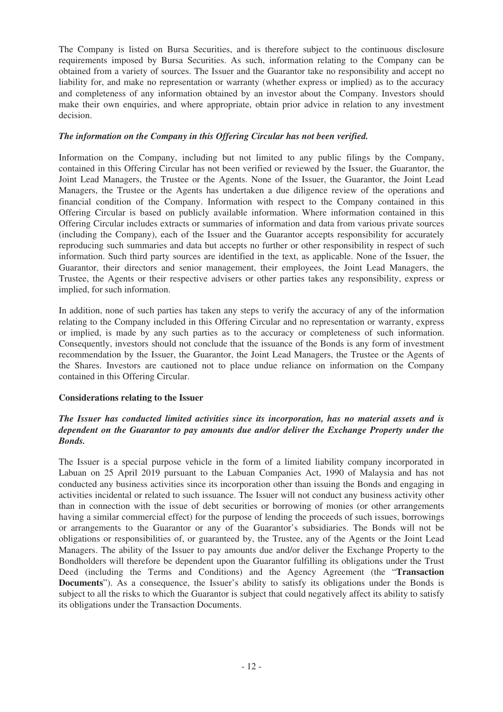The Company is listed on Bursa Securities, and is therefore subject to the continuous disclosure requirements imposed by Bursa Securities. As such, information relating to the Company can be obtained from a variety of sources. The Issuer and the Guarantor take no responsibility and accept no liability for, and make no representation or warranty (whether express or implied) as to the accuracy and completeness of any information obtained by an investor about the Company. Investors should make their own enquiries, and where appropriate, obtain prior advice in relation to any investment decision.

## *The information on the Company in this Offering Circular has not been verified.*

Information on the Company, including but not limited to any public filings by the Company, contained in this Offering Circular has not been verified or reviewed by the Issuer, the Guarantor, the Joint Lead Managers, the Trustee or the Agents. None of the Issuer, the Guarantor, the Joint Lead Managers, the Trustee or the Agents has undertaken a due diligence review of the operations and financial condition of the Company. Information with respect to the Company contained in this Offering Circular is based on publicly available information. Where information contained in this Offering Circular includes extracts or summaries of information and data from various private sources (including the Company), each of the Issuer and the Guarantor accepts responsibility for accurately reproducing such summaries and data but accepts no further or other responsibility in respect of such information. Such third party sources are identified in the text, as applicable. None of the Issuer, the Guarantor, their directors and senior management, their employees, the Joint Lead Managers, the Trustee, the Agents or their respective advisers or other parties takes any responsibility, express or implied, for such information.

In addition, none of such parties has taken any steps to verify the accuracy of any of the information relating to the Company included in this Offering Circular and no representation or warranty, express or implied, is made by any such parties as to the accuracy or completeness of such information. Consequently, investors should not conclude that the issuance of the Bonds is any form of investment recommendation by the Issuer, the Guarantor, the Joint Lead Managers, the Trustee or the Agents of the Shares. Investors are cautioned not to place undue reliance on information on the Company contained in this Offering Circular.

## **Considerations relating to the Issuer**

## *The Issuer has conducted limited activities since its incorporation, has no material assets and is dependent on the Guarantor to pay amounts due and/or deliver the Exchange Property under the Bonds.*

The Issuer is a special purpose vehicle in the form of a limited liability company incorporated in Labuan on 25 April 2019 pursuant to the Labuan Companies Act, 1990 of Malaysia and has not conducted any business activities since its incorporation other than issuing the Bonds and engaging in activities incidental or related to such issuance. The Issuer will not conduct any business activity other than in connection with the issue of debt securities or borrowing of monies (or other arrangements having a similar commercial effect) for the purpose of lending the proceeds of such issues, borrowings or arrangements to the Guarantor or any of the Guarantor's subsidiaries. The Bonds will not be obligations or responsibilities of, or guaranteed by, the Trustee, any of the Agents or the Joint Lead Managers. The ability of the Issuer to pay amounts due and/or deliver the Exchange Property to the Bondholders will therefore be dependent upon the Guarantor fulfilling its obligations under the Trust Deed (including the Terms and Conditions) and the Agency Agreement (the "**Transaction Documents**"). As a consequence, the Issuer's ability to satisfy its obligations under the Bonds is subject to all the risks to which the Guarantor is subject that could negatively affect its ability to satisfy its obligations under the Transaction Documents.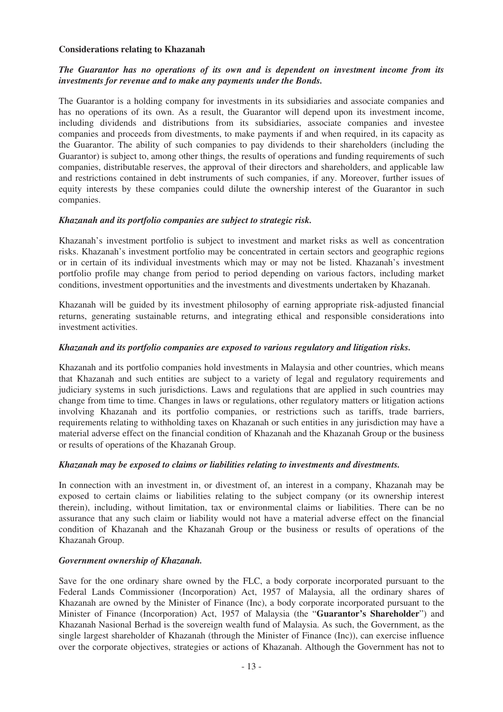#### **Considerations relating to Khazanah**

## *The Guarantor has no operations of its own and is dependent on investment income from its investments for revenue and to make any payments under the Bonds.*

The Guarantor is a holding company for investments in its subsidiaries and associate companies and has no operations of its own. As a result, the Guarantor will depend upon its investment income, including dividends and distributions from its subsidiaries, associate companies and investee companies and proceeds from divestments, to make payments if and when required, in its capacity as the Guarantor. The ability of such companies to pay dividends to their shareholders (including the Guarantor) is subject to, among other things, the results of operations and funding requirements of such companies, distributable reserves, the approval of their directors and shareholders, and applicable law and restrictions contained in debt instruments of such companies, if any. Moreover, further issues of equity interests by these companies could dilute the ownership interest of the Guarantor in such companies.

## *Khazanah and its portfolio companies are subject to strategic risk.*

Khazanah's investment portfolio is subject to investment and market risks as well as concentration risks. Khazanah's investment portfolio may be concentrated in certain sectors and geographic regions or in certain of its individual investments which may or may not be listed. Khazanah's investment portfolio profile may change from period to period depending on various factors, including market conditions, investment opportunities and the investments and divestments undertaken by Khazanah.

Khazanah will be guided by its investment philosophy of earning appropriate risk-adjusted financial returns, generating sustainable returns, and integrating ethical and responsible considerations into investment activities.

## *Khazanah and its portfolio companies are exposed to various regulatory and litigation risks.*

Khazanah and its portfolio companies hold investments in Malaysia and other countries, which means that Khazanah and such entities are subject to a variety of legal and regulatory requirements and judiciary systems in such jurisdictions. Laws and regulations that are applied in such countries may change from time to time. Changes in laws or regulations, other regulatory matters or litigation actions involving Khazanah and its portfolio companies, or restrictions such as tariffs, trade barriers, requirements relating to withholding taxes on Khazanah or such entities in any jurisdiction may have a material adverse effect on the financial condition of Khazanah and the Khazanah Group or the business or results of operations of the Khazanah Group.

#### *Khazanah may be exposed to claims or liabilities relating to investments and divestments.*

In connection with an investment in, or divestment of, an interest in a company, Khazanah may be exposed to certain claims or liabilities relating to the subject company (or its ownership interest therein), including, without limitation, tax or environmental claims or liabilities. There can be no assurance that any such claim or liability would not have a material adverse effect on the financial condition of Khazanah and the Khazanah Group or the business or results of operations of the Khazanah Group.

## *Government ownership of Khazanah.*

Save for the one ordinary share owned by the FLC, a body corporate incorporated pursuant to the Federal Lands Commissioner (Incorporation) Act, 1957 of Malaysia, all the ordinary shares of Khazanah are owned by the Minister of Finance (Inc), a body corporate incorporated pursuant to the Minister of Finance (Incorporation) Act, 1957 of Malaysia (the "**Guarantor's Shareholder**") and Khazanah Nasional Berhad is the sovereign wealth fund of Malaysia. As such, the Government, as the single largest shareholder of Khazanah (through the Minister of Finance (Inc)), can exercise influence over the corporate objectives, strategies or actions of Khazanah. Although the Government has not to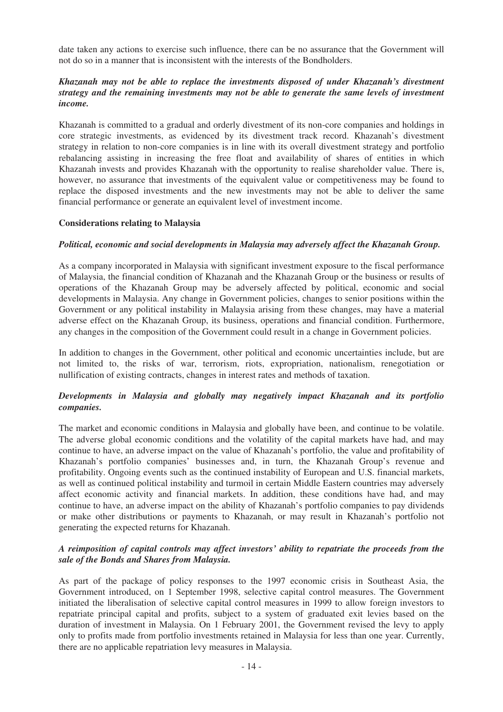date taken any actions to exercise such influence, there can be no assurance that the Government will not do so in a manner that is inconsistent with the interests of the Bondholders.

### *Khazanah may not be able to replace the investments disposed of under Khazanah's divestment strategy and the remaining investments may not be able to generate the same levels of investment income.*

Khazanah is committed to a gradual and orderly divestment of its non-core companies and holdings in core strategic investments, as evidenced by its divestment track record. Khazanah's divestment strategy in relation to non-core companies is in line with its overall divestment strategy and portfolio rebalancing assisting in increasing the free float and availability of shares of entities in which Khazanah invests and provides Khazanah with the opportunity to realise shareholder value. There is, however, no assurance that investments of the equivalent value or competitiveness may be found to replace the disposed investments and the new investments may not be able to deliver the same financial performance or generate an equivalent level of investment income.

## **Considerations relating to Malaysia**

## *Political, economic and social developments in Malaysia may adversely affect the Khazanah Group.*

As a company incorporated in Malaysia with significant investment exposure to the fiscal performance of Malaysia, the financial condition of Khazanah and the Khazanah Group or the business or results of operations of the Khazanah Group may be adversely affected by political, economic and social developments in Malaysia. Any change in Government policies, changes to senior positions within the Government or any political instability in Malaysia arising from these changes, may have a material adverse effect on the Khazanah Group, its business, operations and financial condition. Furthermore, any changes in the composition of the Government could result in a change in Government policies.

In addition to changes in the Government, other political and economic uncertainties include, but are not limited to, the risks of war, terrorism, riots, expropriation, nationalism, renegotiation or nullification of existing contracts, changes in interest rates and methods of taxation.

## *Developments in Malaysia and globally may negatively impact Khazanah and its portfolio companies.*

The market and economic conditions in Malaysia and globally have been, and continue to be volatile. The adverse global economic conditions and the volatility of the capital markets have had, and may continue to have, an adverse impact on the value of Khazanah's portfolio, the value and profitability of Khazanah's portfolio companies' businesses and, in turn, the Khazanah Group's revenue and profitability. Ongoing events such as the continued instability of European and U.S. financial markets, as well as continued political instability and turmoil in certain Middle Eastern countries may adversely affect economic activity and financial markets. In addition, these conditions have had, and may continue to have, an adverse impact on the ability of Khazanah's portfolio companies to pay dividends or make other distributions or payments to Khazanah, or may result in Khazanah's portfolio not generating the expected returns for Khazanah.

## *A reimposition of capital controls may affect investors' ability to repatriate the proceeds from the sale of the Bonds and Shares from Malaysia.*

As part of the package of policy responses to the 1997 economic crisis in Southeast Asia, the Government introduced, on 1 September 1998, selective capital control measures. The Government initiated the liberalisation of selective capital control measures in 1999 to allow foreign investors to repatriate principal capital and profits, subject to a system of graduated exit levies based on the duration of investment in Malaysia. On 1 February 2001, the Government revised the levy to apply only to profits made from portfolio investments retained in Malaysia for less than one year. Currently, there are no applicable repatriation levy measures in Malaysia.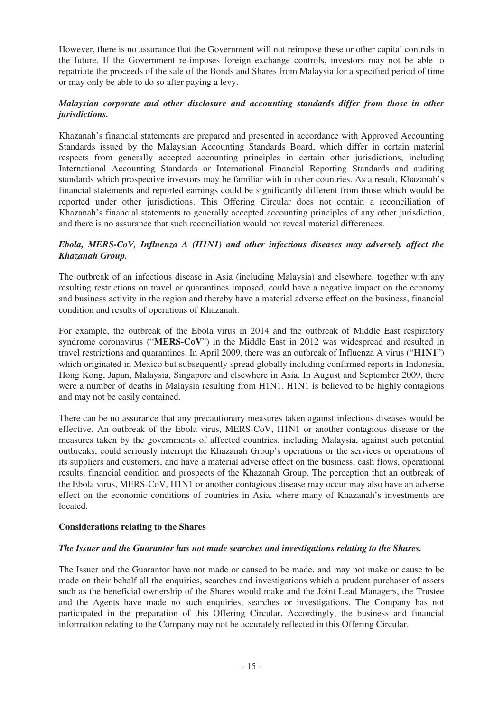However, there is no assurance that the Government will not reimpose these or other capital controls in the future. If the Government re-imposes foreign exchange controls, investors may not be able to repatriate the proceeds of the sale of the Bonds and Shares from Malaysia for a specified period of time or may only be able to do so after paying a levy.

## *Malaysian corporate and other disclosure and accounting standards differ from those in other jurisdictions.*

Khazanah's financial statements are prepared and presented in accordance with Approved Accounting Standards issued by the Malaysian Accounting Standards Board, which differ in certain material respects from generally accepted accounting principles in certain other jurisdictions, including International Accounting Standards or International Financial Reporting Standards and auditing standards which prospective investors may be familiar with in other countries. As a result, Khazanah's financial statements and reported earnings could be significantly different from those which would be reported under other jurisdictions. This Offering Circular does not contain a reconciliation of Khazanah's financial statements to generally accepted accounting principles of any other jurisdiction, and there is no assurance that such reconciliation would not reveal material differences.

## *Ebola, MERS-CoV, Influenza A (H1N1) and other infectious diseases may adversely affect the Khazanah Group.*

The outbreak of an infectious disease in Asia (including Malaysia) and elsewhere, together with any resulting restrictions on travel or quarantines imposed, could have a negative impact on the economy and business activity in the region and thereby have a material adverse effect on the business, financial condition and results of operations of Khazanah.

For example, the outbreak of the Ebola virus in 2014 and the outbreak of Middle East respiratory syndrome coronavirus ("**MERS-CoV**") in the Middle East in 2012 was widespread and resulted in travel restrictions and quarantines. In April 2009, there was an outbreak of Influenza A virus ("**H1N1**") which originated in Mexico but subsequently spread globally including confirmed reports in Indonesia, Hong Kong, Japan, Malaysia, Singapore and elsewhere in Asia. In August and September 2009, there were a number of deaths in Malaysia resulting from H1N1. H1N1 is believed to be highly contagious and may not be easily contained.

There can be no assurance that any precautionary measures taken against infectious diseases would be effective. An outbreak of the Ebola virus, MERS-CoV, H1N1 or another contagious disease or the measures taken by the governments of affected countries, including Malaysia, against such potential outbreaks, could seriously interrupt the Khazanah Group's operations or the services or operations of its suppliers and customers, and have a material adverse effect on the business, cash flows, operational results, financial condition and prospects of the Khazanah Group. The perception that an outbreak of the Ebola virus, MERS-CoV, H1N1 or another contagious disease may occur may also have an adverse effect on the economic conditions of countries in Asia, where many of Khazanah's investments are **located** 

## **Considerations relating to the Shares**

#### *The Issuer and the Guarantor has not made searches and investigations relating to the Shares.*

The Issuer and the Guarantor have not made or caused to be made, and may not make or cause to be made on their behalf all the enquiries, searches and investigations which a prudent purchaser of assets such as the beneficial ownership of the Shares would make and the Joint Lead Managers, the Trustee and the Agents have made no such enquiries, searches or investigations. The Company has not participated in the preparation of this Offering Circular. Accordingly, the business and financial information relating to the Company may not be accurately reflected in this Offering Circular.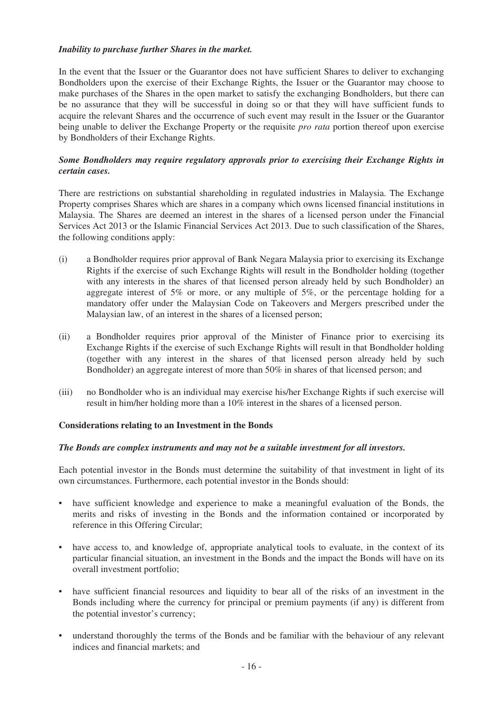## *Inability to purchase further Shares in the market.*

In the event that the Issuer or the Guarantor does not have sufficient Shares to deliver to exchanging Bondholders upon the exercise of their Exchange Rights, the Issuer or the Guarantor may choose to make purchases of the Shares in the open market to satisfy the exchanging Bondholders, but there can be no assurance that they will be successful in doing so or that they will have sufficient funds to acquire the relevant Shares and the occurrence of such event may result in the Issuer or the Guarantor being unable to deliver the Exchange Property or the requisite *pro rata* portion thereof upon exercise by Bondholders of their Exchange Rights.

## *Some Bondholders may require regulatory approvals prior to exercising their Exchange Rights in certain cases.*

There are restrictions on substantial shareholding in regulated industries in Malaysia. The Exchange Property comprises Shares which are shares in a company which owns licensed financial institutions in Malaysia. The Shares are deemed an interest in the shares of a licensed person under the Financial Services Act 2013 or the Islamic Financial Services Act 2013. Due to such classification of the Shares, the following conditions apply:

- (i) a Bondholder requires prior approval of Bank Negara Malaysia prior to exercising its Exchange Rights if the exercise of such Exchange Rights will result in the Bondholder holding (together with any interests in the shares of that licensed person already held by such Bondholder) an aggregate interest of 5% or more, or any multiple of 5%, or the percentage holding for a mandatory offer under the Malaysian Code on Takeovers and Mergers prescribed under the Malaysian law, of an interest in the shares of a licensed person;
- (ii) a Bondholder requires prior approval of the Minister of Finance prior to exercising its Exchange Rights if the exercise of such Exchange Rights will result in that Bondholder holding (together with any interest in the shares of that licensed person already held by such Bondholder) an aggregate interest of more than 50% in shares of that licensed person; and
- (iii) no Bondholder who is an individual may exercise his/her Exchange Rights if such exercise will result in him/her holding more than a 10% interest in the shares of a licensed person.

#### **Considerations relating to an Investment in the Bonds**

#### *The Bonds are complex instruments and may not be a suitable investment for all investors.*

Each potential investor in the Bonds must determine the suitability of that investment in light of its own circumstances. Furthermore, each potential investor in the Bonds should:

- have sufficient knowledge and experience to make a meaningful evaluation of the Bonds, the merits and risks of investing in the Bonds and the information contained or incorporated by reference in this Offering Circular;
- have access to, and knowledge of, appropriate analytical tools to evaluate, in the context of its particular financial situation, an investment in the Bonds and the impact the Bonds will have on its overall investment portfolio;
- have sufficient financial resources and liquidity to bear all of the risks of an investment in the Bonds including where the currency for principal or premium payments (if any) is different from the potential investor's currency;
- understand thoroughly the terms of the Bonds and be familiar with the behaviour of any relevant indices and financial markets; and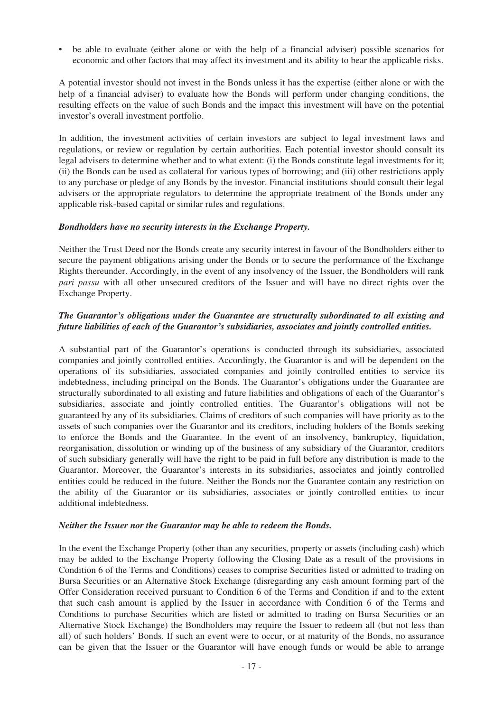• be able to evaluate (either alone or with the help of a financial adviser) possible scenarios for economic and other factors that may affect its investment and its ability to bear the applicable risks.

A potential investor should not invest in the Bonds unless it has the expertise (either alone or with the help of a financial adviser) to evaluate how the Bonds will perform under changing conditions, the resulting effects on the value of such Bonds and the impact this investment will have on the potential investor's overall investment portfolio.

In addition, the investment activities of certain investors are subject to legal investment laws and regulations, or review or regulation by certain authorities. Each potential investor should consult its legal advisers to determine whether and to what extent: (i) the Bonds constitute legal investments for it; (ii) the Bonds can be used as collateral for various types of borrowing; and (iii) other restrictions apply to any purchase or pledge of any Bonds by the investor. Financial institutions should consult their legal advisers or the appropriate regulators to determine the appropriate treatment of the Bonds under any applicable risk-based capital or similar rules and regulations.

#### *Bondholders have no security interests in the Exchange Property.*

Neither the Trust Deed nor the Bonds create any security interest in favour of the Bondholders either to secure the payment obligations arising under the Bonds or to secure the performance of the Exchange Rights thereunder. Accordingly, in the event of any insolvency of the Issuer, the Bondholders will rank *pari passu* with all other unsecured creditors of the Issuer and will have no direct rights over the Exchange Property.

## *The Guarantor's obligations under the Guarantee are structurally subordinated to all existing and future liabilities of each of the Guarantor's subsidiaries, associates and jointly controlled entities.*

A substantial part of the Guarantor's operations is conducted through its subsidiaries, associated companies and jointly controlled entities. Accordingly, the Guarantor is and will be dependent on the operations of its subsidiaries, associated companies and jointly controlled entities to service its indebtedness, including principal on the Bonds. The Guarantor's obligations under the Guarantee are structurally subordinated to all existing and future liabilities and obligations of each of the Guarantor's subsidiaries, associate and jointly controlled entities. The Guarantor's obligations will not be guaranteed by any of its subsidiaries. Claims of creditors of such companies will have priority as to the assets of such companies over the Guarantor and its creditors, including holders of the Bonds seeking to enforce the Bonds and the Guarantee. In the event of an insolvency, bankruptcy, liquidation, reorganisation, dissolution or winding up of the business of any subsidiary of the Guarantor, creditors of such subsidiary generally will have the right to be paid in full before any distribution is made to the Guarantor. Moreover, the Guarantor's interests in its subsidiaries, associates and jointly controlled entities could be reduced in the future. Neither the Bonds nor the Guarantee contain any restriction on the ability of the Guarantor or its subsidiaries, associates or jointly controlled entities to incur additional indebtedness.

#### *Neither the Issuer nor the Guarantor may be able to redeem the Bonds.*

In the event the Exchange Property (other than any securities, property or assets (including cash) which may be added to the Exchange Property following the Closing Date as a result of the provisions in Condition 6 of the Terms and Conditions) ceases to comprise Securities listed or admitted to trading on Bursa Securities or an Alternative Stock Exchange (disregarding any cash amount forming part of the Offer Consideration received pursuant to Condition 6 of the Terms and Condition if and to the extent that such cash amount is applied by the Issuer in accordance with Condition 6 of the Terms and Conditions to purchase Securities which are listed or admitted to trading on Bursa Securities or an Alternative Stock Exchange) the Bondholders may require the Issuer to redeem all (but not less than all) of such holders' Bonds. If such an event were to occur, or at maturity of the Bonds, no assurance can be given that the Issuer or the Guarantor will have enough funds or would be able to arrange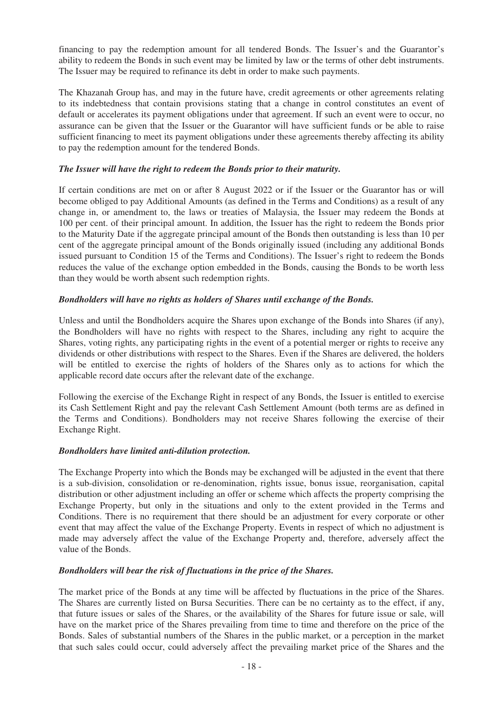financing to pay the redemption amount for all tendered Bonds. The Issuer's and the Guarantor's ability to redeem the Bonds in such event may be limited by law or the terms of other debt instruments. The Issuer may be required to refinance its debt in order to make such payments.

The Khazanah Group has, and may in the future have, credit agreements or other agreements relating to its indebtedness that contain provisions stating that a change in control constitutes an event of default or accelerates its payment obligations under that agreement. If such an event were to occur, no assurance can be given that the Issuer or the Guarantor will have sufficient funds or be able to raise sufficient financing to meet its payment obligations under these agreements thereby affecting its ability to pay the redemption amount for the tendered Bonds.

## *The Issuer will have the right to redeem the Bonds prior to their maturity.*

If certain conditions are met on or after 8 August 2022 or if the Issuer or the Guarantor has or will become obliged to pay Additional Amounts (as defined in the Terms and Conditions) as a result of any change in, or amendment to, the laws or treaties of Malaysia, the Issuer may redeem the Bonds at 100 per cent. of their principal amount. In addition, the Issuer has the right to redeem the Bonds prior to the Maturity Date if the aggregate principal amount of the Bonds then outstanding is less than 10 per cent of the aggregate principal amount of the Bonds originally issued (including any additional Bonds issued pursuant to Condition 15 of the Terms and Conditions). The Issuer's right to redeem the Bonds reduces the value of the exchange option embedded in the Bonds, causing the Bonds to be worth less than they would be worth absent such redemption rights.

## *Bondholders will have no rights as holders of Shares until exchange of the Bonds.*

Unless and until the Bondholders acquire the Shares upon exchange of the Bonds into Shares (if any), the Bondholders will have no rights with respect to the Shares, including any right to acquire the Shares, voting rights, any participating rights in the event of a potential merger or rights to receive any dividends or other distributions with respect to the Shares. Even if the Shares are delivered, the holders will be entitled to exercise the rights of holders of the Shares only as to actions for which the applicable record date occurs after the relevant date of the exchange.

Following the exercise of the Exchange Right in respect of any Bonds, the Issuer is entitled to exercise its Cash Settlement Right and pay the relevant Cash Settlement Amount (both terms are as defined in the Terms and Conditions). Bondholders may not receive Shares following the exercise of their Exchange Right.

#### *Bondholders have limited anti-dilution protection.*

The Exchange Property into which the Bonds may be exchanged will be adjusted in the event that there is a sub-division, consolidation or re-denomination, rights issue, bonus issue, reorganisation, capital distribution or other adjustment including an offer or scheme which affects the property comprising the Exchange Property, but only in the situations and only to the extent provided in the Terms and Conditions. There is no requirement that there should be an adjustment for every corporate or other event that may affect the value of the Exchange Property. Events in respect of which no adjustment is made may adversely affect the value of the Exchange Property and, therefore, adversely affect the value of the Bonds.

#### *Bondholders will bear the risk of fluctuations in the price of the Shares.*

The market price of the Bonds at any time will be affected by fluctuations in the price of the Shares. The Shares are currently listed on Bursa Securities. There can be no certainty as to the effect, if any, that future issues or sales of the Shares, or the availability of the Shares for future issue or sale, will have on the market price of the Shares prevailing from time to time and therefore on the price of the Bonds. Sales of substantial numbers of the Shares in the public market, or a perception in the market that such sales could occur, could adversely affect the prevailing market price of the Shares and the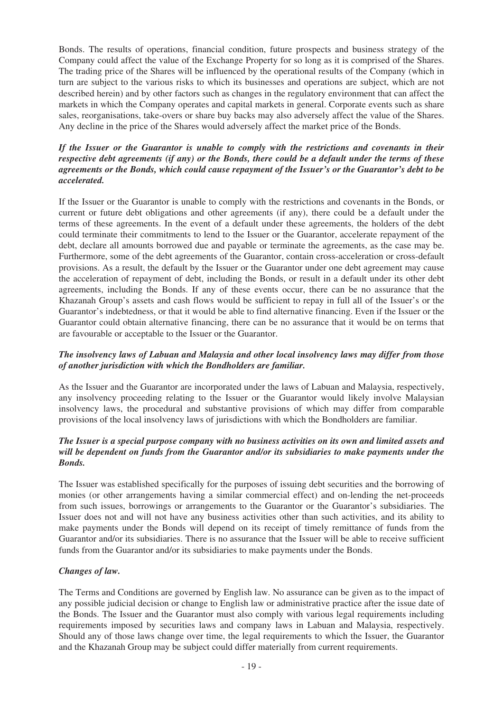Bonds. The results of operations, financial condition, future prospects and business strategy of the Company could affect the value of the Exchange Property for so long as it is comprised of the Shares. The trading price of the Shares will be influenced by the operational results of the Company (which in turn are subject to the various risks to which its businesses and operations are subject, which are not described herein) and by other factors such as changes in the regulatory environment that can affect the markets in which the Company operates and capital markets in general. Corporate events such as share sales, reorganisations, take-overs or share buy backs may also adversely affect the value of the Shares. Any decline in the price of the Shares would adversely affect the market price of the Bonds.

## *If the Issuer or the Guarantor is unable to comply with the restrictions and covenants in their respective debt agreements (if any) or the Bonds, there could be a default under the terms of these agreements or the Bonds, which could cause repayment of the Issuer's or the Guarantor's debt to be accelerated.*

If the Issuer or the Guarantor is unable to comply with the restrictions and covenants in the Bonds, or current or future debt obligations and other agreements (if any), there could be a default under the terms of these agreements. In the event of a default under these agreements, the holders of the debt could terminate their commitments to lend to the Issuer or the Guarantor, accelerate repayment of the debt, declare all amounts borrowed due and payable or terminate the agreements, as the case may be. Furthermore, some of the debt agreements of the Guarantor, contain cross-acceleration or cross-default provisions. As a result, the default by the Issuer or the Guarantor under one debt agreement may cause the acceleration of repayment of debt, including the Bonds, or result in a default under its other debt agreements, including the Bonds. If any of these events occur, there can be no assurance that the Khazanah Group's assets and cash flows would be sufficient to repay in full all of the Issuer's or the Guarantor's indebtedness, or that it would be able to find alternative financing. Even if the Issuer or the Guarantor could obtain alternative financing, there can be no assurance that it would be on terms that are favourable or acceptable to the Issuer or the Guarantor.

## *The insolvency laws of Labuan and Malaysia and other local insolvency laws may differ from those of another jurisdiction with which the Bondholders are familiar.*

As the Issuer and the Guarantor are incorporated under the laws of Labuan and Malaysia, respectively, any insolvency proceeding relating to the Issuer or the Guarantor would likely involve Malaysian insolvency laws, the procedural and substantive provisions of which may differ from comparable provisions of the local insolvency laws of jurisdictions with which the Bondholders are familiar.

## *The Issuer is a special purpose company with no business activities on its own and limited assets and will be dependent on funds from the Guarantor and/or its subsidiaries to make payments under the Bonds.*

The Issuer was established specifically for the purposes of issuing debt securities and the borrowing of monies (or other arrangements having a similar commercial effect) and on-lending the net-proceeds from such issues, borrowings or arrangements to the Guarantor or the Guarantor's subsidiaries. The Issuer does not and will not have any business activities other than such activities, and its ability to make payments under the Bonds will depend on its receipt of timely remittance of funds from the Guarantor and/or its subsidiaries. There is no assurance that the Issuer will be able to receive sufficient funds from the Guarantor and/or its subsidiaries to make payments under the Bonds.

## *Changes of law.*

The Terms and Conditions are governed by English law. No assurance can be given as to the impact of any possible judicial decision or change to English law or administrative practice after the issue date of the Bonds. The Issuer and the Guarantor must also comply with various legal requirements including requirements imposed by securities laws and company laws in Labuan and Malaysia, respectively. Should any of those laws change over time, the legal requirements to which the Issuer, the Guarantor and the Khazanah Group may be subject could differ materially from current requirements.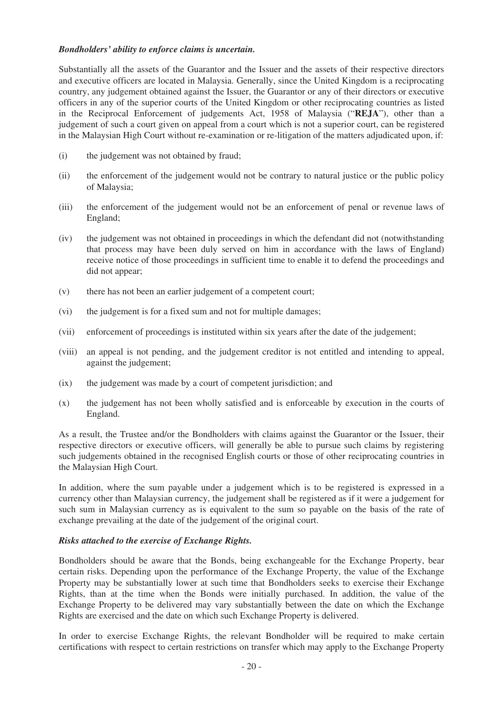## *Bondholders' ability to enforce claims is uncertain.*

Substantially all the assets of the Guarantor and the Issuer and the assets of their respective directors and executive officers are located in Malaysia. Generally, since the United Kingdom is a reciprocating country, any judgement obtained against the Issuer, the Guarantor or any of their directors or executive officers in any of the superior courts of the United Kingdom or other reciprocating countries as listed in the Reciprocal Enforcement of judgements Act, 1958 of Malaysia ("**REJA**"), other than a judgement of such a court given on appeal from a court which is not a superior court, can be registered in the Malaysian High Court without re-examination or re-litigation of the matters adjudicated upon, if:

- (i) the judgement was not obtained by fraud;
- (ii) the enforcement of the judgement would not be contrary to natural justice or the public policy of Malaysia;
- (iii) the enforcement of the judgement would not be an enforcement of penal or revenue laws of England;
- (iv) the judgement was not obtained in proceedings in which the defendant did not (notwithstanding that process may have been duly served on him in accordance with the laws of England) receive notice of those proceedings in sufficient time to enable it to defend the proceedings and did not appear:
- (v) there has not been an earlier judgement of a competent court;
- (vi) the judgement is for a fixed sum and not for multiple damages;
- (vii) enforcement of proceedings is instituted within six years after the date of the judgement;
- (viii) an appeal is not pending, and the judgement creditor is not entitled and intending to appeal, against the judgement;
- (ix) the judgement was made by a court of competent jurisdiction; and
- (x) the judgement has not been wholly satisfied and is enforceable by execution in the courts of England.

As a result, the Trustee and/or the Bondholders with claims against the Guarantor or the Issuer, their respective directors or executive officers, will generally be able to pursue such claims by registering such judgements obtained in the recognised English courts or those of other reciprocating countries in the Malaysian High Court.

In addition, where the sum payable under a judgement which is to be registered is expressed in a currency other than Malaysian currency, the judgement shall be registered as if it were a judgement for such sum in Malaysian currency as is equivalent to the sum so payable on the basis of the rate of exchange prevailing at the date of the judgement of the original court.

## *Risks attached to the exercise of Exchange Rights.*

Bondholders should be aware that the Bonds, being exchangeable for the Exchange Property, bear certain risks. Depending upon the performance of the Exchange Property, the value of the Exchange Property may be substantially lower at such time that Bondholders seeks to exercise their Exchange Rights, than at the time when the Bonds were initially purchased. In addition, the value of the Exchange Property to be delivered may vary substantially between the date on which the Exchange Rights are exercised and the date on which such Exchange Property is delivered.

In order to exercise Exchange Rights, the relevant Bondholder will be required to make certain certifications with respect to certain restrictions on transfer which may apply to the Exchange Property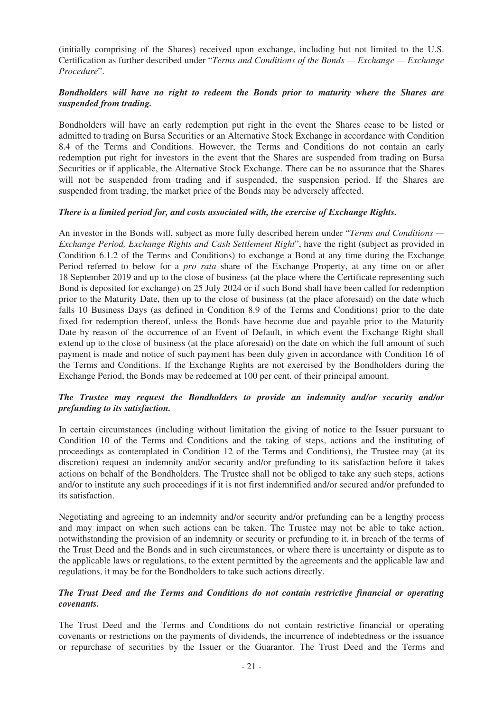(initially comprising of the Shares) received upon exchange, including but not limited to the U.S. Certification as further described under "*Terms and Conditions of the Bonds — Exchange — Exchange Procedure*".

## *Bondholders will have no right to redeem the Bonds prior to maturity where the Shares are suspended from trading.*

Bondholders will have an early redemption put right in the event the Shares cease to be listed or admitted to trading on Bursa Securities or an Alternative Stock Exchange in accordance with Condition 8.4 of the Terms and Conditions. However, the Terms and Conditions do not contain an early redemption put right for investors in the event that the Shares are suspended from trading on Bursa Securities or if applicable, the Alternative Stock Exchange. There can be no assurance that the Shares will not be suspended from trading and if suspended, the suspension period. If the Shares are suspended from trading, the market price of the Bonds may be adversely affected.

## *There is a limited period for, and costs associated with, the exercise of Exchange Rights.*

An investor in the Bonds will, subject as more fully described herein under "*Terms and Conditions — Exchange Period, Exchange Rights and Cash Settlement Right*", have the right (subject as provided in Condition 6.1.2 of the Terms and Conditions) to exchange a Bond at any time during the Exchange Period referred to below for a *pro rata* share of the Exchange Property, at any time on or after 18 September 2019 and up to the close of business (at the place where the Certificate representing such Bond is deposited for exchange) on 25 July 2024 or if such Bond shall have been called for redemption prior to the Maturity Date, then up to the close of business (at the place aforesaid) on the date which falls 10 Business Days (as defined in Condition 8.9 of the Terms and Conditions) prior to the date fixed for redemption thereof, unless the Bonds have become due and payable prior to the Maturity Date by reason of the occurrence of an Event of Default, in which event the Exchange Right shall extend up to the close of business (at the place aforesaid) on the date on which the full amount of such payment is made and notice of such payment has been duly given in accordance with Condition 16 of the Terms and Conditions. If the Exchange Rights are not exercised by the Bondholders during the Exchange Period, the Bonds may be redeemed at 100 per cent. of their principal amount.

## *The Trustee may request the Bondholders to provide an indemnity and/or security and/or prefunding to its satisfaction.*

In certain circumstances (including without limitation the giving of notice to the Issuer pursuant to Condition 10 of the Terms and Conditions and the taking of steps, actions and the instituting of proceedings as contemplated in Condition 12 of the Terms and Conditions), the Trustee may (at its discretion) request an indemnity and/or security and/or prefunding to its satisfaction before it takes actions on behalf of the Bondholders. The Trustee shall not be obliged to take any such steps, actions and/or to institute any such proceedings if it is not first indemnified and/or secured and/or prefunded to its satisfaction.

Negotiating and agreeing to an indemnity and/or security and/or prefunding can be a lengthy process and may impact on when such actions can be taken. The Trustee may not be able to take action, notwithstanding the provision of an indemnity or security or prefunding to it, in breach of the terms of the Trust Deed and the Bonds and in such circumstances, or where there is uncertainty or dispute as to the applicable laws or regulations, to the extent permitted by the agreements and the applicable law and regulations, it may be for the Bondholders to take such actions directly.

## *The Trust Deed and the Terms and Conditions do not contain restrictive financial or operating covenants.*

The Trust Deed and the Terms and Conditions do not contain restrictive financial or operating covenants or restrictions on the payments of dividends, the incurrence of indebtedness or the issuance or repurchase of securities by the Issuer or the Guarantor. The Trust Deed and the Terms and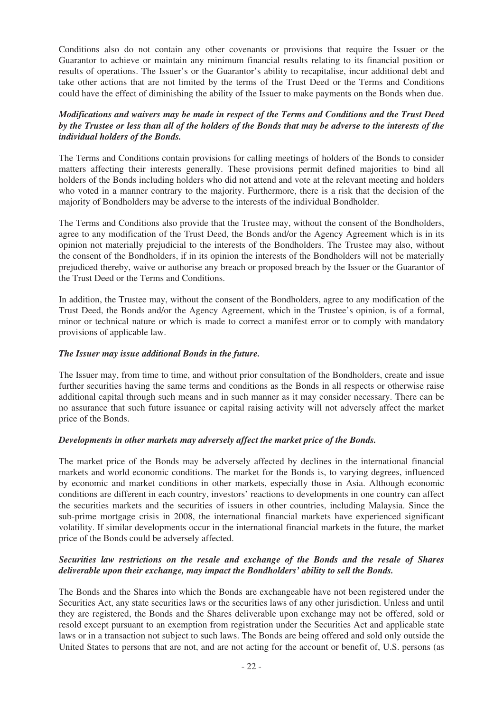Conditions also do not contain any other covenants or provisions that require the Issuer or the Guarantor to achieve or maintain any minimum financial results relating to its financial position or results of operations. The Issuer's or the Guarantor's ability to recapitalise, incur additional debt and take other actions that are not limited by the terms of the Trust Deed or the Terms and Conditions could have the effect of diminishing the ability of the Issuer to make payments on the Bonds when due.

## *Modifications and waivers may be made in respect of the Terms and Conditions and the Trust Deed by the Trustee or less than all of the holders of the Bonds that may be adverse to the interests of the individual holders of the Bonds.*

The Terms and Conditions contain provisions for calling meetings of holders of the Bonds to consider matters affecting their interests generally. These provisions permit defined majorities to bind all holders of the Bonds including holders who did not attend and vote at the relevant meeting and holders who voted in a manner contrary to the majority. Furthermore, there is a risk that the decision of the majority of Bondholders may be adverse to the interests of the individual Bondholder.

The Terms and Conditions also provide that the Trustee may, without the consent of the Bondholders, agree to any modification of the Trust Deed, the Bonds and/or the Agency Agreement which is in its opinion not materially prejudicial to the interests of the Bondholders. The Trustee may also, without the consent of the Bondholders, if in its opinion the interests of the Bondholders will not be materially prejudiced thereby, waive or authorise any breach or proposed breach by the Issuer or the Guarantor of the Trust Deed or the Terms and Conditions.

In addition, the Trustee may, without the consent of the Bondholders, agree to any modification of the Trust Deed, the Bonds and/or the Agency Agreement, which in the Trustee's opinion, is of a formal, minor or technical nature or which is made to correct a manifest error or to comply with mandatory provisions of applicable law.

## *The Issuer may issue additional Bonds in the future.*

The Issuer may, from time to time, and without prior consultation of the Bondholders, create and issue further securities having the same terms and conditions as the Bonds in all respects or otherwise raise additional capital through such means and in such manner as it may consider necessary. There can be no assurance that such future issuance or capital raising activity will not adversely affect the market price of the Bonds.

## *Developments in other markets may adversely affect the market price of the Bonds.*

The market price of the Bonds may be adversely affected by declines in the international financial markets and world economic conditions. The market for the Bonds is, to varying degrees, influenced by economic and market conditions in other markets, especially those in Asia. Although economic conditions are different in each country, investors' reactions to developments in one country can affect the securities markets and the securities of issuers in other countries, including Malaysia. Since the sub-prime mortgage crisis in 2008, the international financial markets have experienced significant volatility. If similar developments occur in the international financial markets in the future, the market price of the Bonds could be adversely affected.

## *Securities law restrictions on the resale and exchange of the Bonds and the resale of Shares deliverable upon their exchange, may impact the Bondholders' ability to sell the Bonds.*

The Bonds and the Shares into which the Bonds are exchangeable have not been registered under the Securities Act, any state securities laws or the securities laws of any other jurisdiction. Unless and until they are registered, the Bonds and the Shares deliverable upon exchange may not be offered, sold or resold except pursuant to an exemption from registration under the Securities Act and applicable state laws or in a transaction not subject to such laws. The Bonds are being offered and sold only outside the United States to persons that are not, and are not acting for the account or benefit of, U.S. persons (as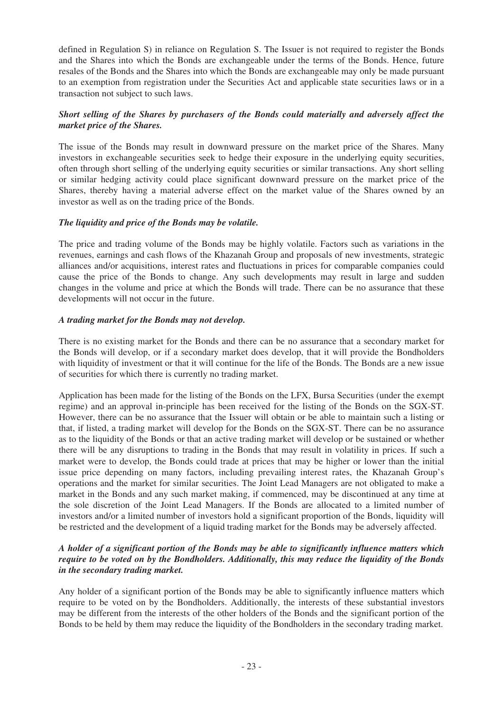defined in Regulation S) in reliance on Regulation S. The Issuer is not required to register the Bonds and the Shares into which the Bonds are exchangeable under the terms of the Bonds. Hence, future resales of the Bonds and the Shares into which the Bonds are exchangeable may only be made pursuant to an exemption from registration under the Securities Act and applicable state securities laws or in a transaction not subject to such laws.

## *Short selling of the Shares by purchasers of the Bonds could materially and adversely affect the market price of the Shares.*

The issue of the Bonds may result in downward pressure on the market price of the Shares. Many investors in exchangeable securities seek to hedge their exposure in the underlying equity securities, often through short selling of the underlying equity securities or similar transactions. Any short selling or similar hedging activity could place significant downward pressure on the market price of the Shares, thereby having a material adverse effect on the market value of the Shares owned by an investor as well as on the trading price of the Bonds.

## *The liquidity and price of the Bonds may be volatile.*

The price and trading volume of the Bonds may be highly volatile. Factors such as variations in the revenues, earnings and cash flows of the Khazanah Group and proposals of new investments, strategic alliances and/or acquisitions, interest rates and fluctuations in prices for comparable companies could cause the price of the Bonds to change. Any such developments may result in large and sudden changes in the volume and price at which the Bonds will trade. There can be no assurance that these developments will not occur in the future.

## *A trading market for the Bonds may not develop.*

There is no existing market for the Bonds and there can be no assurance that a secondary market for the Bonds will develop, or if a secondary market does develop, that it will provide the Bondholders with liquidity of investment or that it will continue for the life of the Bonds. The Bonds are a new issue of securities for which there is currently no trading market.

Application has been made for the listing of the Bonds on the LFX, Bursa Securities (under the exempt regime) and an approval in-principle has been received for the listing of the Bonds on the SGX-ST. However, there can be no assurance that the Issuer will obtain or be able to maintain such a listing or that, if listed, a trading market will develop for the Bonds on the SGX-ST. There can be no assurance as to the liquidity of the Bonds or that an active trading market will develop or be sustained or whether there will be any disruptions to trading in the Bonds that may result in volatility in prices. If such a market were to develop, the Bonds could trade at prices that may be higher or lower than the initial issue price depending on many factors, including prevailing interest rates, the Khazanah Group's operations and the market for similar securities. The Joint Lead Managers are not obligated to make a market in the Bonds and any such market making, if commenced, may be discontinued at any time at the sole discretion of the Joint Lead Managers. If the Bonds are allocated to a limited number of investors and/or a limited number of investors hold a significant proportion of the Bonds, liquidity will be restricted and the development of a liquid trading market for the Bonds may be adversely affected.

## *A holder of a significant portion of the Bonds may be able to significantly influence matters which require to be voted on by the Bondholders. Additionally, this may reduce the liquidity of the Bonds in the secondary trading market.*

Any holder of a significant portion of the Bonds may be able to significantly influence matters which require to be voted on by the Bondholders. Additionally, the interests of these substantial investors may be different from the interests of the other holders of the Bonds and the significant portion of the Bonds to be held by them may reduce the liquidity of the Bondholders in the secondary trading market.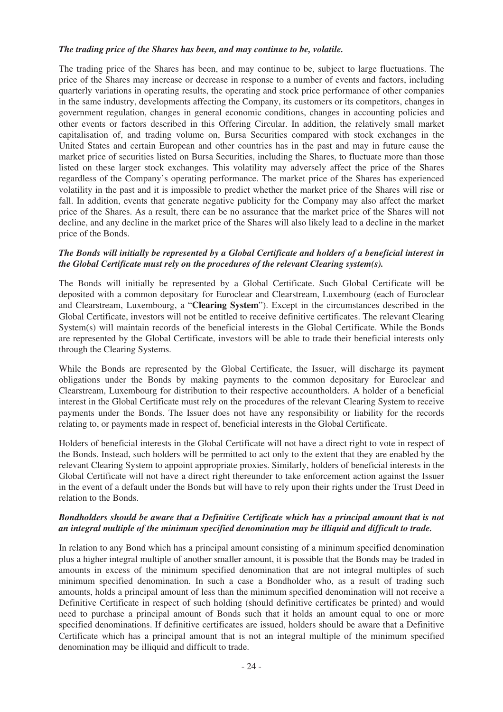## *The trading price of the Shares has been, and may continue to be, volatile.*

The trading price of the Shares has been, and may continue to be, subject to large fluctuations. The price of the Shares may increase or decrease in response to a number of events and factors, including quarterly variations in operating results, the operating and stock price performance of other companies in the same industry, developments affecting the Company, its customers or its competitors, changes in government regulation, changes in general economic conditions, changes in accounting policies and other events or factors described in this Offering Circular. In addition, the relatively small market capitalisation of, and trading volume on, Bursa Securities compared with stock exchanges in the United States and certain European and other countries has in the past and may in future cause the market price of securities listed on Bursa Securities, including the Shares, to fluctuate more than those listed on these larger stock exchanges. This volatility may adversely affect the price of the Shares regardless of the Company's operating performance. The market price of the Shares has experienced volatility in the past and it is impossible to predict whether the market price of the Shares will rise or fall. In addition, events that generate negative publicity for the Company may also affect the market price of the Shares. As a result, there can be no assurance that the market price of the Shares will not decline, and any decline in the market price of the Shares will also likely lead to a decline in the market price of the Bonds.

### *The Bonds will initially be represented by a Global Certificate and holders of a beneficial interest in the Global Certificate must rely on the procedures of the relevant Clearing system(s).*

The Bonds will initially be represented by a Global Certificate. Such Global Certificate will be deposited with a common depositary for Euroclear and Clearstream, Luxembourg (each of Euroclear and Clearstream, Luxembourg, a "**Clearing System**"). Except in the circumstances described in the Global Certificate, investors will not be entitled to receive definitive certificates. The relevant Clearing System(s) will maintain records of the beneficial interests in the Global Certificate. While the Bonds are represented by the Global Certificate, investors will be able to trade their beneficial interests only through the Clearing Systems.

While the Bonds are represented by the Global Certificate, the Issuer, will discharge its payment obligations under the Bonds by making payments to the common depositary for Euroclear and Clearstream, Luxembourg for distribution to their respective accountholders. A holder of a beneficial interest in the Global Certificate must rely on the procedures of the relevant Clearing System to receive payments under the Bonds. The Issuer does not have any responsibility or liability for the records relating to, or payments made in respect of, beneficial interests in the Global Certificate.

Holders of beneficial interests in the Global Certificate will not have a direct right to vote in respect of the Bonds. Instead, such holders will be permitted to act only to the extent that they are enabled by the relevant Clearing System to appoint appropriate proxies. Similarly, holders of beneficial interests in the Global Certificate will not have a direct right thereunder to take enforcement action against the Issuer in the event of a default under the Bonds but will have to rely upon their rights under the Trust Deed in relation to the Bonds.

## *Bondholders should be aware that a Definitive Certificate which has a principal amount that is not an integral multiple of the minimum specified denomination may be illiquid and difficult to trade.*

In relation to any Bond which has a principal amount consisting of a minimum specified denomination plus a higher integral multiple of another smaller amount, it is possible that the Bonds may be traded in amounts in excess of the minimum specified denomination that are not integral multiples of such minimum specified denomination. In such a case a Bondholder who, as a result of trading such amounts, holds a principal amount of less than the minimum specified denomination will not receive a Definitive Certificate in respect of such holding (should definitive certificates be printed) and would need to purchase a principal amount of Bonds such that it holds an amount equal to one or more specified denominations. If definitive certificates are issued, holders should be aware that a Definitive Certificate which has a principal amount that is not an integral multiple of the minimum specified denomination may be illiquid and difficult to trade.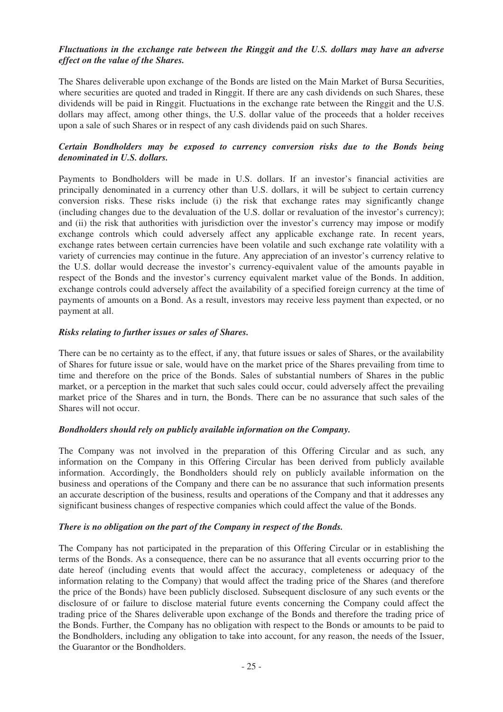## *Fluctuations in the exchange rate between the Ringgit and the U.S. dollars may have an adverse effect on the value of the Shares.*

The Shares deliverable upon exchange of the Bonds are listed on the Main Market of Bursa Securities, where securities are quoted and traded in Ringgit. If there are any cash dividends on such Shares, these dividends will be paid in Ringgit. Fluctuations in the exchange rate between the Ringgit and the U.S. dollars may affect, among other things, the U.S. dollar value of the proceeds that a holder receives upon a sale of such Shares or in respect of any cash dividends paid on such Shares.

## *Certain Bondholders may be exposed to currency conversion risks due to the Bonds being denominated in U.S. dollars.*

Payments to Bondholders will be made in U.S. dollars. If an investor's financial activities are principally denominated in a currency other than U.S. dollars, it will be subject to certain currency conversion risks. These risks include (i) the risk that exchange rates may significantly change (including changes due to the devaluation of the U.S. dollar or revaluation of the investor's currency); and (ii) the risk that authorities with jurisdiction over the investor's currency may impose or modify exchange controls which could adversely affect any applicable exchange rate. In recent years, exchange rates between certain currencies have been volatile and such exchange rate volatility with a variety of currencies may continue in the future. Any appreciation of an investor's currency relative to the U.S. dollar would decrease the investor's currency-equivalent value of the amounts payable in respect of the Bonds and the investor's currency equivalent market value of the Bonds. In addition, exchange controls could adversely affect the availability of a specified foreign currency at the time of payments of amounts on a Bond. As a result, investors may receive less payment than expected, or no payment at all.

## *Risks relating to further issues or sales of Shares.*

There can be no certainty as to the effect, if any, that future issues or sales of Shares, or the availability of Shares for future issue or sale, would have on the market price of the Shares prevailing from time to time and therefore on the price of the Bonds. Sales of substantial numbers of Shares in the public market, or a perception in the market that such sales could occur, could adversely affect the prevailing market price of the Shares and in turn, the Bonds. There can be no assurance that such sales of the Shares will not occur.

## *Bondholders should rely on publicly available information on the Company.*

The Company was not involved in the preparation of this Offering Circular and as such, any information on the Company in this Offering Circular has been derived from publicly available information. Accordingly, the Bondholders should rely on publicly available information on the business and operations of the Company and there can be no assurance that such information presents an accurate description of the business, results and operations of the Company and that it addresses any significant business changes of respective companies which could affect the value of the Bonds.

## *There is no obligation on the part of the Company in respect of the Bonds.*

The Company has not participated in the preparation of this Offering Circular or in establishing the terms of the Bonds. As a consequence, there can be no assurance that all events occurring prior to the date hereof (including events that would affect the accuracy, completeness or adequacy of the information relating to the Company) that would affect the trading price of the Shares (and therefore the price of the Bonds) have been publicly disclosed. Subsequent disclosure of any such events or the disclosure of or failure to disclose material future events concerning the Company could affect the trading price of the Shares deliverable upon exchange of the Bonds and therefore the trading price of the Bonds. Further, the Company has no obligation with respect to the Bonds or amounts to be paid to the Bondholders, including any obligation to take into account, for any reason, the needs of the Issuer, the Guarantor or the Bondholders.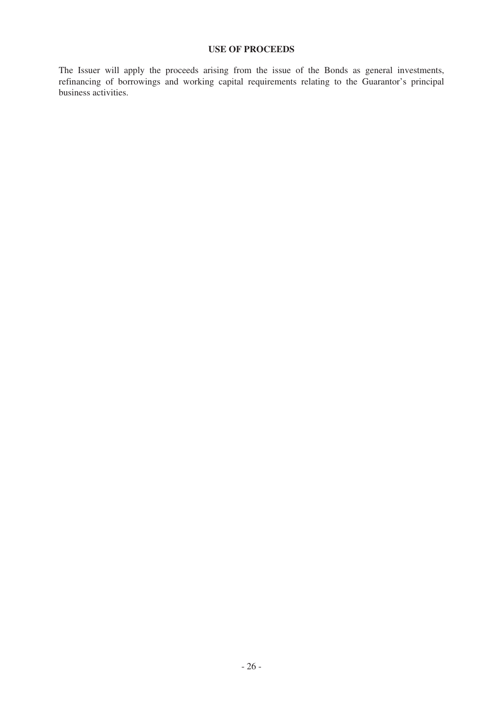## **USE OF PROCEEDS**

The Issuer will apply the proceeds arising from the issue of the Bonds as general investments, refinancing of borrowings and working capital requirements relating to the Guarantor's principal business activities.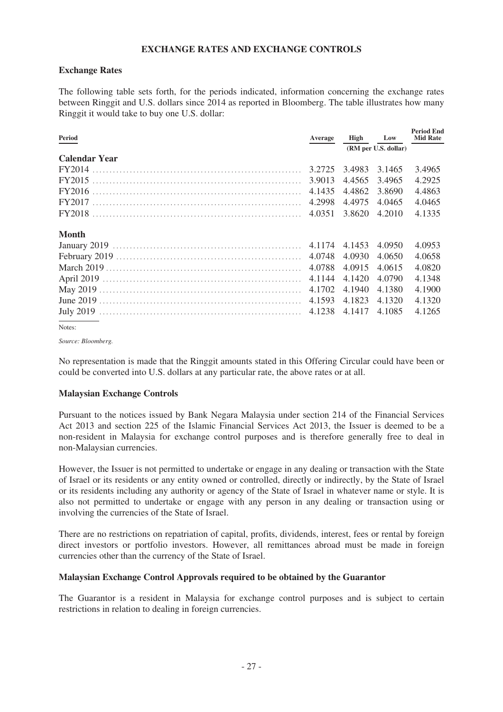## **EXCHANGE RATES AND EXCHANGE CONTROLS**

### **Exchange Rates**

The following table sets forth, for the periods indicated, information concerning the exchange rates between Ringgit and U.S. dollars since 2014 as reported in Bloomberg. The table illustrates how many Ringgit it would take to buy one U.S. dollar:

| Period               | Average | High                 | Low    | <b>Period End</b><br><b>Mid Rate</b> |
|----------------------|---------|----------------------|--------|--------------------------------------|
|                      |         | (RM per U.S. dollar) |        |                                      |
| <b>Calendar Year</b> |         |                      |        |                                      |
|                      |         | 3.4983               | 3.1465 | 3.4965                               |
|                      |         | 4.4565               | 3.4965 | 4.2925                               |
|                      |         | 4.4862               | 3.8690 | 4.4863                               |
|                      |         | 4.4975               | 4.0465 | 4.0465                               |
|                      |         | 3.8620               | 4.2010 | 4.1335                               |
| <b>Month</b>         |         |                      |        |                                      |
|                      |         | 4.1453               | 4.0950 | 4.0953                               |
|                      |         | 4.0930               | 4.0650 | 4.0658                               |
|                      |         | 4.0915               | 4.0615 | 4.0820                               |
|                      |         | 4.1420               | 4.0790 | 4.1348                               |
|                      |         | 4.1940               | 4.1380 | 4.1900                               |
|                      |         | 4.1823               | 4.1320 | 4.1320                               |
|                      |         | 4.1417               | 4.1085 | 4.1265                               |
|                      |         |                      |        |                                      |

Notes:

*Source: Bloomberg.*

No representation is made that the Ringgit amounts stated in this Offering Circular could have been or could be converted into U.S. dollars at any particular rate, the above rates or at all.

## **Malaysian Exchange Controls**

Pursuant to the notices issued by Bank Negara Malaysia under section 214 of the Financial Services Act 2013 and section 225 of the Islamic Financial Services Act 2013, the Issuer is deemed to be a non-resident in Malaysia for exchange control purposes and is therefore generally free to deal in non-Malaysian currencies.

However, the Issuer is not permitted to undertake or engage in any dealing or transaction with the State of Israel or its residents or any entity owned or controlled, directly or indirectly, by the State of Israel or its residents including any authority or agency of the State of Israel in whatever name or style. It is also not permitted to undertake or engage with any person in any dealing or transaction using or involving the currencies of the State of Israel.

There are no restrictions on repatriation of capital, profits, dividends, interest, fees or rental by foreign direct investors or portfolio investors. However, all remittances abroad must be made in foreign currencies other than the currency of the State of Israel.

## **Malaysian Exchange Control Approvals required to be obtained by the Guarantor**

The Guarantor is a resident in Malaysia for exchange control purposes and is subject to certain restrictions in relation to dealing in foreign currencies.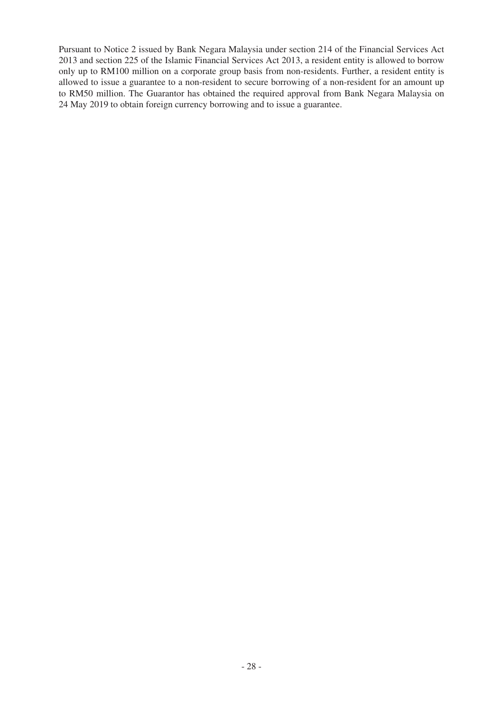Pursuant to Notice 2 issued by Bank Negara Malaysia under section 214 of the Financial Services Act 2013 and section 225 of the Islamic Financial Services Act 2013, a resident entity is allowed to borrow only up to RM100 million on a corporate group basis from non-residents. Further, a resident entity is allowed to issue a guarantee to a non-resident to secure borrowing of a non-resident for an amount up to RM50 million. The Guarantor has obtained the required approval from Bank Negara Malaysia on 24 May 2019 to obtain foreign currency borrowing and to issue a guarantee.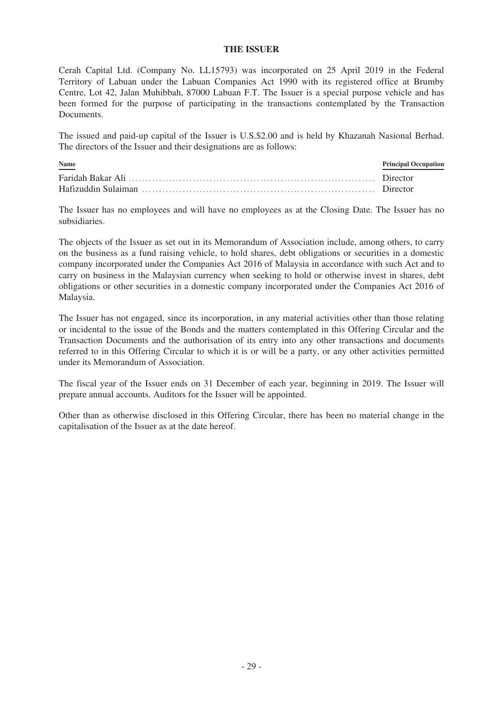#### **THE ISSUER**

Cerah Capital Ltd. (Company No. LL15793) was incorporated on 25 April 2019 in the Federal Territory of Labuan under the Labuan Companies Act 1990 with its registered office at Brumby Centre, Lot 42, Jalan Muhibbah, 87000 Labuan F.T. The Issuer is a special purpose vehicle and has been formed for the purpose of participating in the transactions contemplated by the Transaction Documents.

The issued and paid-up capital of the Issuer is U.S.\$2.00 and is held by Khazanah Nasional Berhad. The directors of the Issuer and their designations are as follows:

| Name | <b>Principal Occupation</b> |
|------|-----------------------------|
|      |                             |
|      |                             |

The Issuer has no employees and will have no employees as at the Closing Date. The Issuer has no subsidiaries.

The objects of the Issuer as set out in its Memorandum of Association include, among others, to carry on the business as a fund raising vehicle, to hold shares, debt obligations or securities in a domestic company incorporated under the Companies Act 2016 of Malaysia in accordance with such Act and to carry on business in the Malaysian currency when seeking to hold or otherwise invest in shares, debt obligations or other securities in a domestic company incorporated under the Companies Act 2016 of Malaysia.

The Issuer has not engaged, since its incorporation, in any material activities other than those relating or incidental to the issue of the Bonds and the matters contemplated in this Offering Circular and the Transaction Documents and the authorisation of its entry into any other transactions and documents referred to in this Offering Circular to which it is or will be a party, or any other activities permitted under its Memorandum of Association.

The fiscal year of the Issuer ends on 31 December of each year, beginning in 2019. The Issuer will prepare annual accounts. Auditors for the Issuer will be appointed.

Other than as otherwise disclosed in this Offering Circular, there has been no material change in the capitalisation of the Issuer as at the date hereof.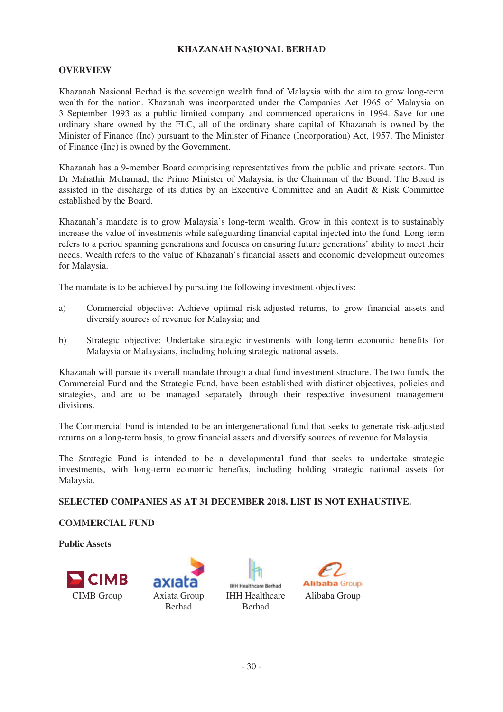## **KHAZANAH NASIONAL BERHAD**

## **OVERVIEW**

Khazanah Nasional Berhad is the sovereign wealth fund of Malaysia with the aim to grow long-term wealth for the nation. Khazanah was incorporated under the Companies Act 1965 of Malaysia on 3 September 1993 as a public limited company and commenced operations in 1994. Save for one ordinary share owned by the FLC, all of the ordinary share capital of Khazanah is owned by the Minister of Finance (Inc) pursuant to the Minister of Finance (Incorporation) Act, 1957. The Minister of Finance (Inc) is owned by the Government.

Khazanah has a 9-member Board comprising representatives from the public and private sectors. Tun Dr Mahathir Mohamad, the Prime Minister of Malaysia, is the Chairman of the Board. The Board is assisted in the discharge of its duties by an Executive Committee and an Audit & Risk Committee established by the Board.

Khazanah's mandate is to grow Malaysia's long-term wealth. Grow in this context is to sustainably increase the value of investments while safeguarding financial capital injected into the fund. Long-term refers to a period spanning generations and focuses on ensuring future generations' ability to meet their needs. Wealth refers to the value of Khazanah's financial assets and economic development outcomes for Malaysia.

The mandate is to be achieved by pursuing the following investment objectives:

- a) Commercial objective: Achieve optimal risk-adjusted returns, to grow financial assets and diversify sources of revenue for Malaysia; and
- b) Strategic objective: Undertake strategic investments with long-term economic benefits for Malaysia or Malaysians, including holding strategic national assets.

Khazanah will pursue its overall mandate through a dual fund investment structure. The two funds, the Commercial Fund and the Strategic Fund, have been established with distinct objectives, policies and strategies, and are to be managed separately through their respective investment management divisions.

The Commercial Fund is intended to be an intergenerational fund that seeks to generate risk-adjusted returns on a long-term basis, to grow financial assets and diversify sources of revenue for Malaysia.

The Strategic Fund is intended to be a developmental fund that seeks to undertake strategic investments, with long-term economic benefits, including holding strategic national assets for Malaysia.

### **SELECTED COMPANIES AS AT 31 DECEMBER 2018. LIST IS NOT EXHAUSTIVE.**

## **COMMERCIAL FUND**

**Public Assets**







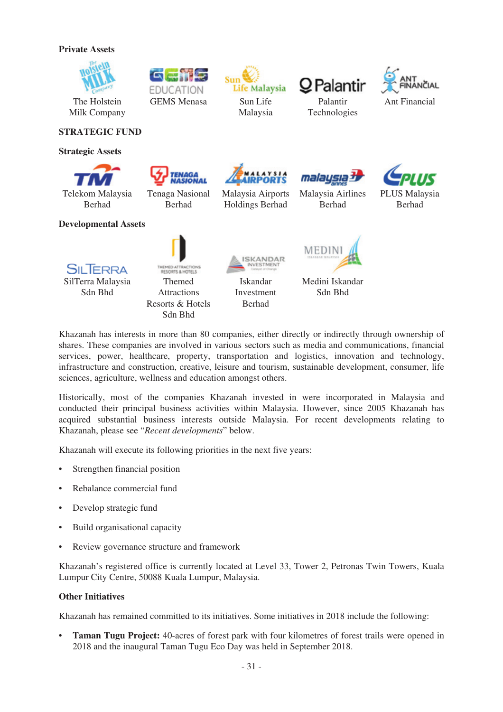### **Private Assets**



**EDUCATION** GEMS Menasa Sun Life



## **STRATEGIC FUND**

#### **Strategic Assets**

Telekom Malaysia Berhad



Tenaga Nasional Berhad



Malaysia

Life Malaysia

Malaysia Airports Holdings Berhad





Palantir



PLUS Malaysia Berhad

# **Developmental Assets**

Sdn Bhd



**Attractions** Resorts & Hotels Sdn Bhd



Iskandar Investment Berhad



Malaysia Airlines Berhad

mala

Medini Iskandar Sdn Bhd

Khazanah has interests in more than 80 companies, either directly or indirectly through ownership of shares. These companies are involved in various sectors such as media and communications, financial services, power, healthcare, property, transportation and logistics, innovation and technology, infrastructure and construction, creative, leisure and tourism, sustainable development, consumer, life sciences, agriculture, wellness and education amongst others.

Historically, most of the companies Khazanah invested in were incorporated in Malaysia and conducted their principal business activities within Malaysia. However, since 2005 Khazanah has acquired substantial business interests outside Malaysia. For recent developments relating to Khazanah, please see "*Recent developments*" below.

Khazanah will execute its following priorities in the next five years:

- Strengthen financial position
- Rebalance commercial fund
- Develop strategic fund
- Build organisational capacity
- Review governance structure and framework

Khazanah's registered office is currently located at Level 33, Tower 2, Petronas Twin Towers, Kuala Lumpur City Centre, 50088 Kuala Lumpur, Malaysia.

## **Other Initiatives**

Khazanah has remained committed to its initiatives. Some initiatives in 2018 include the following:

• **Taman Tugu Project:** 40-acres of forest park with four kilometres of forest trails were opened in 2018 and the inaugural Taman Tugu Eco Day was held in September 2018.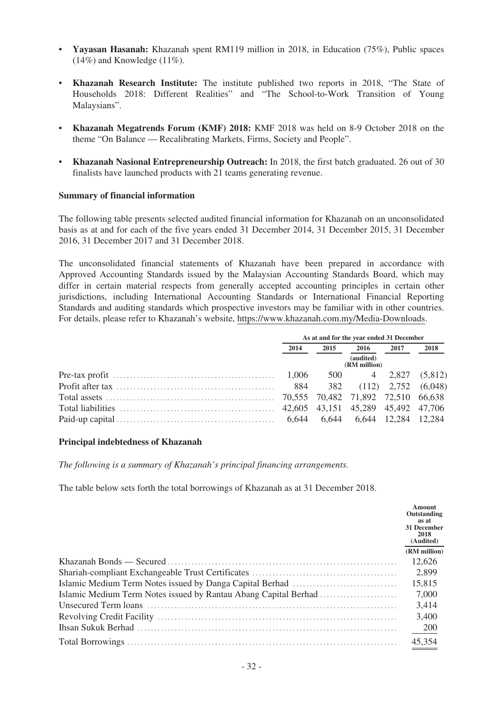- **Yayasan Hasanah:** Khazanah spent RM119 million in 2018, in Education (75%), Public spaces  $(14\%)$  and Knowledge  $(11\%).$
- **Khazanah Research Institute:** The institute published two reports in 2018, "The State of Households 2018: Different Realities" and "The School-to-Work Transition of Young Malaysians".
- **Khazanah Megatrends Forum (KMF) 2018:** KMF 2018 was held on 8-9 October 2018 on the theme "On Balance — Recalibrating Markets, Firms, Society and People".
- **Khazanah Nasional Entrepreneurship Outreach:** In 2018, the first batch graduated. 26 out of 30 finalists have launched products with 21 teams generating revenue.

### **Summary of financial information**

The following table presents selected audited financial information for Khazanah on an unconsolidated basis as at and for each of the five years ended 31 December 2014, 31 December 2015, 31 December 2016, 31 December 2017 and 31 December 2018.

The unconsolidated financial statements of Khazanah have been prepared in accordance with Approved Accounting Standards issued by the Malaysian Accounting Standards Board, which may differ in certain material respects from generally accepted accounting principles in certain other jurisdictions, including International Accounting Standards or International Financial Reporting Standards and auditing standards which prospective investors may be familiar with in other countries. For details, please refer to Khazanah's website, https://www.khazanah.com.my/Media-Downloads.

| As at and for the year ended 31 December |      |                           |      |      |
|------------------------------------------|------|---------------------------|------|------|
| 2014                                     | 2015 | 2016                      | 2017 | 2018 |
| (audited)<br>(RM million)                |      |                           |      |      |
|                                          |      | 500 4 2,827 (5,812)       |      |      |
| 884                                      |      | 382 (112) 2,752 (6,048)   |      |      |
|                                          |      |                           |      |      |
|                                          |      |                           |      |      |
|                                          |      | 6,644 6,644 12,284 12,284 |      |      |

#### **Principal indebtedness of Khazanah**

*The following is a summary of Khazanah's principal financing arrangements.*

The table below sets forth the total borrowings of Khazanah as at 31 December 2018.

| Amount<br>Outstanding<br>as at<br><b>31 December</b><br>2018<br>(Audited) |
|---------------------------------------------------------------------------|
| (RM million)                                                              |
| 12,626                                                                    |
| 2,899                                                                     |
| 15,815                                                                    |
| 7,000                                                                     |
| 3,414                                                                     |
| 3,400                                                                     |
| - 200                                                                     |
| 45,354                                                                    |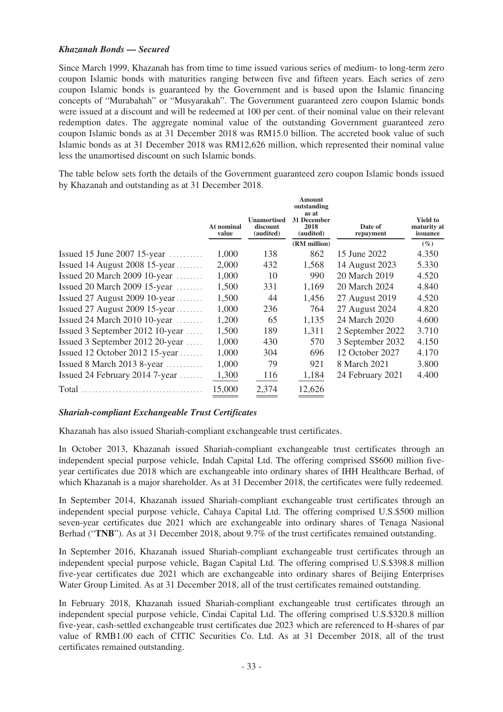# *Khazanah Bonds — Secured*

Since March 1999, Khazanah has from time to time issued various series of medium- to long-term zero coupon Islamic bonds with maturities ranging between five and fifteen years. Each series of zero coupon Islamic bonds is guaranteed by the Government and is based upon the Islamic financing concepts of "Murabahah" or "Musyarakah". The Government guaranteed zero coupon Islamic bonds were issued at a discount and will be redeemed at 100 per cent. of their nominal value on their relevant redemption dates. The aggregate nominal value of the outstanding Government guaranteed zero coupon Islamic bonds as at 31 December 2018 was RM15.0 billion. The accreted book value of such Islamic bonds as at 31 December 2018 was RM12,626 million, which represented their nominal value less the unamortised discount on such Islamic bonds.

The table below sets forth the details of the Government guaranteed zero coupon Islamic bonds issued by Khazanah and outstanding as at 31 December 2018.

|                                           | At nominal<br>value | <b>Unamortised</b><br>discount<br>(audited) | <b>Amount</b><br>outstanding<br>as at<br><b>31 December</b><br>2018<br>(audited) | Date of<br>repayment | <b>Yield to</b><br>maturity at<br>issuance |
|-------------------------------------------|---------------------|---------------------------------------------|----------------------------------------------------------------------------------|----------------------|--------------------------------------------|
|                                           |                     |                                             | (RM million)                                                                     |                      | $(\%)$                                     |
| Issued 15 June 2007 15-year $\dots$       | 1,000               | 138                                         | 862                                                                              | 15 June 2022         | 4.350                                      |
| Issued 14 August 2008 15-year             | 2,000               | 432                                         | 1,568                                                                            | 14 August 2023       | 5.330                                      |
| Issued 20 March 2009 $10$ -year           | 1,000               | 10                                          | 990                                                                              | 20 March 2019        | 4.520                                      |
| Issued 20 March 2009 $15$ -year           | 1,500               | 331                                         | 1.169                                                                            | 20 March 2024        | 4.840                                      |
| Issued 27 August 2009 10-year             | 1,500               | 44                                          | 1,456                                                                            | 27 August 2019       | 4.520                                      |
| Issued 27 August 2009 15-year             | 1,000               | 236                                         | 764                                                                              | 27 August 2024       | 4.820                                      |
| Issued 24 March 2010 10-year $\dots\dots$ | 1,200               | 65                                          | 1,135                                                                            | 24 March 2020        | 4.600                                      |
| Issued 3 September 2012 10-year           | 1,500               | 189                                         | 1,311                                                                            | 2 September 2022     | 3.710                                      |
| Issued 3 September 2012 20-year           | 1,000               | 430                                         | 570                                                                              | 3 September 2032     | 4.150                                      |
| Issued 12 October 2012 15-year            | 1,000               | 304                                         | 696                                                                              | 12 October 2027      | 4.170                                      |
| Issued 8 March 2013 8-year $\dots$        | 1,000               | 79                                          | 921                                                                              | 8 March 2021         | 3.800                                      |
| Issued 24 February 2014 7-year $\dots$    | 1,300               | 116                                         | 1,184                                                                            | 24 February 2021     | 4.400                                      |
| Total                                     | 15,000              | 2,374                                       | 12,626                                                                           |                      |                                            |

### *Shariah-compliant Exchangeable Trust Certificates*

Khazanah has also issued Shariah-compliant exchangeable trust certificates.

In October 2013, Khazanah issued Shariah-compliant exchangeable trust certificates through an independent special purpose vehicle, Indah Capital Ltd. The offering comprised S\$600 million fiveyear certificates due 2018 which are exchangeable into ordinary shares of IHH Healthcare Berhad, of which Khazanah is a major shareholder. As at 31 December 2018, the certificates were fully redeemed.

In September 2014, Khazanah issued Shariah-compliant exchangeable trust certificates through an independent special purpose vehicle, Cahaya Capital Ltd. The offering comprised U.S.\$500 million seven-year certificates due 2021 which are exchangeable into ordinary shares of Tenaga Nasional Berhad ("**TNB**"). As at 31 December 2018, about 9.7% of the trust certificates remained outstanding.

In September 2016, Khazanah issued Shariah-compliant exchangeable trust certificates through an independent special purpose vehicle, Bagan Capital Ltd. The offering comprised U.S.\$398.8 million five-year certificates due 2021 which are exchangeable into ordinary shares of Beijing Enterprises Water Group Limited. As at 31 December 2018, all of the trust certificates remained outstanding.

In February 2018, Khazanah issued Shariah-compliant exchangeable trust certificates through an independent special purpose vehicle, Cindai Capital Ltd. The offering comprised U.S.\$320.8 million five-year, cash-settled exchangeable trust certificates due 2023 which are referenced to H-shares of par value of RMB1.00 each of CITIC Securities Co. Ltd. As at 31 December 2018, all of the trust certificates remained outstanding.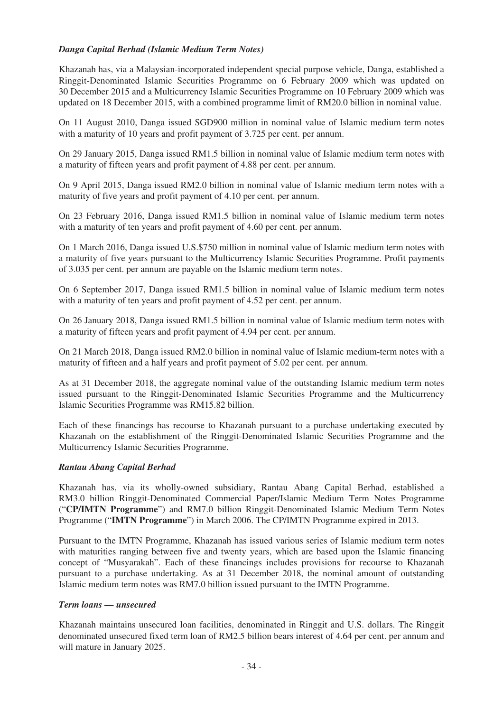# *Danga Capital Berhad (Islamic Medium Term Notes)*

Khazanah has, via a Malaysian-incorporated independent special purpose vehicle, Danga, established a Ringgit-Denominated Islamic Securities Programme on 6 February 2009 which was updated on 30 December 2015 and a Multicurrency Islamic Securities Programme on 10 February 2009 which was updated on 18 December 2015, with a combined programme limit of RM20.0 billion in nominal value.

On 11 August 2010, Danga issued SGD900 million in nominal value of Islamic medium term notes with a maturity of 10 years and profit payment of 3.725 per cent. per annum.

On 29 January 2015, Danga issued RM1.5 billion in nominal value of Islamic medium term notes with a maturity of fifteen years and profit payment of 4.88 per cent. per annum.

On 9 April 2015, Danga issued RM2.0 billion in nominal value of Islamic medium term notes with a maturity of five years and profit payment of 4.10 per cent. per annum.

On 23 February 2016, Danga issued RM1.5 billion in nominal value of Islamic medium term notes with a maturity of ten years and profit payment of 4.60 per cent. per annum.

On 1 March 2016, Danga issued U.S.\$750 million in nominal value of Islamic medium term notes with a maturity of five years pursuant to the Multicurrency Islamic Securities Programme. Profit payments of 3.035 per cent. per annum are payable on the Islamic medium term notes.

On 6 September 2017, Danga issued RM1.5 billion in nominal value of Islamic medium term notes with a maturity of ten years and profit payment of 4.52 per cent. per annum.

On 26 January 2018, Danga issued RM1.5 billion in nominal value of Islamic medium term notes with a maturity of fifteen years and profit payment of 4.94 per cent. per annum.

On 21 March 2018, Danga issued RM2.0 billion in nominal value of Islamic medium-term notes with a maturity of fifteen and a half years and profit payment of 5.02 per cent. per annum.

As at 31 December 2018, the aggregate nominal value of the outstanding Islamic medium term notes issued pursuant to the Ringgit-Denominated Islamic Securities Programme and the Multicurrency Islamic Securities Programme was RM15.82 billion.

Each of these financings has recourse to Khazanah pursuant to a purchase undertaking executed by Khazanah on the establishment of the Ringgit-Denominated Islamic Securities Programme and the Multicurrency Islamic Securities Programme.

### *Rantau Abang Capital Berhad*

Khazanah has, via its wholly-owned subsidiary, Rantau Abang Capital Berhad, established a RM3.0 billion Ringgit-Denominated Commercial Paper/Islamic Medium Term Notes Programme ("**CP/IMTN Programme**") and RM7.0 billion Ringgit-Denominated Islamic Medium Term Notes Programme ("**IMTN Programme**") in March 2006. The CP/IMTN Programme expired in 2013.

Pursuant to the IMTN Programme, Khazanah has issued various series of Islamic medium term notes with maturities ranging between five and twenty years, which are based upon the Islamic financing concept of "Musyarakah". Each of these financings includes provisions for recourse to Khazanah pursuant to a purchase undertaking. As at 31 December 2018, the nominal amount of outstanding Islamic medium term notes was RM7.0 billion issued pursuant to the IMTN Programme.

### *Term loans — unsecured*

Khazanah maintains unsecured loan facilities, denominated in Ringgit and U.S. dollars. The Ringgit denominated unsecured fixed term loan of RM2.5 billion bears interest of 4.64 per cent. per annum and will mature in January 2025.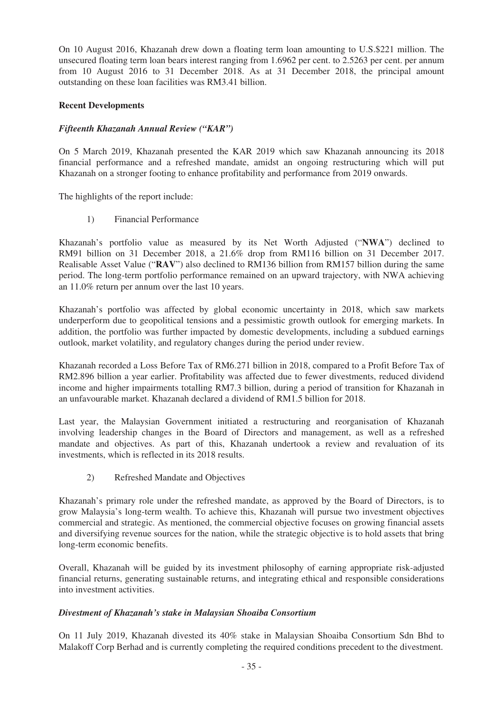On 10 August 2016, Khazanah drew down a floating term loan amounting to U.S.\$221 million. The unsecured floating term loan bears interest ranging from 1.6962 per cent. to 2.5263 per cent. per annum from 10 August 2016 to 31 December 2018. As at 31 December 2018, the principal amount outstanding on these loan facilities was RM3.41 billion.

# **Recent Developments**

## *Fifteenth Khazanah Annual Review ("KAR")*

On 5 March 2019, Khazanah presented the KAR 2019 which saw Khazanah announcing its 2018 financial performance and a refreshed mandate, amidst an ongoing restructuring which will put Khazanah on a stronger footing to enhance profitability and performance from 2019 onwards.

The highlights of the report include:

1) Financial Performance

Khazanah's portfolio value as measured by its Net Worth Adjusted ("**NWA**") declined to RM91 billion on 31 December 2018, a 21.6% drop from RM116 billion on 31 December 2017. Realisable Asset Value ("**RAV**") also declined to RM136 billion from RM157 billion during the same period. The long-term portfolio performance remained on an upward trajectory, with NWA achieving an 11.0% return per annum over the last 10 years.

Khazanah's portfolio was affected by global economic uncertainty in 2018, which saw markets underperform due to geopolitical tensions and a pessimistic growth outlook for emerging markets. In addition, the portfolio was further impacted by domestic developments, including a subdued earnings outlook, market volatility, and regulatory changes during the period under review.

Khazanah recorded a Loss Before Tax of RM6.271 billion in 2018, compared to a Profit Before Tax of RM2.896 billion a year earlier. Profitability was affected due to fewer divestments, reduced dividend income and higher impairments totalling RM7.3 billion, during a period of transition for Khazanah in an unfavourable market. Khazanah declared a dividend of RM1.5 billion for 2018.

Last year, the Malaysian Government initiated a restructuring and reorganisation of Khazanah involving leadership changes in the Board of Directors and management, as well as a refreshed mandate and objectives. As part of this, Khazanah undertook a review and revaluation of its investments, which is reflected in its 2018 results.

2) Refreshed Mandate and Objectives

Khazanah's primary role under the refreshed mandate, as approved by the Board of Directors, is to grow Malaysia's long-term wealth. To achieve this, Khazanah will pursue two investment objectives commercial and strategic. As mentioned, the commercial objective focuses on growing financial assets and diversifying revenue sources for the nation, while the strategic objective is to hold assets that bring long-term economic benefits.

Overall, Khazanah will be guided by its investment philosophy of earning appropriate risk-adjusted financial returns, generating sustainable returns, and integrating ethical and responsible considerations into investment activities.

### *Divestment of Khazanah's stake in Malaysian Shoaiba Consortium*

On 11 July 2019, Khazanah divested its 40% stake in Malaysian Shoaiba Consortium Sdn Bhd to Malakoff Corp Berhad and is currently completing the required conditions precedent to the divestment.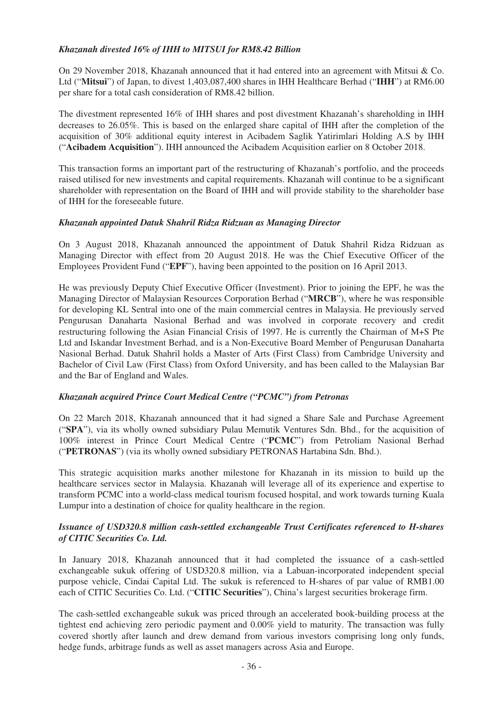# *Khazanah divested 16% of IHH to MITSUI for RM8.42 Billion*

On 29 November 2018, Khazanah announced that it had entered into an agreement with Mitsui & Co. Ltd ("**Mitsui**") of Japan, to divest 1,403,087,400 shares in IHH Healthcare Berhad ("**IHH**") at RM6.00 per share for a total cash consideration of RM8.42 billion.

The divestment represented 16% of IHH shares and post divestment Khazanah's shareholding in IHH decreases to 26.05%. This is based on the enlarged share capital of IHH after the completion of the acquisition of 30% additional equity interest in Acibadem Saglik Yatirimlari Holding A.S by IHH ("**Acibadem Acquisition**"). IHH announced the Acibadem Acquisition earlier on 8 October 2018.

This transaction forms an important part of the restructuring of Khazanah's portfolio, and the proceeds raised utilised for new investments and capital requirements. Khazanah will continue to be a significant shareholder with representation on the Board of IHH and will provide stability to the shareholder base of IHH for the foreseeable future.

## *Khazanah appointed Datuk Shahril Ridza Ridzuan as Managing Director*

On 3 August 2018, Khazanah announced the appointment of Datuk Shahril Ridza Ridzuan as Managing Director with effect from 20 August 2018. He was the Chief Executive Officer of the Employees Provident Fund ("**EPF**"), having been appointed to the position on 16 April 2013.

He was previously Deputy Chief Executive Officer (Investment). Prior to joining the EPF, he was the Managing Director of Malaysian Resources Corporation Berhad ("**MRCB**"), where he was responsible for developing KL Sentral into one of the main commercial centres in Malaysia. He previously served Pengurusan Danaharta Nasional Berhad and was involved in corporate recovery and credit restructuring following the Asian Financial Crisis of 1997. He is currently the Chairman of M+S Pte Ltd and Iskandar Investment Berhad, and is a Non-Executive Board Member of Pengurusan Danaharta Nasional Berhad. Datuk Shahril holds a Master of Arts (First Class) from Cambridge University and Bachelor of Civil Law (First Class) from Oxford University, and has been called to the Malaysian Bar and the Bar of England and Wales.

## *Khazanah acquired Prince Court Medical Centre ("PCMC") from Petronas*

On 22 March 2018, Khazanah announced that it had signed a Share Sale and Purchase Agreement ("**SPA**"), via its wholly owned subsidiary Pulau Memutik Ventures Sdn. Bhd., for the acquisition of 100% interest in Prince Court Medical Centre ("**PCMC**") from Petroliam Nasional Berhad ("**PETRONAS**") (via its wholly owned subsidiary PETRONAS Hartabina Sdn. Bhd.).

This strategic acquisition marks another milestone for Khazanah in its mission to build up the healthcare services sector in Malaysia. Khazanah will leverage all of its experience and expertise to transform PCMC into a world-class medical tourism focused hospital, and work towards turning Kuala Lumpur into a destination of choice for quality healthcare in the region.

## *Issuance of USD320.8 million cash-settled exchangeable Trust Certificates referenced to H-shares of CITIC Securities Co. Ltd.*

In January 2018, Khazanah announced that it had completed the issuance of a cash-settled exchangeable sukuk offering of USD320.8 million, via a Labuan-incorporated independent special purpose vehicle, Cindai Capital Ltd. The sukuk is referenced to H-shares of par value of RMB1.00 each of CITIC Securities Co. Ltd. ("**CITIC Securities**"), China's largest securities brokerage firm.

The cash-settled exchangeable sukuk was priced through an accelerated book-building process at the tightest end achieving zero periodic payment and 0.00% yield to maturity. The transaction was fully covered shortly after launch and drew demand from various investors comprising long only funds, hedge funds, arbitrage funds as well as asset managers across Asia and Europe.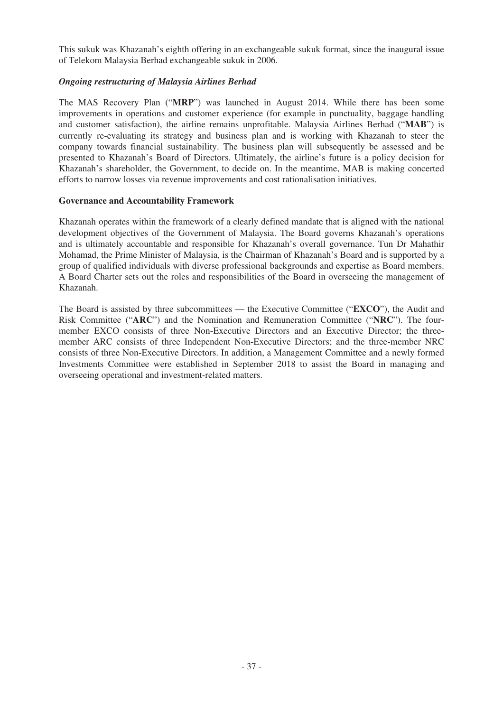This sukuk was Khazanah's eighth offering in an exchangeable sukuk format, since the inaugural issue of Telekom Malaysia Berhad exchangeable sukuk in 2006.

## *Ongoing restructuring of Malaysia Airlines Berhad*

The MAS Recovery Plan ("**MRP**") was launched in August 2014. While there has been some improvements in operations and customer experience (for example in punctuality, baggage handling and customer satisfaction), the airline remains unprofitable. Malaysia Airlines Berhad ("**MAB**") is currently re-evaluating its strategy and business plan and is working with Khazanah to steer the company towards financial sustainability. The business plan will subsequently be assessed and be presented to Khazanah's Board of Directors. Ultimately, the airline's future is a policy decision for Khazanah's shareholder, the Government, to decide on. In the meantime, MAB is making concerted efforts to narrow losses via revenue improvements and cost rationalisation initiatives.

### **Governance and Accountability Framework**

Khazanah operates within the framework of a clearly defined mandate that is aligned with the national development objectives of the Government of Malaysia. The Board governs Khazanah's operations and is ultimately accountable and responsible for Khazanah's overall governance. Tun Dr Mahathir Mohamad, the Prime Minister of Malaysia, is the Chairman of Khazanah's Board and is supported by a group of qualified individuals with diverse professional backgrounds and expertise as Board members. A Board Charter sets out the roles and responsibilities of the Board in overseeing the management of Khazanah.

The Board is assisted by three subcommittees — the Executive Committee ("**EXCO**"), the Audit and Risk Committee ("**ARC**") and the Nomination and Remuneration Committee ("**NRC**"). The fourmember EXCO consists of three Non-Executive Directors and an Executive Director; the threemember ARC consists of three Independent Non-Executive Directors; and the three-member NRC consists of three Non-Executive Directors. In addition, a Management Committee and a newly formed Investments Committee were established in September 2018 to assist the Board in managing and overseeing operational and investment-related matters.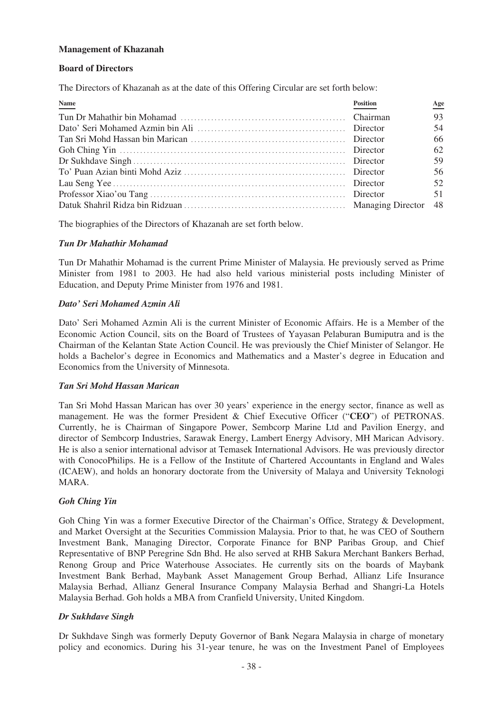## **Management of Khazanah**

### **Board of Directors**

The Directors of Khazanah as at the date of this Offering Circular are set forth below:

| Name | <b>Position</b> | Age |
|------|-----------------|-----|
|      |                 | 93  |
|      |                 | 54  |
|      |                 | 66  |
|      |                 | 62  |
|      |                 | 59  |
|      |                 | 56  |
|      |                 | 52  |
|      |                 | 51  |
|      |                 |     |

The biographies of the Directors of Khazanah are set forth below.

## *Tun Dr Mahathir Mohamad*

Tun Dr Mahathir Mohamad is the current Prime Minister of Malaysia. He previously served as Prime Minister from 1981 to 2003. He had also held various ministerial posts including Minister of Education, and Deputy Prime Minister from 1976 and 1981.

## *Dato' Seri Mohamed Azmin Ali*

Dato' Seri Mohamed Azmin Ali is the current Minister of Economic Affairs. He is a Member of the Economic Action Council, sits on the Board of Trustees of Yayasan Pelaburan Bumiputra and is the Chairman of the Kelantan State Action Council. He was previously the Chief Minister of Selangor. He holds a Bachelor's degree in Economics and Mathematics and a Master's degree in Education and Economics from the University of Minnesota.

# *Tan Sri Mohd Hassan Marican*

Tan Sri Mohd Hassan Marican has over 30 years' experience in the energy sector, finance as well as management. He was the former President & Chief Executive Officer ("**CEO**") of PETRONAS. Currently, he is Chairman of Singapore Power, Sembcorp Marine Ltd and Pavilion Energy, and director of Sembcorp Industries, Sarawak Energy, Lambert Energy Advisory, MH Marican Advisory. He is also a senior international advisor at Temasek International Advisors. He was previously director with ConocoPhilips. He is a Fellow of the Institute of Chartered Accountants in England and Wales (ICAEW), and holds an honorary doctorate from the University of Malaya and University Teknologi MARA.

## *Goh Ching Yin*

Goh Ching Yin was a former Executive Director of the Chairman's Office, Strategy & Development, and Market Oversight at the Securities Commission Malaysia. Prior to that, he was CEO of Southern Investment Bank, Managing Director, Corporate Finance for BNP Paribas Group, and Chief Representative of BNP Peregrine Sdn Bhd. He also served at RHB Sakura Merchant Bankers Berhad, Renong Group and Price Waterhouse Associates. He currently sits on the boards of Maybank Investment Bank Berhad, Maybank Asset Management Group Berhad, Allianz Life Insurance Malaysia Berhad, Allianz General Insurance Company Malaysia Berhad and Shangri-La Hotels Malaysia Berhad. Goh holds a MBA from Cranfield University, United Kingdom.

## *Dr Sukhdave Singh*

Dr Sukhdave Singh was formerly Deputy Governor of Bank Negara Malaysia in charge of monetary policy and economics. During his 31-year tenure, he was on the Investment Panel of Employees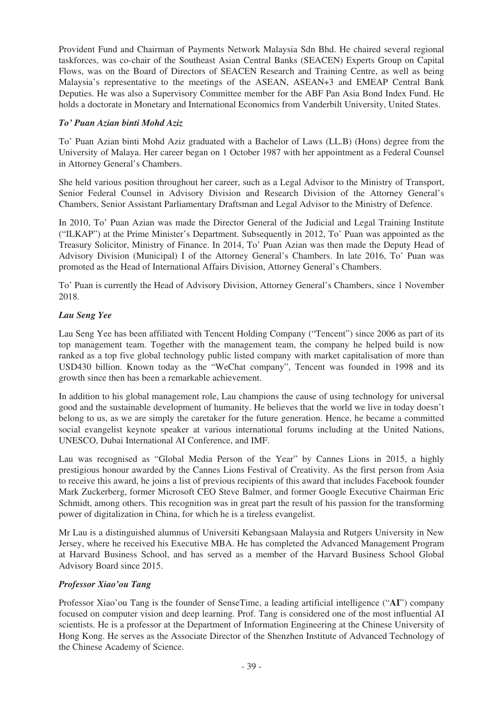Provident Fund and Chairman of Payments Network Malaysia Sdn Bhd. He chaired several regional taskforces, was co-chair of the Southeast Asian Central Banks (SEACEN) Experts Group on Capital Flows, was on the Board of Directors of SEACEN Research and Training Centre, as well as being Malaysia's representative to the meetings of the ASEAN, ASEAN+3 and EMEAP Central Bank Deputies. He was also a Supervisory Committee member for the ABF Pan Asia Bond Index Fund. He holds a doctorate in Monetary and International Economics from Vanderbilt University, United States.

# *To' Puan Azian binti Mohd Aziz*

To' Puan Azian binti Mohd Aziz graduated with a Bachelor of Laws (LL.B) (Hons) degree from the University of Malaya. Her career began on 1 October 1987 with her appointment as a Federal Counsel in Attorney General's Chambers.

She held various position throughout her career, such as a Legal Advisor to the Ministry of Transport, Senior Federal Counsel in Advisory Division and Research Division of the Attorney General's Chambers, Senior Assistant Parliamentary Draftsman and Legal Advisor to the Ministry of Defence.

In 2010, To' Puan Azian was made the Director General of the Judicial and Legal Training Institute ("ILKAP") at the Prime Minister's Department. Subsequently in 2012, To' Puan was appointed as the Treasury Solicitor, Ministry of Finance. In 2014, To' Puan Azian was then made the Deputy Head of Advisory Division (Municipal) I of the Attorney General's Chambers. In late 2016, To' Puan was promoted as the Head of International Affairs Division, Attorney General's Chambers.

To' Puan is currently the Head of Advisory Division, Attorney General's Chambers, since 1 November 2018.

## *Lau Seng Yee*

Lau Seng Yee has been affiliated with Tencent Holding Company ("Tencent") since 2006 as part of its top management team. Together with the management team, the company he helped build is now ranked as a top five global technology public listed company with market capitalisation of more than USD430 billion. Known today as the "WeChat company", Tencent was founded in 1998 and its growth since then has been a remarkable achievement.

In addition to his global management role, Lau champions the cause of using technology for universal good and the sustainable development of humanity. He believes that the world we live in today doesn't belong to us, as we are simply the caretaker for the future generation. Hence, he became a committed social evangelist keynote speaker at various international forums including at the United Nations, UNESCO, Dubai International AI Conference, and IMF.

Lau was recognised as "Global Media Person of the Year" by Cannes Lions in 2015, a highly prestigious honour awarded by the Cannes Lions Festival of Creativity. As the first person from Asia to receive this award, he joins a list of previous recipients of this award that includes Facebook founder Mark Zuckerberg, former Microsoft CEO Steve Balmer, and former Google Executive Chairman Eric Schmidt, among others. This recognition was in great part the result of his passion for the transforming power of digitalization in China, for which he is a tireless evangelist.

Mr Lau is a distinguished alumnus of Universiti Kebangsaan Malaysia and Rutgers University in New Jersey, where he received his Executive MBA. He has completed the Advanced Management Program at Harvard Business School, and has served as a member of the Harvard Business School Global Advisory Board since 2015.

## *Professor Xiao'ou Tang*

Professor Xiao'ou Tang is the founder of SenseTime, a leading artificial intelligence ("**AI**") company focused on computer vision and deep learning. Prof. Tang is considered one of the most influential AI scientists. He is a professor at the Department of Information Engineering at the Chinese University of Hong Kong. He serves as the Associate Director of the Shenzhen Institute of Advanced Technology of the Chinese Academy of Science.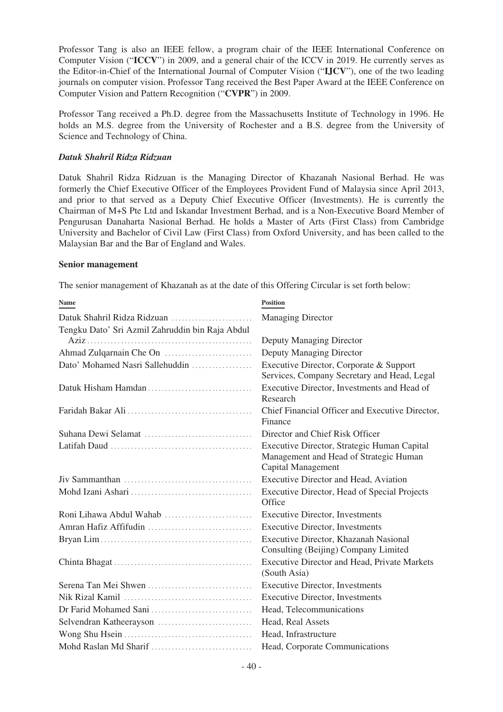Professor Tang is also an IEEE fellow, a program chair of the IEEE International Conference on Computer Vision ("**ICCV**") in 2009, and a general chair of the ICCV in 2019. He currently serves as the Editor-in-Chief of the International Journal of Computer Vision ("**IJCV**"), one of the two leading journals on computer vision. Professor Tang received the Best Paper Award at the IEEE Conference on Computer Vision and Pattern Recognition ("**CVPR**") in 2009.

Professor Tang received a Ph.D. degree from the Massachusetts Institute of Technology in 1996. He holds an M.S. degree from the University of Rochester and a B.S. degree from the University of Science and Technology of China.

## *Datuk Shahril Ridza Ridzuan*

Datuk Shahril Ridza Ridzuan is the Managing Director of Khazanah Nasional Berhad. He was formerly the Chief Executive Officer of the Employees Provident Fund of Malaysia since April 2013, and prior to that served as a Deputy Chief Executive Officer (Investments). He is currently the Chairman of M+S Pte Ltd and Iskandar Investment Berhad, and is a Non-Executive Board Member of Pengurusan Danaharta Nasional Berhad. He holds a Master of Arts (First Class) from Cambridge University and Bachelor of Civil Law (First Class) from Oxford University, and has been called to the Malaysian Bar and the Bar of England and Wales.

### **Senior management**

The senior management of Khazanah as at the date of this Offering Circular is set forth below:

| <b>Name</b>                                                                                 | <b>Position</b>                                                                                             |
|---------------------------------------------------------------------------------------------|-------------------------------------------------------------------------------------------------------------|
|                                                                                             | <b>Managing Director</b>                                                                                    |
| Tengku Dato' Sri Azmil Zahruddin bin Raja Abdul                                             |                                                                                                             |
|                                                                                             | Deputy Managing Director                                                                                    |
|                                                                                             | Deputy Managing Director                                                                                    |
| Dato' Mohamed Nasri Sallehuddin                                                             | Executive Director, Corporate & Support<br>Services, Company Secretary and Head, Legal                      |
| Datuk Hisham Hamdan                                                                         | Executive Director, Investments and Head of<br>Research                                                     |
|                                                                                             | Chief Financial Officer and Executive Director,<br>Finance                                                  |
|                                                                                             | Director and Chief Risk Officer                                                                             |
| Latifah Daud $\ldots \ldots \ldots \ldots \ldots \ldots \ldots \ldots \ldots \ldots \ldots$ | Executive Director, Strategic Human Capital<br>Management and Head of Strategic Human<br>Capital Management |
|                                                                                             | Executive Director and Head, Aviation                                                                       |
|                                                                                             | Executive Director, Head of Special Projects<br>Office                                                      |
| Roni Lihawa Abdul Wahab                                                                     | <b>Executive Director, Investments</b>                                                                      |
|                                                                                             | <b>Executive Director, Investments</b>                                                                      |
|                                                                                             | Executive Director, Khazanah Nasional<br>Consulting (Beijing) Company Limited                               |
|                                                                                             | <b>Executive Director and Head, Private Markets</b><br>(South Asia)                                         |
|                                                                                             | <b>Executive Director, Investments</b>                                                                      |
|                                                                                             | <b>Executive Director, Investments</b>                                                                      |
|                                                                                             | Head, Telecommunications                                                                                    |
|                                                                                             | Head, Real Assets                                                                                           |
|                                                                                             | Head, Infrastructure                                                                                        |
|                                                                                             | Head, Corporate Communications                                                                              |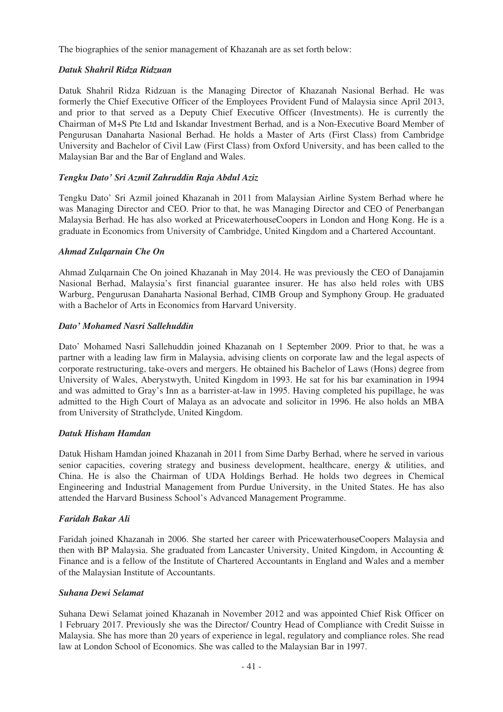The biographies of the senior management of Khazanah are as set forth below:

## *Datuk Shahril Ridza Ridzuan*

Datuk Shahril Ridza Ridzuan is the Managing Director of Khazanah Nasional Berhad. He was formerly the Chief Executive Officer of the Employees Provident Fund of Malaysia since April 2013, and prior to that served as a Deputy Chief Executive Officer (Investments). He is currently the Chairman of M+S Pte Ltd and Iskandar Investment Berhad, and is a Non-Executive Board Member of Pengurusan Danaharta Nasional Berhad. He holds a Master of Arts (First Class) from Cambridge University and Bachelor of Civil Law (First Class) from Oxford University, and has been called to the Malaysian Bar and the Bar of England and Wales.

## *Tengku Dato' Sri Azmil Zahruddin Raja Abdul Aziz*

Tengku Dato' Sri Azmil joined Khazanah in 2011 from Malaysian Airline System Berhad where he was Managing Director and CEO. Prior to that, he was Managing Director and CEO of Penerbangan Malaysia Berhad. He has also worked at PricewaterhouseCoopers in London and Hong Kong. He is a graduate in Economics from University of Cambridge, United Kingdom and a Chartered Accountant.

## *Ahmad Zulqarnain Che On*

Ahmad Zulqarnain Che On joined Khazanah in May 2014. He was previously the CEO of Danajamin Nasional Berhad, Malaysia's first financial guarantee insurer. He has also held roles with UBS Warburg, Pengurusan Danaharta Nasional Berhad, CIMB Group and Symphony Group. He graduated with a Bachelor of Arts in Economics from Harvard University.

## *Dato' Mohamed Nasri Sallehuddin*

Dato' Mohamed Nasri Sallehuddin joined Khazanah on 1 September 2009. Prior to that, he was a partner with a leading law firm in Malaysia, advising clients on corporate law and the legal aspects of corporate restructuring, take-overs and mergers. He obtained his Bachelor of Laws (Hons) degree from University of Wales, Aberystwyth, United Kingdom in 1993. He sat for his bar examination in 1994 and was admitted to Gray's Inn as a barrister-at-law in 1995. Having completed his pupillage, he was admitted to the High Court of Malaya as an advocate and solicitor in 1996. He also holds an MBA from University of Strathclyde, United Kingdom.

### *Datuk Hisham Hamdan*

Datuk Hisham Hamdan joined Khazanah in 2011 from Sime Darby Berhad, where he served in various senior capacities, covering strategy and business development, healthcare, energy & utilities, and China. He is also the Chairman of UDA Holdings Berhad. He holds two degrees in Chemical Engineering and Industrial Management from Purdue University, in the United States. He has also attended the Harvard Business School's Advanced Management Programme.

## *Faridah Bakar Ali*

Faridah joined Khazanah in 2006. She started her career with PricewaterhouseCoopers Malaysia and then with BP Malaysia. She graduated from Lancaster University, United Kingdom, in Accounting & Finance and is a fellow of the Institute of Chartered Accountants in England and Wales and a member of the Malaysian Institute of Accountants.

### *Suhana Dewi Selamat*

Suhana Dewi Selamat joined Khazanah in November 2012 and was appointed Chief Risk Officer on 1 February 2017. Previously she was the Director/ Country Head of Compliance with Credit Suisse in Malaysia. She has more than 20 years of experience in legal, regulatory and compliance roles. She read law at London School of Economics. She was called to the Malaysian Bar in 1997.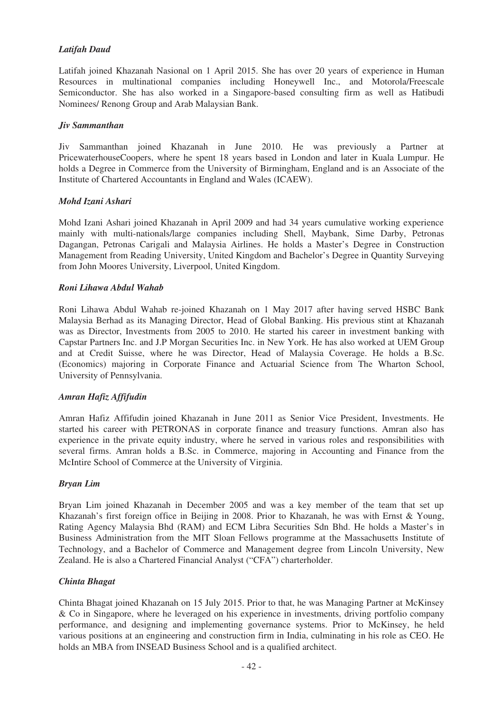# *Latifah Daud*

Latifah joined Khazanah Nasional on 1 April 2015. She has over 20 years of experience in Human Resources in multinational companies including Honeywell Inc., and Motorola/Freescale Semiconductor. She has also worked in a Singapore-based consulting firm as well as Hatibudi Nominees/ Renong Group and Arab Malaysian Bank.

## *Jiv Sammanthan*

Jiv Sammanthan joined Khazanah in June 2010. He was previously a Partner at PricewaterhouseCoopers, where he spent 18 years based in London and later in Kuala Lumpur. He holds a Degree in Commerce from the University of Birmingham, England and is an Associate of the Institute of Chartered Accountants in England and Wales (ICAEW).

## *Mohd Izani Ashari*

Mohd Izani Ashari joined Khazanah in April 2009 and had 34 years cumulative working experience mainly with multi-nationals/large companies including Shell, Maybank, Sime Darby, Petronas Dagangan, Petronas Carigali and Malaysia Airlines. He holds a Master's Degree in Construction Management from Reading University, United Kingdom and Bachelor's Degree in Quantity Surveying from John Moores University, Liverpool, United Kingdom.

## *Roni Lihawa Abdul Wahab*

Roni Lihawa Abdul Wahab re-joined Khazanah on 1 May 2017 after having served HSBC Bank Malaysia Berhad as its Managing Director, Head of Global Banking. His previous stint at Khazanah was as Director, Investments from 2005 to 2010. He started his career in investment banking with Capstar Partners Inc. and J.P Morgan Securities Inc. in New York. He has also worked at UEM Group and at Credit Suisse, where he was Director, Head of Malaysia Coverage. He holds a B.Sc. (Economics) majoring in Corporate Finance and Actuarial Science from The Wharton School, University of Pennsylvania.

## *Amran Hafiz Affifudin*

Amran Hafiz Affifudin joined Khazanah in June 2011 as Senior Vice President, Investments. He started his career with PETRONAS in corporate finance and treasury functions. Amran also has experience in the private equity industry, where he served in various roles and responsibilities with several firms. Amran holds a B.Sc. in Commerce, majoring in Accounting and Finance from the McIntire School of Commerce at the University of Virginia.

### *Bryan Lim*

Bryan Lim joined Khazanah in December 2005 and was a key member of the team that set up Khazanah's first foreign office in Beijing in 2008. Prior to Khazanah, he was with Ernst & Young, Rating Agency Malaysia Bhd (RAM) and ECM Libra Securities Sdn Bhd. He holds a Master's in Business Administration from the MIT Sloan Fellows programme at the Massachusetts Institute of Technology, and a Bachelor of Commerce and Management degree from Lincoln University, New Zealand. He is also a Chartered Financial Analyst ("CFA") charterholder.

### *Chinta Bhagat*

Chinta Bhagat joined Khazanah on 15 July 2015. Prior to that, he was Managing Partner at McKinsey & Co in Singapore, where he leveraged on his experience in investments, driving portfolio company performance, and designing and implementing governance systems. Prior to McKinsey, he held various positions at an engineering and construction firm in India, culminating in his role as CEO. He holds an MBA from INSEAD Business School and is a qualified architect.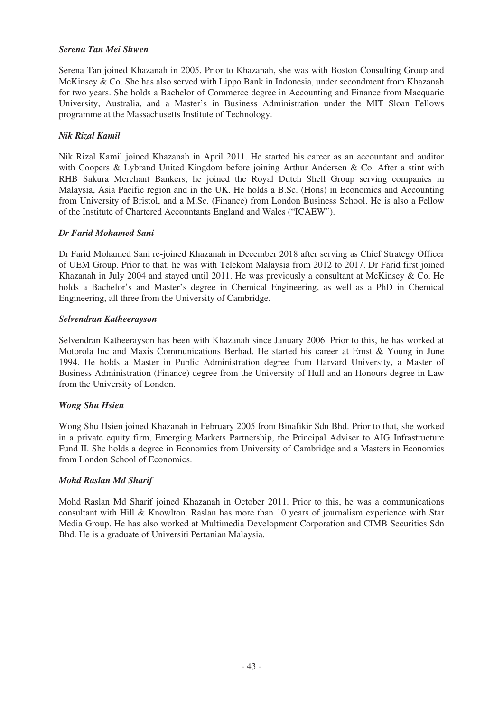## *Serena Tan Mei Shwen*

Serena Tan joined Khazanah in 2005. Prior to Khazanah, she was with Boston Consulting Group and McKinsey & Co. She has also served with Lippo Bank in Indonesia, under secondment from Khazanah for two years. She holds a Bachelor of Commerce degree in Accounting and Finance from Macquarie University, Australia, and a Master's in Business Administration under the MIT Sloan Fellows programme at the Massachusetts Institute of Technology.

## *Nik Rizal Kamil*

Nik Rizal Kamil joined Khazanah in April 2011. He started his career as an accountant and auditor with Coopers & Lybrand United Kingdom before joining Arthur Andersen & Co. After a stint with RHB Sakura Merchant Bankers, he joined the Royal Dutch Shell Group serving companies in Malaysia, Asia Pacific region and in the UK. He holds a B.Sc. (Hons) in Economics and Accounting from University of Bristol, and a M.Sc. (Finance) from London Business School. He is also a Fellow of the Institute of Chartered Accountants England and Wales ("ICAEW").

## *Dr Farid Mohamed Sani*

Dr Farid Mohamed Sani re-joined Khazanah in December 2018 after serving as Chief Strategy Officer of UEM Group. Prior to that, he was with Telekom Malaysia from 2012 to 2017. Dr Farid first joined Khazanah in July 2004 and stayed until 2011. He was previously a consultant at McKinsey & Co. He holds a Bachelor's and Master's degree in Chemical Engineering, as well as a PhD in Chemical Engineering, all three from the University of Cambridge.

## *Selvendran Katheerayson*

Selvendran Katheerayson has been with Khazanah since January 2006. Prior to this, he has worked at Motorola Inc and Maxis Communications Berhad. He started his career at Ernst & Young in June 1994. He holds a Master in Public Administration degree from Harvard University, a Master of Business Administration (Finance) degree from the University of Hull and an Honours degree in Law from the University of London.

## *Wong Shu Hsien*

Wong Shu Hsien joined Khazanah in February 2005 from Binafikir Sdn Bhd. Prior to that, she worked in a private equity firm, Emerging Markets Partnership, the Principal Adviser to AIG Infrastructure Fund II. She holds a degree in Economics from University of Cambridge and a Masters in Economics from London School of Economics.

### *Mohd Raslan Md Sharif*

Mohd Raslan Md Sharif joined Khazanah in October 2011. Prior to this, he was a communications consultant with Hill & Knowlton. Raslan has more than 10 years of journalism experience with Star Media Group. He has also worked at Multimedia Development Corporation and CIMB Securities Sdn Bhd. He is a graduate of Universiti Pertanian Malaysia.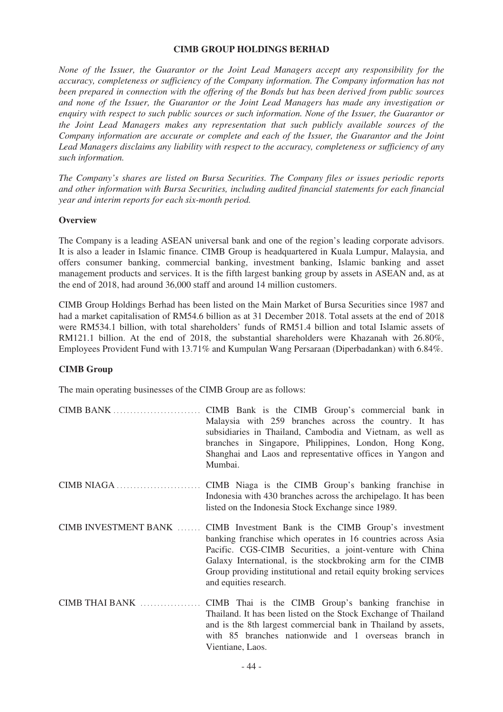#### **CIMB GROUP HOLDINGS BERHAD**

*None of the Issuer, the Guarantor or the Joint Lead Managers accept any responsibility for the accuracy, completeness or sufficiency of the Company information. The Company information has not been prepared in connection with the offering of the Bonds but has been derived from public sources and none of the Issuer, the Guarantor or the Joint Lead Managers has made any investigation or enquiry with respect to such public sources or such information. None of the Issuer, the Guarantor or the Joint Lead Managers makes any representation that such publicly available sources of the Company information are accurate or complete and each of the Issuer, the Guarantor and the Joint Lead Managers disclaims any liability with respect to the accuracy, completeness or sufficiency of any such information.*

*The Company's shares are listed on Bursa Securities. The Company files or issues periodic reports and other information with Bursa Securities, including audited financial statements for each financial year and interim reports for each six-month period.*

#### **Overview**

The Company is a leading ASEAN universal bank and one of the region's leading corporate advisors. It is also a leader in Islamic finance. CIMB Group is headquartered in Kuala Lumpur, Malaysia, and offers consumer banking, commercial banking, investment banking, Islamic banking and asset management products and services. It is the fifth largest banking group by assets in ASEAN and, as at the end of 2018, had around 36,000 staff and around 14 million customers.

CIMB Group Holdings Berhad has been listed on the Main Market of Bursa Securities since 1987 and had a market capitalisation of RM54.6 billion as at 31 December 2018. Total assets at the end of 2018 were RM534.1 billion, with total shareholders' funds of RM51.4 billion and total Islamic assets of RM121.1 billion. At the end of 2018, the substantial shareholders were Khazanah with 26.80%, Employees Provident Fund with 13.71% and Kumpulan Wang Persaraan (Diperbadankan) with 6.84%.

### **CIMB Group**

The main operating businesses of the CIMB Group are as follows:

| Malaysia with 259 branches across the country. It has           |  |  |  |  |
|-----------------------------------------------------------------|--|--|--|--|
| subsidiaries in Thailand, Cambodia and Vietnam, as well as      |  |  |  |  |
| branches in Singapore, Philippines, London, Hong Kong,          |  |  |  |  |
| Shanghai and Laos and representative offices in Yangon and      |  |  |  |  |
| Mumbai.                                                         |  |  |  |  |
|                                                                 |  |  |  |  |
| Indonesia with 430 branches across the archipelago. It has been |  |  |  |  |

listed on the Indonesia Stock Exchange since 1989. CIMB INVESTMENT BANK ....... CIMB Investment Bank is the CIMB Group's investment banking franchise which operates in 16 countries across Asia Pacific. CGS-CIMB Securities, a joint-venture with China Galaxy International, is the stockbroking arm for the CIMB

Group providing institutional and retail equity broking services

CIMB THAI BANK .................. CIMB Thai is the CIMB Group's banking franchise in Thailand. It has been listed on the Stock Exchange of Thailand and is the 8th largest commercial bank in Thailand by assets, with 85 branches nationwide and 1 overseas branch in Vientiane, Laos.

and equities research.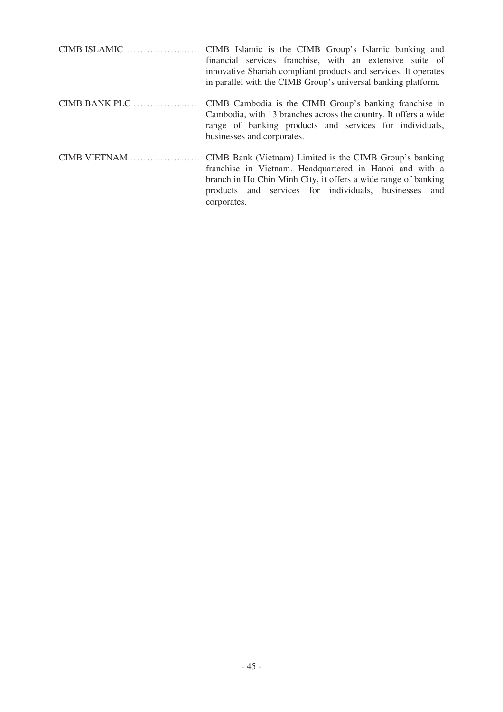|                                                       | financial services franchise, with an extensive suite of<br>innovative Shariah compliant products and services. It operates<br>in parallel with the CIMB Group's universal banking platform.                                                  |
|-------------------------------------------------------|-----------------------------------------------------------------------------------------------------------------------------------------------------------------------------------------------------------------------------------------------|
| $CIMB$ BANK PLC $\dots\dots\dots\dots\dots\dots\dots$ | CIMB Cambodia is the CIMB Group's banking franchise in<br>Cambodia, with 13 branches across the country. It offers a wide<br>range of banking products and services for individuals,<br>businesses and corporates.                            |
| CIMB VIETNAM                                          | CIMB Bank (Vietnam) Limited is the CIMB Group's banking<br>franchise in Vietnam. Headquartered in Hanoi and with a<br>branch in Ho Chin Minh City, it offers a wide range of banking<br>products and services for individuals, businesses and |

corporates.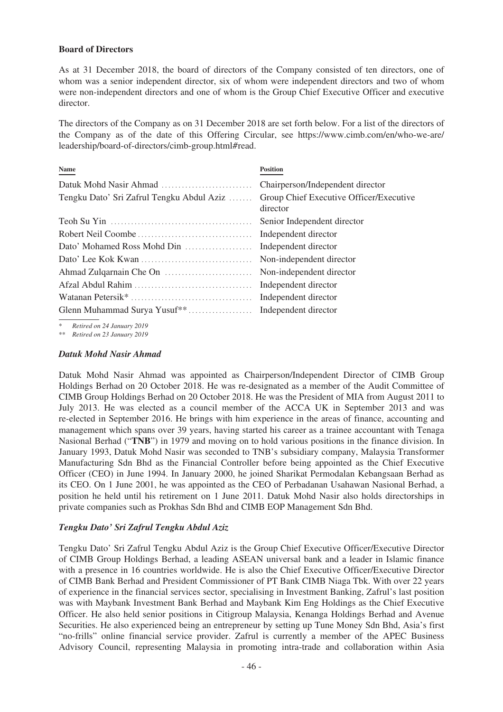### **Board of Directors**

As at 31 December 2018, the board of directors of the Company consisted of ten directors, one of whom was a senior independent director, six of whom were independent directors and two of whom were non-independent directors and one of whom is the Group Chief Executive Officer and executive director.

The directors of the Company as on 31 December 2018 are set forth below. For a list of the directors of the Company as of the date of this Offering Circular, see https://www.cimb.com/en/who-we-are/ leadership/board-of-directors/cimb-group.html#read.

| Name                                      | <b>Position</b>                                     |
|-------------------------------------------|-----------------------------------------------------|
|                                           | Chairperson/Independent director                    |
| Tengku Dato' Sri Zafrul Tengku Abdul Aziz | Group Chief Executive Officer/Executive<br>director |
|                                           | Senior Independent director                         |
|                                           |                                                     |
|                                           |                                                     |
|                                           |                                                     |
|                                           |                                                     |
|                                           |                                                     |
|                                           |                                                     |
|                                           |                                                     |

*\* Retired on 24 January 2019*

*\*\* Retired on 23 January 2019*

### *Datuk Mohd Nasir Ahmad*

Datuk Mohd Nasir Ahmad was appointed as Chairperson/Independent Director of CIMB Group Holdings Berhad on 20 October 2018. He was re-designated as a member of the Audit Committee of CIMB Group Holdings Berhad on 20 October 2018. He was the President of MIA from August 2011 to July 2013. He was elected as a council member of the ACCA UK in September 2013 and was re-elected in September 2016. He brings with him experience in the areas of finance, accounting and management which spans over 39 years, having started his career as a trainee accountant with Tenaga Nasional Berhad ("**TNB**") in 1979 and moving on to hold various positions in the finance division. In January 1993, Datuk Mohd Nasir was seconded to TNB's subsidiary company, Malaysia Transformer Manufacturing Sdn Bhd as the Financial Controller before being appointed as the Chief Executive Officer (CEO) in June 1994. In January 2000, he joined Sharikat Permodalan Kebangsaan Berhad as its CEO. On 1 June 2001, he was appointed as the CEO of Perbadanan Usahawan Nasional Berhad, a position he held until his retirement on 1 June 2011. Datuk Mohd Nasir also holds directorships in private companies such as Prokhas Sdn Bhd and CIMB EOP Management Sdn Bhd.

## *Tengku Dato' Sri Zafrul Tengku Abdul Aziz*

Tengku Dato' Sri Zafrul Tengku Abdul Aziz is the Group Chief Executive Officer/Executive Director of CIMB Group Holdings Berhad, a leading ASEAN universal bank and a leader in Islamic finance with a presence in 16 countries worldwide. He is also the Chief Executive Officer/Executive Director of CIMB Bank Berhad and President Commissioner of PT Bank CIMB Niaga Tbk. With over 22 years of experience in the financial services sector, specialising in Investment Banking, Zafrul's last position was with Maybank Investment Bank Berhad and Maybank Kim Eng Holdings as the Chief Executive Officer. He also held senior positions in Citigroup Malaysia, Kenanga Holdings Berhad and Avenue Securities. He also experienced being an entrepreneur by setting up Tune Money Sdn Bhd, Asia's first "no-frills" online financial service provider. Zafrul is currently a member of the APEC Business Advisory Council, representing Malaysia in promoting intra-trade and collaboration within Asia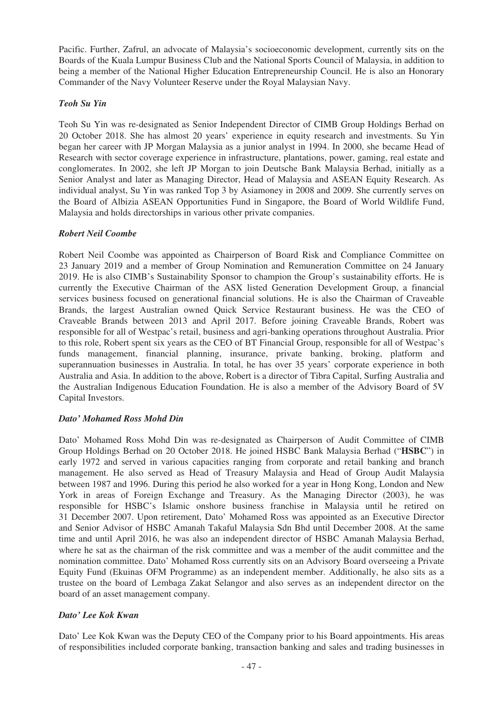Pacific. Further, Zafrul, an advocate of Malaysia's socioeconomic development, currently sits on the Boards of the Kuala Lumpur Business Club and the National Sports Council of Malaysia, in addition to being a member of the National Higher Education Entrepreneurship Council. He is also an Honorary Commander of the Navy Volunteer Reserve under the Royal Malaysian Navy.

# *Teoh Su Yin*

Teoh Su Yin was re-designated as Senior Independent Director of CIMB Group Holdings Berhad on 20 October 2018. She has almost 20 years' experience in equity research and investments. Su Yin began her career with JP Morgan Malaysia as a junior analyst in 1994. In 2000, she became Head of Research with sector coverage experience in infrastructure, plantations, power, gaming, real estate and conglomerates. In 2002, she left JP Morgan to join Deutsche Bank Malaysia Berhad, initially as a Senior Analyst and later as Managing Director, Head of Malaysia and ASEAN Equity Research. As individual analyst, Su Yin was ranked Top 3 by Asiamoney in 2008 and 2009. She currently serves on the Board of Albizia ASEAN Opportunities Fund in Singapore, the Board of World Wildlife Fund, Malaysia and holds directorships in various other private companies.

## *Robert Neil Coombe*

Robert Neil Coombe was appointed as Chairperson of Board Risk and Compliance Committee on 23 January 2019 and a member of Group Nomination and Remuneration Committee on 24 January 2019. He is also CIMB's Sustainability Sponsor to champion the Group's sustainability efforts. He is currently the Executive Chairman of the ASX listed Generation Development Group, a financial services business focused on generational financial solutions. He is also the Chairman of Craveable Brands, the largest Australian owned Quick Service Restaurant business. He was the CEO of Craveable Brands between 2013 and April 2017. Before joining Craveable Brands, Robert was responsible for all of Westpac's retail, business and agri-banking operations throughout Australia. Prior to this role, Robert spent six years as the CEO of BT Financial Group, responsible for all of Westpac's funds management, financial planning, insurance, private banking, broking, platform and superannuation businesses in Australia. In total, he has over 35 years' corporate experience in both Australia and Asia. In addition to the above, Robert is a director of Tibra Capital, Surfing Australia and the Australian Indigenous Education Foundation. He is also a member of the Advisory Board of 5V Capital Investors.

### *Dato' Mohamed Ross Mohd Din*

Dato' Mohamed Ross Mohd Din was re-designated as Chairperson of Audit Committee of CIMB Group Holdings Berhad on 20 October 2018. He joined HSBC Bank Malaysia Berhad ("**HSBC**") in early 1972 and served in various capacities ranging from corporate and retail banking and branch management. He also served as Head of Treasury Malaysia and Head of Group Audit Malaysia between 1987 and 1996. During this period he also worked for a year in Hong Kong, London and New York in areas of Foreign Exchange and Treasury. As the Managing Director (2003), he was responsible for HSBC's Islamic onshore business franchise in Malaysia until he retired on 31 December 2007. Upon retirement, Dato' Mohamed Ross was appointed as an Executive Director and Senior Advisor of HSBC Amanah Takaful Malaysia Sdn Bhd until December 2008. At the same time and until April 2016, he was also an independent director of HSBC Amanah Malaysia Berhad, where he sat as the chairman of the risk committee and was a member of the audit committee and the nomination committee. Dato' Mohamed Ross currently sits on an Advisory Board overseeing a Private Equity Fund (Ekuinas OFM Programme) as an independent member. Additionally, he also sits as a trustee on the board of Lembaga Zakat Selangor and also serves as an independent director on the board of an asset management company.

## *Dato' Lee Kok Kwan*

Dato' Lee Kok Kwan was the Deputy CEO of the Company prior to his Board appointments. His areas of responsibilities included corporate banking, transaction banking and sales and trading businesses in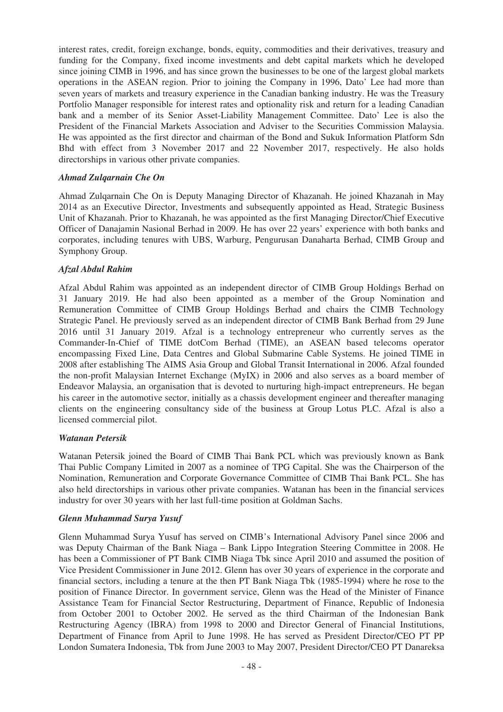interest rates, credit, foreign exchange, bonds, equity, commodities and their derivatives, treasury and funding for the Company, fixed income investments and debt capital markets which he developed since joining CIMB in 1996, and has since grown the businesses to be one of the largest global markets operations in the ASEAN region. Prior to joining the Company in 1996, Dato' Lee had more than seven years of markets and treasury experience in the Canadian banking industry. He was the Treasury Portfolio Manager responsible for interest rates and optionality risk and return for a leading Canadian bank and a member of its Senior Asset-Liability Management Committee. Dato' Lee is also the President of the Financial Markets Association and Adviser to the Securities Commission Malaysia. He was appointed as the first director and chairman of the Bond and Sukuk Information Platform Sdn Bhd with effect from 3 November 2017 and 22 November 2017, respectively. He also holds directorships in various other private companies.

## *Ahmad Zulqarnain Che On*

Ahmad Zulqarnain Che On is Deputy Managing Director of Khazanah. He joined Khazanah in May 2014 as an Executive Director, Investments and subsequently appointed as Head, Strategic Business Unit of Khazanah. Prior to Khazanah, he was appointed as the first Managing Director/Chief Executive Officer of Danajamin Nasional Berhad in 2009. He has over 22 years' experience with both banks and corporates, including tenures with UBS, Warburg, Pengurusan Danaharta Berhad, CIMB Group and Symphony Group.

## *Afzal Abdul Rahim*

Afzal Abdul Rahim was appointed as an independent director of CIMB Group Holdings Berhad on 31 January 2019. He had also been appointed as a member of the Group Nomination and Remuneration Committee of CIMB Group Holdings Berhad and chairs the CIMB Technology Strategic Panel. He previously served as an independent director of CIMB Bank Berhad from 29 June 2016 until 31 January 2019. Afzal is a technology entrepreneur who currently serves as the Commander-In-Chief of TIME dotCom Berhad (TIME), an ASEAN based telecoms operator encompassing Fixed Line, Data Centres and Global Submarine Cable Systems. He joined TIME in 2008 after establishing The AIMS Asia Group and Global Transit International in 2006. Afzal founded the non-profit Malaysian Internet Exchange (MyIX) in 2006 and also serves as a board member of Endeavor Malaysia, an organisation that is devoted to nurturing high-impact entrepreneurs. He began his career in the automotive sector, initially as a chassis development engineer and thereafter managing clients on the engineering consultancy side of the business at Group Lotus PLC. Afzal is also a licensed commercial pilot.

### *Watanan Petersik*

Watanan Petersik joined the Board of CIMB Thai Bank PCL which was previously known as Bank Thai Public Company Limited in 2007 as a nominee of TPG Capital. She was the Chairperson of the Nomination, Remuneration and Corporate Governance Committee of CIMB Thai Bank PCL. She has also held directorships in various other private companies. Watanan has been in the financial services industry for over 30 years with her last full-time position at Goldman Sachs.

### *Glenn Muhammad Surya Yusuf*

Glenn Muhammad Surya Yusuf has served on CIMB's International Advisory Panel since 2006 and was Deputy Chairman of the Bank Niaga – Bank Lippo Integration Steering Committee in 2008. He has been a Commissioner of PT Bank CIMB Niaga Tbk since April 2010 and assumed the position of Vice President Commissioner in June 2012. Glenn has over 30 years of experience in the corporate and financial sectors, including a tenure at the then PT Bank Niaga Tbk (1985-1994) where he rose to the position of Finance Director. In government service, Glenn was the Head of the Minister of Finance Assistance Team for Financial Sector Restructuring, Department of Finance, Republic of Indonesia from October 2001 to October 2002. He served as the third Chairman of the Indonesian Bank Restructuring Agency (IBRA) from 1998 to 2000 and Director General of Financial Institutions, Department of Finance from April to June 1998. He has served as President Director/CEO PT PP London Sumatera Indonesia, Tbk from June 2003 to May 2007, President Director/CEO PT Danareksa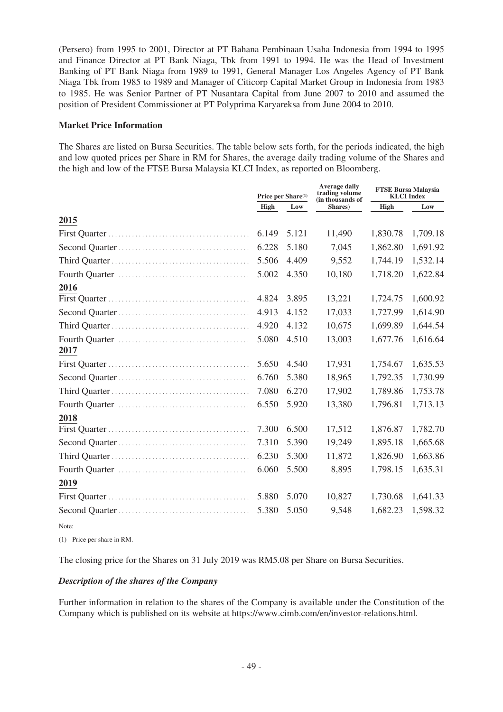(Persero) from 1995 to 2001, Director at PT Bahana Pembinaan Usaha Indonesia from 1994 to 1995 and Finance Director at PT Bank Niaga, Tbk from 1991 to 1994. He was the Head of Investment Banking of PT Bank Niaga from 1989 to 1991, General Manager Los Angeles Agency of PT Bank Niaga Tbk from 1985 to 1989 and Manager of Citicorp Capital Market Group in Indonesia from 1983 to 1985. He was Senior Partner of PT Nusantara Capital from June 2007 to 2010 and assumed the position of President Commissioner at PT Polyprima Karyareksa from June 2004 to 2010.

### **Market Price Information**

The Shares are listed on Bursa Securities. The table below sets forth, for the periods indicated, the high and low quoted prices per Share in RM for Shares, the average daily trading volume of the Shares and the high and low of the FTSE Bursa Malaysia KLCI Index, as reported on Bloomberg.

|      | Price per Share <sup>(1)</sup> |       | <b>Average daily</b><br>trading volume<br>(in thousands of | <b>FTSE Bursa Malaysia</b><br><b>KLCI</b> Index |          |
|------|--------------------------------|-------|------------------------------------------------------------|-------------------------------------------------|----------|
|      | High                           | Low   | Shares)                                                    | High                                            | Low      |
| 2015 |                                |       |                                                            |                                                 |          |
|      | 6.149                          | 5.121 | 11,490                                                     | 1,830.78                                        | 1,709.18 |
|      | 6.228                          | 5.180 | 7,045                                                      | 1,862.80                                        | 1,691.92 |
|      | 5.506                          | 4.409 | 9,552                                                      | 1,744.19                                        | 1,532.14 |
|      | 5.002                          | 4.350 | 10,180                                                     | 1,718.20                                        | 1,622.84 |
| 2016 |                                |       |                                                            |                                                 |          |
|      | 4.824                          | 3.895 | 13,221                                                     | 1,724.75                                        | 1,600.92 |
|      | 4.913                          | 4.152 | 17,033                                                     | 1,727.99                                        | 1,614.90 |
|      | 4.920                          | 4.132 | 10,675                                                     | 1,699.89                                        | 1,644.54 |
|      | 5.080                          | 4.510 | 13,003                                                     | 1,677.76                                        | 1,616.64 |
| 2017 |                                |       |                                                            |                                                 |          |
|      | 5.650                          | 4.540 | 17,931                                                     | 1,754.67                                        | 1,635.53 |
|      | 6.760                          | 5.380 | 18,965                                                     | 1,792.35                                        | 1,730.99 |
|      | 7.080                          | 6.270 | 17,902                                                     | 1,789.86                                        | 1,753.78 |
|      | 6.550                          | 5.920 | 13,380                                                     | 1,796.81                                        | 1,713.13 |
| 2018 |                                |       |                                                            |                                                 |          |
|      | 7.300                          | 6.500 | 17,512                                                     | 1,876.87                                        | 1,782.70 |
|      | 7.310                          | 5.390 | 19,249                                                     | 1,895.18                                        | 1,665.68 |
|      | 6.230                          | 5.300 | 11,872                                                     | 1,826.90                                        | 1,663.86 |
|      | 6.060                          | 5.500 | 8,895                                                      | 1,798.15                                        | 1,635.31 |
| 2019 |                                |       |                                                            |                                                 |          |
|      | 5.880                          | 5.070 | 10,827                                                     | 1,730.68                                        | 1,641.33 |
|      | 5.380                          | 5.050 | 9,548                                                      | 1,682.23                                        | 1,598.32 |
|      |                                |       |                                                            |                                                 |          |

Note:

(1) Price per share in RM.

The closing price for the Shares on 31 July 2019 was RM5.08 per Share on Bursa Securities.

## *Description of the shares of the Company*

Further information in relation to the shares of the Company is available under the Constitution of the Company which is published on its website at https://www.cimb.com/en/investor-relations.html.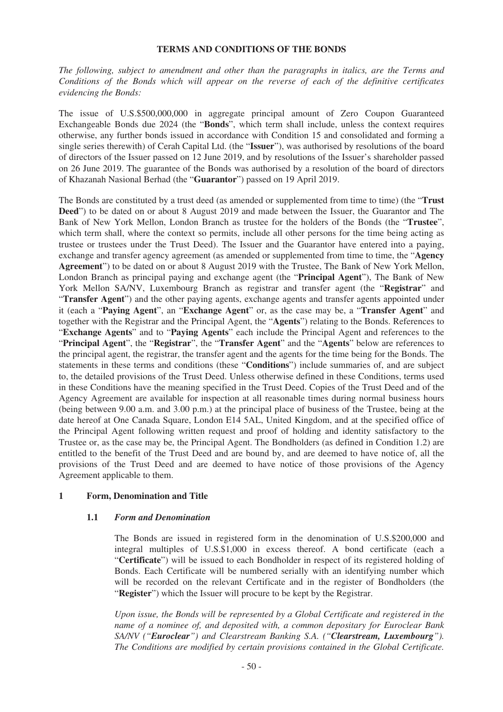#### **TERMS AND CONDITIONS OF THE BONDS**

*The following, subject to amendment and other than the paragraphs in italics, are the Terms and Conditions of the Bonds which will appear on the reverse of each of the definitive certificates evidencing the Bonds:*

The issue of U.S.\$500,000,000 in aggregate principal amount of Zero Coupon Guaranteed Exchangeable Bonds due 2024 (the "**Bonds**", which term shall include, unless the context requires otherwise, any further bonds issued in accordance with Condition 15 and consolidated and forming a single series therewith) of Cerah Capital Ltd. (the "**Issuer**"), was authorised by resolutions of the board of directors of the Issuer passed on 12 June 2019, and by resolutions of the Issuer's shareholder passed on 26 June 2019. The guarantee of the Bonds was authorised by a resolution of the board of directors of Khazanah Nasional Berhad (the "**Guarantor**") passed on 19 April 2019.

The Bonds are constituted by a trust deed (as amended or supplemented from time to time) (the "**Trust Deed**") to be dated on or about 8 August 2019 and made between the Issuer, the Guarantor and The Bank of New York Mellon, London Branch as trustee for the holders of the Bonds (the "**Trustee**", which term shall, where the context so permits, include all other persons for the time being acting as trustee or trustees under the Trust Deed). The Issuer and the Guarantor have entered into a paying, exchange and transfer agency agreement (as amended or supplemented from time to time, the "**Agency Agreement**") to be dated on or about 8 August 2019 with the Trustee, The Bank of New York Mellon, London Branch as principal paying and exchange agent (the "**Principal Agent**"), The Bank of New York Mellon SA/NV, Luxembourg Branch as registrar and transfer agent (the "**Registrar**" and "**Transfer Agent**") and the other paying agents, exchange agents and transfer agents appointed under it (each a "**Paying Agent**", an "**Exchange Agent**" or, as the case may be, a "**Transfer Agent**" and together with the Registrar and the Principal Agent, the "**Agents**") relating to the Bonds. References to "**Exchange Agents**" and to "**Paying Agents**" each include the Principal Agent and references to the "**Principal Agent**", the "**Registrar**", the "**Transfer Agent**" and the "**Agents**" below are references to the principal agent, the registrar, the transfer agent and the agents for the time being for the Bonds. The statements in these terms and conditions (these "**Conditions**") include summaries of, and are subject to, the detailed provisions of the Trust Deed. Unless otherwise defined in these Conditions, terms used in these Conditions have the meaning specified in the Trust Deed. Copies of the Trust Deed and of the Agency Agreement are available for inspection at all reasonable times during normal business hours (being between 9.00 a.m. and 3.00 p.m.) at the principal place of business of the Trustee, being at the date hereof at One Canada Square, London E14 5AL, United Kingdom, and at the specified office of the Principal Agent following written request and proof of holding and identity satisfactory to the Trustee or, as the case may be, the Principal Agent. The Bondholders (as defined in Condition 1.2) are entitled to the benefit of the Trust Deed and are bound by, and are deemed to have notice of, all the provisions of the Trust Deed and are deemed to have notice of those provisions of the Agency Agreement applicable to them.

### **1 Form, Denomination and Title**

### **1.1** *Form and Denomination*

The Bonds are issued in registered form in the denomination of U.S.\$200,000 and integral multiples of U.S.\$1,000 in excess thereof. A bond certificate (each a "**Certificate**") will be issued to each Bondholder in respect of its registered holding of Bonds. Each Certificate will be numbered serially with an identifying number which will be recorded on the relevant Certificate and in the register of Bondholders (the "**Register**") which the Issuer will procure to be kept by the Registrar.

*Upon issue, the Bonds will be represented by a Global Certificate and registered in the name of a nominee of, and deposited with, a common depositary for Euroclear Bank SA/NV ("Euroclear") and Clearstream Banking S.A. ("Clearstream, Luxembourg"). The Conditions are modified by certain provisions contained in the Global Certificate.*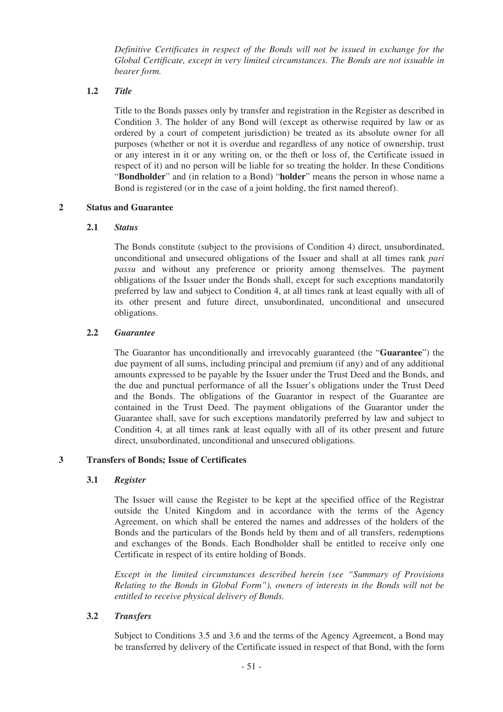*Definitive Certificates in respect of the Bonds will not be issued in exchange for the Global Certificate, except in very limited circumstances. The Bonds are not issuable in bearer form.*

## **1.2** *Title*

Title to the Bonds passes only by transfer and registration in the Register as described in Condition 3. The holder of any Bond will (except as otherwise required by law or as ordered by a court of competent jurisdiction) be treated as its absolute owner for all purposes (whether or not it is overdue and regardless of any notice of ownership, trust or any interest in it or any writing on, or the theft or loss of, the Certificate issued in respect of it) and no person will be liable for so treating the holder. In these Conditions "**Bondholder**" and (in relation to a Bond) "**holder**" means the person in whose name a Bond is registered (or in the case of a joint holding, the first named thereof).

## **2 Status and Guarantee**

## **2.1** *Status*

The Bonds constitute (subject to the provisions of Condition 4) direct, unsubordinated, unconditional and unsecured obligations of the Issuer and shall at all times rank *pari passu* and without any preference or priority among themselves. The payment obligations of the Issuer under the Bonds shall, except for such exceptions mandatorily preferred by law and subject to Condition 4, at all times rank at least equally with all of its other present and future direct, unsubordinated, unconditional and unsecured obligations.

## **2.2** *Guarantee*

The Guarantor has unconditionally and irrevocably guaranteed (the "**Guarantee**") the due payment of all sums, including principal and premium (if any) and of any additional amounts expressed to be payable by the Issuer under the Trust Deed and the Bonds, and the due and punctual performance of all the Issuer's obligations under the Trust Deed and the Bonds. The obligations of the Guarantor in respect of the Guarantee are contained in the Trust Deed. The payment obligations of the Guarantor under the Guarantee shall, save for such exceptions mandatorily preferred by law and subject to Condition 4, at all times rank at least equally with all of its other present and future direct, unsubordinated, unconditional and unsecured obligations.

### **3 Transfers of Bonds; Issue of Certificates**

### **3.1** *Register*

The Issuer will cause the Register to be kept at the specified office of the Registrar outside the United Kingdom and in accordance with the terms of the Agency Agreement, on which shall be entered the names and addresses of the holders of the Bonds and the particulars of the Bonds held by them and of all transfers, redemptions and exchanges of the Bonds. Each Bondholder shall be entitled to receive only one Certificate in respect of its entire holding of Bonds.

*Except in the limited circumstances described herein (see "Summary of Provisions Relating to the Bonds in Global Form"), owners of interests in the Bonds will not be entitled to receive physical delivery of Bonds.*

## **3.2** *Transfers*

Subject to Conditions 3.5 and 3.6 and the terms of the Agency Agreement, a Bond may be transferred by delivery of the Certificate issued in respect of that Bond, with the form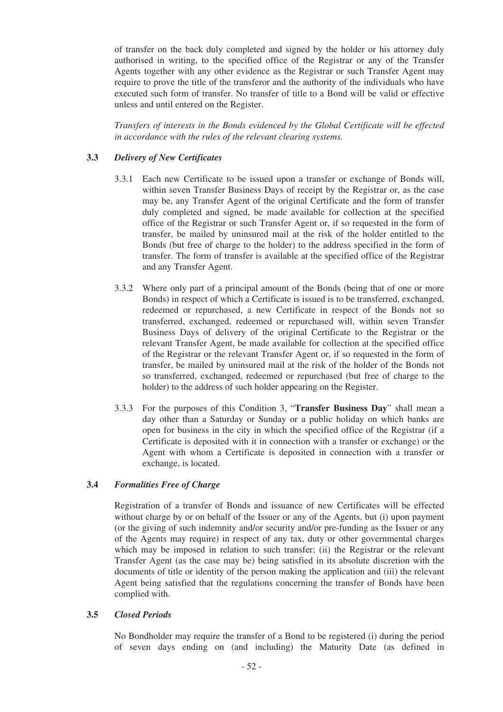of transfer on the back duly completed and signed by the holder or his attorney duly authorised in writing, to the specified office of the Registrar or any of the Transfer Agents together with any other evidence as the Registrar or such Transfer Agent may require to prove the title of the transferor and the authority of the individuals who have executed such form of transfer. No transfer of title to a Bond will be valid or effective unless and until entered on the Register.

*Transfers of interests in the Bonds evidenced by the Global Certificate will be effected in accordance with the rules of the relevant clearing systems.*

## **3.3** *Delivery of New Certificates*

- 3.3.1 Each new Certificate to be issued upon a transfer or exchange of Bonds will, within seven Transfer Business Days of receipt by the Registrar or, as the case may be, any Transfer Agent of the original Certificate and the form of transfer duly completed and signed, be made available for collection at the specified office of the Registrar or such Transfer Agent or, if so requested in the form of transfer, be mailed by uninsured mail at the risk of the holder entitled to the Bonds (but free of charge to the holder) to the address specified in the form of transfer. The form of transfer is available at the specified office of the Registrar and any Transfer Agent.
- 3.3.2 Where only part of a principal amount of the Bonds (being that of one or more Bonds) in respect of which a Certificate is issued is to be transferred, exchanged, redeemed or repurchased, a new Certificate in respect of the Bonds not so transferred, exchanged, redeemed or repurchased will, within seven Transfer Business Days of delivery of the original Certificate to the Registrar or the relevant Transfer Agent, be made available for collection at the specified office of the Registrar or the relevant Transfer Agent or, if so requested in the form of transfer, be mailed by uninsured mail at the risk of the holder of the Bonds not so transferred, exchanged, redeemed or repurchased (but free of charge to the holder) to the address of such holder appearing on the Register.
- 3.3.3 For the purposes of this Condition 3, "**Transfer Business Day**" shall mean a day other than a Saturday or Sunday or a public holiday on which banks are open for business in the city in which the specified office of the Registrar (if a Certificate is deposited with it in connection with a transfer or exchange) or the Agent with whom a Certificate is deposited in connection with a transfer or exchange, is located.

### **3.4** *Formalities Free of Charge*

Registration of a transfer of Bonds and issuance of new Certificates will be effected without charge by or on behalf of the Issuer or any of the Agents, but (i) upon payment (or the giving of such indemnity and/or security and/or pre-funding as the Issuer or any of the Agents may require) in respect of any tax, duty or other governmental charges which may be imposed in relation to such transfer; (ii) the Registrar or the relevant Transfer Agent (as the case may be) being satisfied in its absolute discretion with the documents of title or identity of the person making the application and (iii) the relevant Agent being satisfied that the regulations concerning the transfer of Bonds have been complied with.

### **3.5** *Closed Periods*

No Bondholder may require the transfer of a Bond to be registered (i) during the period of seven days ending on (and including) the Maturity Date (as defined in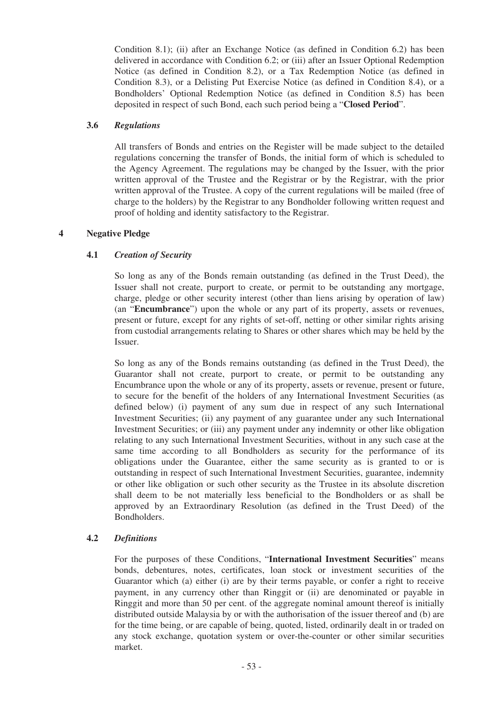Condition 8.1); (ii) after an Exchange Notice (as defined in Condition 6.2) has been delivered in accordance with Condition 6.2; or (iii) after an Issuer Optional Redemption Notice (as defined in Condition 8.2), or a Tax Redemption Notice (as defined in Condition 8.3), or a Delisting Put Exercise Notice (as defined in Condition 8.4), or a Bondholders' Optional Redemption Notice (as defined in Condition 8.5) has been deposited in respect of such Bond, each such period being a "**Closed Period**".

## **3.6** *Regulations*

All transfers of Bonds and entries on the Register will be made subject to the detailed regulations concerning the transfer of Bonds, the initial form of which is scheduled to the Agency Agreement. The regulations may be changed by the Issuer, with the prior written approval of the Trustee and the Registrar or by the Registrar, with the prior written approval of the Trustee. A copy of the current regulations will be mailed (free of charge to the holders) by the Registrar to any Bondholder following written request and proof of holding and identity satisfactory to the Registrar.

## **4 Negative Pledge**

## **4.1** *Creation of Security*

So long as any of the Bonds remain outstanding (as defined in the Trust Deed), the Issuer shall not create, purport to create, or permit to be outstanding any mortgage, charge, pledge or other security interest (other than liens arising by operation of law) (an "**Encumbrance**") upon the whole or any part of its property, assets or revenues, present or future, except for any rights of set-off, netting or other similar rights arising from custodial arrangements relating to Shares or other shares which may be held by the Issuer.

So long as any of the Bonds remains outstanding (as defined in the Trust Deed), the Guarantor shall not create, purport to create, or permit to be outstanding any Encumbrance upon the whole or any of its property, assets or revenue, present or future, to secure for the benefit of the holders of any International Investment Securities (as defined below) (i) payment of any sum due in respect of any such International Investment Securities; (ii) any payment of any guarantee under any such International Investment Securities; or (iii) any payment under any indemnity or other like obligation relating to any such International Investment Securities, without in any such case at the same time according to all Bondholders as security for the performance of its obligations under the Guarantee, either the same security as is granted to or is outstanding in respect of such International Investment Securities, guarantee, indemnity or other like obligation or such other security as the Trustee in its absolute discretion shall deem to be not materially less beneficial to the Bondholders or as shall be approved by an Extraordinary Resolution (as defined in the Trust Deed) of the Bondholders.

## **4.2** *Definitions*

For the purposes of these Conditions, "**International Investment Securities**" means bonds, debentures, notes, certificates, loan stock or investment securities of the Guarantor which (a) either (i) are by their terms payable, or confer a right to receive payment, in any currency other than Ringgit or (ii) are denominated or payable in Ringgit and more than 50 per cent. of the aggregate nominal amount thereof is initially distributed outside Malaysia by or with the authorisation of the issuer thereof and (b) are for the time being, or are capable of being, quoted, listed, ordinarily dealt in or traded on any stock exchange, quotation system or over-the-counter or other similar securities market.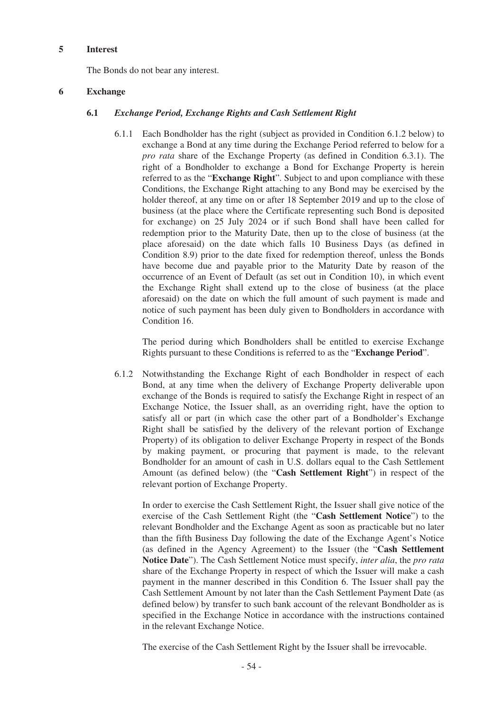#### **5 Interest**

The Bonds do not bear any interest.

### **6 Exchange**

## **6.1** *Exchange Period, Exchange Rights and Cash Settlement Right*

6.1.1 Each Bondholder has the right (subject as provided in Condition 6.1.2 below) to exchange a Bond at any time during the Exchange Period referred to below for a *pro rata* share of the Exchange Property (as defined in Condition 6.3.1). The right of a Bondholder to exchange a Bond for Exchange Property is herein referred to as the "**Exchange Right**". Subject to and upon compliance with these Conditions, the Exchange Right attaching to any Bond may be exercised by the holder thereof, at any time on or after 18 September 2019 and up to the close of business (at the place where the Certificate representing such Bond is deposited for exchange) on 25 July 2024 or if such Bond shall have been called for redemption prior to the Maturity Date, then up to the close of business (at the place aforesaid) on the date which falls 10 Business Days (as defined in Condition 8.9) prior to the date fixed for redemption thereof, unless the Bonds have become due and payable prior to the Maturity Date by reason of the occurrence of an Event of Default (as set out in Condition 10), in which event the Exchange Right shall extend up to the close of business (at the place aforesaid) on the date on which the full amount of such payment is made and notice of such payment has been duly given to Bondholders in accordance with Condition 16.

The period during which Bondholders shall be entitled to exercise Exchange Rights pursuant to these Conditions is referred to as the "**Exchange Period**".

6.1.2 Notwithstanding the Exchange Right of each Bondholder in respect of each Bond, at any time when the delivery of Exchange Property deliverable upon exchange of the Bonds is required to satisfy the Exchange Right in respect of an Exchange Notice, the Issuer shall, as an overriding right, have the option to satisfy all or part (in which case the other part of a Bondholder's Exchange Right shall be satisfied by the delivery of the relevant portion of Exchange Property) of its obligation to deliver Exchange Property in respect of the Bonds by making payment, or procuring that payment is made, to the relevant Bondholder for an amount of cash in U.S. dollars equal to the Cash Settlement Amount (as defined below) (the "**Cash Settlement Right**") in respect of the relevant portion of Exchange Property.

In order to exercise the Cash Settlement Right, the Issuer shall give notice of the exercise of the Cash Settlement Right (the "**Cash Settlement Notice**") to the relevant Bondholder and the Exchange Agent as soon as practicable but no later than the fifth Business Day following the date of the Exchange Agent's Notice (as defined in the Agency Agreement) to the Issuer (the "**Cash Settlement Notice Date**"). The Cash Settlement Notice must specify, *inter alia*, the *pro rata* share of the Exchange Property in respect of which the Issuer will make a cash payment in the manner described in this Condition 6. The Issuer shall pay the Cash Settlement Amount by not later than the Cash Settlement Payment Date (as defined below) by transfer to such bank account of the relevant Bondholder as is specified in the Exchange Notice in accordance with the instructions contained in the relevant Exchange Notice.

The exercise of the Cash Settlement Right by the Issuer shall be irrevocable.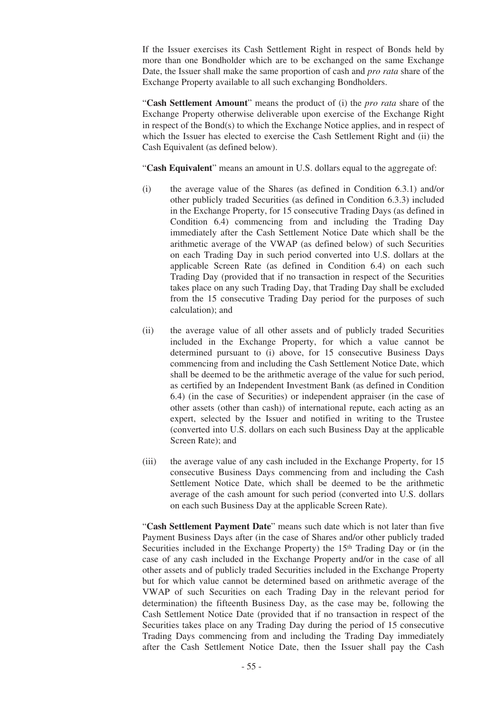If the Issuer exercises its Cash Settlement Right in respect of Bonds held by more than one Bondholder which are to be exchanged on the same Exchange Date, the Issuer shall make the same proportion of cash and *pro rata* share of the Exchange Property available to all such exchanging Bondholders.

"**Cash Settlement Amount**" means the product of (i) the *pro rata* share of the Exchange Property otherwise deliverable upon exercise of the Exchange Right in respect of the Bond(s) to which the Exchange Notice applies, and in respect of which the Issuer has elected to exercise the Cash Settlement Right and (ii) the Cash Equivalent (as defined below).

"**Cash Equivalent**" means an amount in U.S. dollars equal to the aggregate of:

- (i) the average value of the Shares (as defined in Condition 6.3.1) and/or other publicly traded Securities (as defined in Condition 6.3.3) included in the Exchange Property, for 15 consecutive Trading Days (as defined in Condition 6.4) commencing from and including the Trading Day immediately after the Cash Settlement Notice Date which shall be the arithmetic average of the VWAP (as defined below) of such Securities on each Trading Day in such period converted into U.S. dollars at the applicable Screen Rate (as defined in Condition 6.4) on each such Trading Day (provided that if no transaction in respect of the Securities takes place on any such Trading Day, that Trading Day shall be excluded from the 15 consecutive Trading Day period for the purposes of such calculation); and
- (ii) the average value of all other assets and of publicly traded Securities included in the Exchange Property, for which a value cannot be determined pursuant to (i) above, for 15 consecutive Business Days commencing from and including the Cash Settlement Notice Date, which shall be deemed to be the arithmetic average of the value for such period, as certified by an Independent Investment Bank (as defined in Condition 6.4) (in the case of Securities) or independent appraiser (in the case of other assets (other than cash)) of international repute, each acting as an expert, selected by the Issuer and notified in writing to the Trustee (converted into U.S. dollars on each such Business Day at the applicable Screen Rate); and
- (iii) the average value of any cash included in the Exchange Property, for 15 consecutive Business Days commencing from and including the Cash Settlement Notice Date, which shall be deemed to be the arithmetic average of the cash amount for such period (converted into U.S. dollars on each such Business Day at the applicable Screen Rate).

"**Cash Settlement Payment Date**" means such date which is not later than five Payment Business Days after (in the case of Shares and/or other publicly traded Securities included in the Exchange Property) the 15<sup>th</sup> Trading Day or (in the case of any cash included in the Exchange Property and/or in the case of all other assets and of publicly traded Securities included in the Exchange Property but for which value cannot be determined based on arithmetic average of the VWAP of such Securities on each Trading Day in the relevant period for determination) the fifteenth Business Day, as the case may be, following the Cash Settlement Notice Date (provided that if no transaction in respect of the Securities takes place on any Trading Day during the period of 15 consecutive Trading Days commencing from and including the Trading Day immediately after the Cash Settlement Notice Date, then the Issuer shall pay the Cash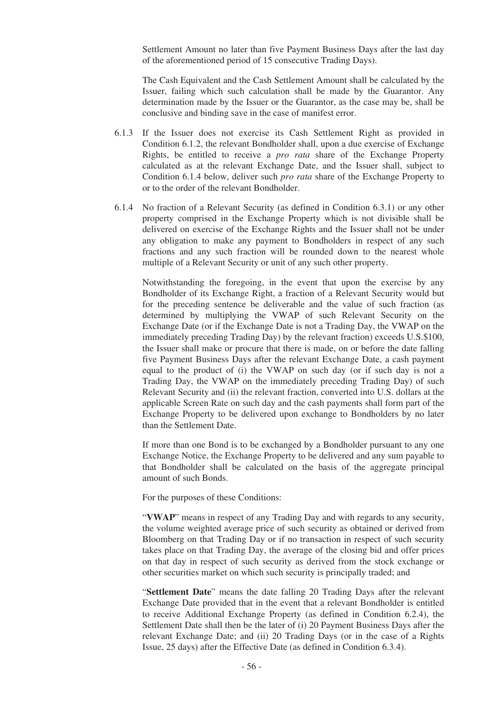Settlement Amount no later than five Payment Business Days after the last day of the aforementioned period of 15 consecutive Trading Days).

The Cash Equivalent and the Cash Settlement Amount shall be calculated by the Issuer, failing which such calculation shall be made by the Guarantor. Any determination made by the Issuer or the Guarantor, as the case may be, shall be conclusive and binding save in the case of manifest error.

- 6.1.3 If the Issuer does not exercise its Cash Settlement Right as provided in Condition 6.1.2, the relevant Bondholder shall, upon a due exercise of Exchange Rights, be entitled to receive a *pro rata* share of the Exchange Property calculated as at the relevant Exchange Date, and the Issuer shall, subject to Condition 6.1.4 below, deliver such *pro rata* share of the Exchange Property to or to the order of the relevant Bondholder.
- 6.1.4 No fraction of a Relevant Security (as defined in Condition 6.3.1) or any other property comprised in the Exchange Property which is not divisible shall be delivered on exercise of the Exchange Rights and the Issuer shall not be under any obligation to make any payment to Bondholders in respect of any such fractions and any such fraction will be rounded down to the nearest whole multiple of a Relevant Security or unit of any such other property.

Notwithstanding the foregoing, in the event that upon the exercise by any Bondholder of its Exchange Right, a fraction of a Relevant Security would but for the preceding sentence be deliverable and the value of such fraction (as determined by multiplying the VWAP of such Relevant Security on the Exchange Date (or if the Exchange Date is not a Trading Day, the VWAP on the immediately preceding Trading Day) by the relevant fraction) exceeds U.S.\$100, the Issuer shall make or procure that there is made, on or before the date falling five Payment Business Days after the relevant Exchange Date, a cash payment equal to the product of (i) the VWAP on such day (or if such day is not a Trading Day, the VWAP on the immediately preceding Trading Day) of such Relevant Security and (ii) the relevant fraction, converted into U.S. dollars at the applicable Screen Rate on such day and the cash payments shall form part of the Exchange Property to be delivered upon exchange to Bondholders by no later than the Settlement Date.

If more than one Bond is to be exchanged by a Bondholder pursuant to any one Exchange Notice, the Exchange Property to be delivered and any sum payable to that Bondholder shall be calculated on the basis of the aggregate principal amount of such Bonds.

For the purposes of these Conditions:

"**VWAP**" means in respect of any Trading Day and with regards to any security, the volume weighted average price of such security as obtained or derived from Bloomberg on that Trading Day or if no transaction in respect of such security takes place on that Trading Day, the average of the closing bid and offer prices on that day in respect of such security as derived from the stock exchange or other securities market on which such security is principally traded; and

"**Settlement Date**" means the date falling 20 Trading Days after the relevant Exchange Date provided that in the event that a relevant Bondholder is entitled to receive Additional Exchange Property (as defined in Condition 6.2.4), the Settlement Date shall then be the later of (i) 20 Payment Business Days after the relevant Exchange Date; and (ii) 20 Trading Days (or in the case of a Rights Issue, 25 days) after the Effective Date (as defined in Condition 6.3.4).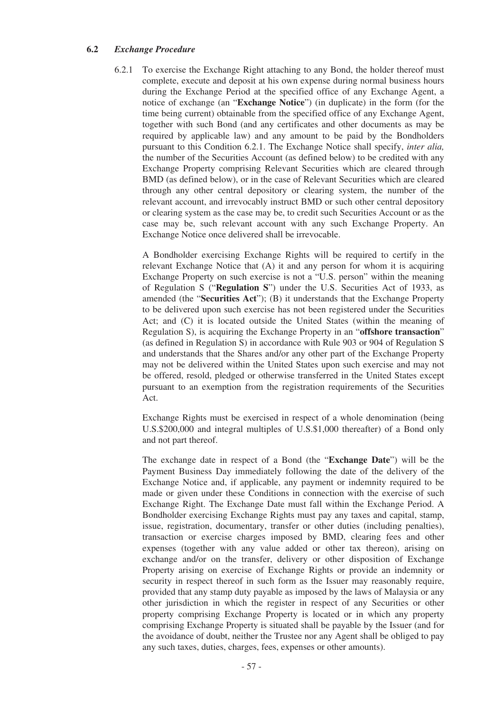### **6.2** *Exchange Procedure*

6.2.1 To exercise the Exchange Right attaching to any Bond, the holder thereof must complete, execute and deposit at his own expense during normal business hours during the Exchange Period at the specified office of any Exchange Agent, a notice of exchange (an "**Exchange Notice**") (in duplicate) in the form (for the time being current) obtainable from the specified office of any Exchange Agent, together with such Bond (and any certificates and other documents as may be required by applicable law) and any amount to be paid by the Bondholders pursuant to this Condition 6.2.1. The Exchange Notice shall specify, *inter alia,* the number of the Securities Account (as defined below) to be credited with any Exchange Property comprising Relevant Securities which are cleared through BMD (as defined below), or in the case of Relevant Securities which are cleared through any other central depository or clearing system, the number of the relevant account, and irrevocably instruct BMD or such other central depository or clearing system as the case may be, to credit such Securities Account or as the case may be, such relevant account with any such Exchange Property. An Exchange Notice once delivered shall be irrevocable.

A Bondholder exercising Exchange Rights will be required to certify in the relevant Exchange Notice that (A) it and any person for whom it is acquiring Exchange Property on such exercise is not a "U.S. person" within the meaning of Regulation S ("**Regulation S**") under the U.S. Securities Act of 1933, as amended (the "**Securities Act**"); (B) it understands that the Exchange Property to be delivered upon such exercise has not been registered under the Securities Act; and (C) it is located outside the United States (within the meaning of Regulation S), is acquiring the Exchange Property in an "**offshore transaction**" (as defined in Regulation S) in accordance with Rule 903 or 904 of Regulation S and understands that the Shares and/or any other part of the Exchange Property may not be delivered within the United States upon such exercise and may not be offered, resold, pledged or otherwise transferred in the United States except pursuant to an exemption from the registration requirements of the Securities Act.

Exchange Rights must be exercised in respect of a whole denomination (being U.S.\$200,000 and integral multiples of U.S.\$1,000 thereafter) of a Bond only and not part thereof.

The exchange date in respect of a Bond (the "**Exchange Date**") will be the Payment Business Day immediately following the date of the delivery of the Exchange Notice and, if applicable, any payment or indemnity required to be made or given under these Conditions in connection with the exercise of such Exchange Right. The Exchange Date must fall within the Exchange Period. A Bondholder exercising Exchange Rights must pay any taxes and capital, stamp, issue, registration, documentary, transfer or other duties (including penalties), transaction or exercise charges imposed by BMD, clearing fees and other expenses (together with any value added or other tax thereon), arising on exchange and/or on the transfer, delivery or other disposition of Exchange Property arising on exercise of Exchange Rights or provide an indemnity or security in respect thereof in such form as the Issuer may reasonably require, provided that any stamp duty payable as imposed by the laws of Malaysia or any other jurisdiction in which the register in respect of any Securities or other property comprising Exchange Property is located or in which any property comprising Exchange Property is situated shall be payable by the Issuer (and for the avoidance of doubt, neither the Trustee nor any Agent shall be obliged to pay any such taxes, duties, charges, fees, expenses or other amounts).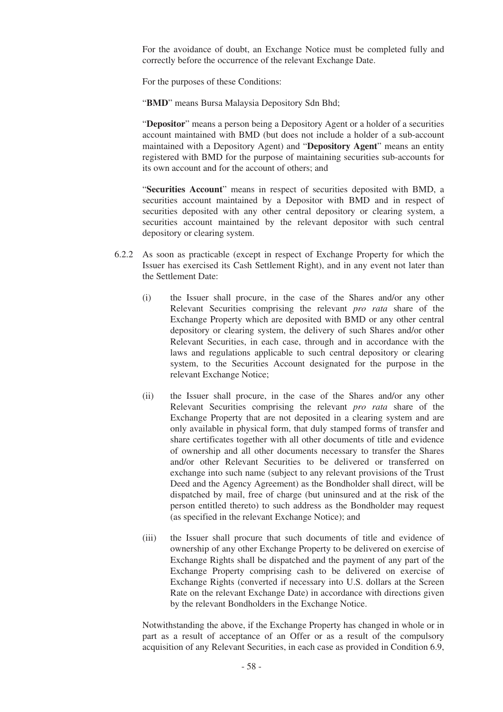For the avoidance of doubt, an Exchange Notice must be completed fully and correctly before the occurrence of the relevant Exchange Date.

For the purposes of these Conditions:

"**BMD**" means Bursa Malaysia Depository Sdn Bhd;

"**Depositor**" means a person being a Depository Agent or a holder of a securities account maintained with BMD (but does not include a holder of a sub-account maintained with a Depository Agent) and "**Depository Agent**" means an entity registered with BMD for the purpose of maintaining securities sub-accounts for its own account and for the account of others; and

"**Securities Account**" means in respect of securities deposited with BMD, a securities account maintained by a Depositor with BMD and in respect of securities deposited with any other central depository or clearing system, a securities account maintained by the relevant depositor with such central depository or clearing system.

- 6.2.2 As soon as practicable (except in respect of Exchange Property for which the Issuer has exercised its Cash Settlement Right), and in any event not later than the Settlement Date:
	- (i) the Issuer shall procure, in the case of the Shares and/or any other Relevant Securities comprising the relevant *pro rata* share of the Exchange Property which are deposited with BMD or any other central depository or clearing system, the delivery of such Shares and/or other Relevant Securities, in each case, through and in accordance with the laws and regulations applicable to such central depository or clearing system, to the Securities Account designated for the purpose in the relevant Exchange Notice;
	- (ii) the Issuer shall procure, in the case of the Shares and/or any other Relevant Securities comprising the relevant *pro rata* share of the Exchange Property that are not deposited in a clearing system and are only available in physical form, that duly stamped forms of transfer and share certificates together with all other documents of title and evidence of ownership and all other documents necessary to transfer the Shares and/or other Relevant Securities to be delivered or transferred on exchange into such name (subject to any relevant provisions of the Trust Deed and the Agency Agreement) as the Bondholder shall direct, will be dispatched by mail, free of charge (but uninsured and at the risk of the person entitled thereto) to such address as the Bondholder may request (as specified in the relevant Exchange Notice); and
	- (iii) the Issuer shall procure that such documents of title and evidence of ownership of any other Exchange Property to be delivered on exercise of Exchange Rights shall be dispatched and the payment of any part of the Exchange Property comprising cash to be delivered on exercise of Exchange Rights (converted if necessary into U.S. dollars at the Screen Rate on the relevant Exchange Date) in accordance with directions given by the relevant Bondholders in the Exchange Notice.

Notwithstanding the above, if the Exchange Property has changed in whole or in part as a result of acceptance of an Offer or as a result of the compulsory acquisition of any Relevant Securities, in each case as provided in Condition 6.9,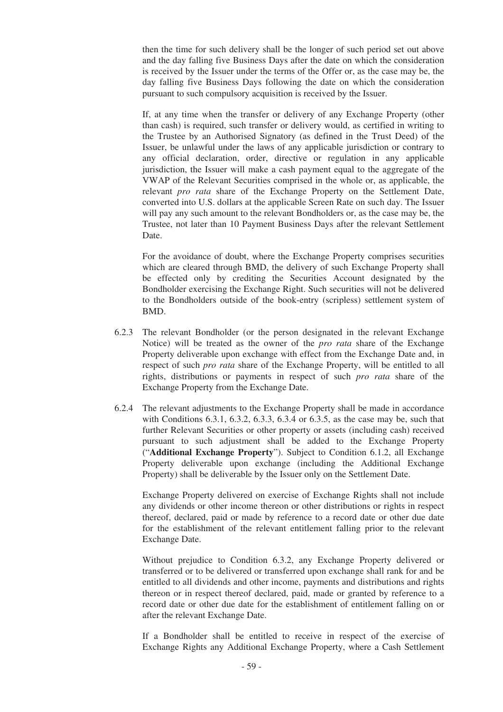then the time for such delivery shall be the longer of such period set out above and the day falling five Business Days after the date on which the consideration is received by the Issuer under the terms of the Offer or, as the case may be, the day falling five Business Days following the date on which the consideration pursuant to such compulsory acquisition is received by the Issuer.

If, at any time when the transfer or delivery of any Exchange Property (other than cash) is required, such transfer or delivery would, as certified in writing to the Trustee by an Authorised Signatory (as defined in the Trust Deed) of the Issuer, be unlawful under the laws of any applicable jurisdiction or contrary to any official declaration, order, directive or regulation in any applicable jurisdiction, the Issuer will make a cash payment equal to the aggregate of the VWAP of the Relevant Securities comprised in the whole or, as applicable, the relevant *pro rata* share of the Exchange Property on the Settlement Date, converted into U.S. dollars at the applicable Screen Rate on such day. The Issuer will pay any such amount to the relevant Bondholders or, as the case may be, the Trustee, not later than 10 Payment Business Days after the relevant Settlement Date.

For the avoidance of doubt, where the Exchange Property comprises securities which are cleared through BMD, the delivery of such Exchange Property shall be effected only by crediting the Securities Account designated by the Bondholder exercising the Exchange Right. Such securities will not be delivered to the Bondholders outside of the book-entry (scripless) settlement system of BMD.

- 6.2.3 The relevant Bondholder (or the person designated in the relevant Exchange Notice) will be treated as the owner of the *pro rata* share of the Exchange Property deliverable upon exchange with effect from the Exchange Date and, in respect of such *pro rata* share of the Exchange Property, will be entitled to all rights, distributions or payments in respect of such *pro rata* share of the Exchange Property from the Exchange Date.
- 6.2.4 The relevant adjustments to the Exchange Property shall be made in accordance with Conditions 6.3.1, 6.3.2, 6.3.3, 6.3.4 or 6.3.5, as the case may be, such that further Relevant Securities or other property or assets (including cash) received pursuant to such adjustment shall be added to the Exchange Property ("**Additional Exchange Property**"). Subject to Condition 6.1.2, all Exchange Property deliverable upon exchange (including the Additional Exchange Property) shall be deliverable by the Issuer only on the Settlement Date.

Exchange Property delivered on exercise of Exchange Rights shall not include any dividends or other income thereon or other distributions or rights in respect thereof, declared, paid or made by reference to a record date or other due date for the establishment of the relevant entitlement falling prior to the relevant Exchange Date.

Without prejudice to Condition 6.3.2, any Exchange Property delivered or transferred or to be delivered or transferred upon exchange shall rank for and be entitled to all dividends and other income, payments and distributions and rights thereon or in respect thereof declared, paid, made or granted by reference to a record date or other due date for the establishment of entitlement falling on or after the relevant Exchange Date.

If a Bondholder shall be entitled to receive in respect of the exercise of Exchange Rights any Additional Exchange Property, where a Cash Settlement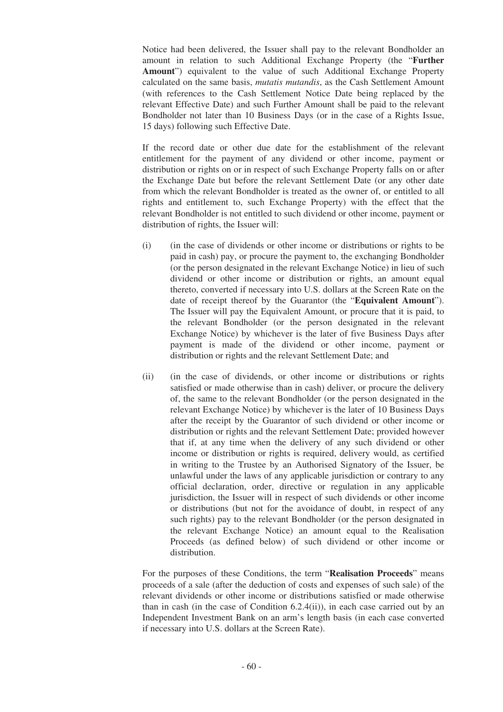Notice had been delivered, the Issuer shall pay to the relevant Bondholder an amount in relation to such Additional Exchange Property (the "**Further** Amount") equivalent to the value of such Additional Exchange Property calculated on the same basis, *mutatis mutandis*, as the Cash Settlement Amount (with references to the Cash Settlement Notice Date being replaced by the relevant Effective Date) and such Further Amount shall be paid to the relevant Bondholder not later than 10 Business Days (or in the case of a Rights Issue, 15 days) following such Effective Date.

If the record date or other due date for the establishment of the relevant entitlement for the payment of any dividend or other income, payment or distribution or rights on or in respect of such Exchange Property falls on or after the Exchange Date but before the relevant Settlement Date (or any other date from which the relevant Bondholder is treated as the owner of, or entitled to all rights and entitlement to, such Exchange Property) with the effect that the relevant Bondholder is not entitled to such dividend or other income, payment or distribution of rights, the Issuer will:

- (i) (in the case of dividends or other income or distributions or rights to be paid in cash) pay, or procure the payment to, the exchanging Bondholder (or the person designated in the relevant Exchange Notice) in lieu of such dividend or other income or distribution or rights, an amount equal thereto, converted if necessary into U.S. dollars at the Screen Rate on the date of receipt thereof by the Guarantor (the "**Equivalent Amount**"). The Issuer will pay the Equivalent Amount, or procure that it is paid, to the relevant Bondholder (or the person designated in the relevant Exchange Notice) by whichever is the later of five Business Days after payment is made of the dividend or other income, payment or distribution or rights and the relevant Settlement Date; and
- (ii) (in the case of dividends, or other income or distributions or rights satisfied or made otherwise than in cash) deliver, or procure the delivery of, the same to the relevant Bondholder (or the person designated in the relevant Exchange Notice) by whichever is the later of 10 Business Days after the receipt by the Guarantor of such dividend or other income or distribution or rights and the relevant Settlement Date; provided however that if, at any time when the delivery of any such dividend or other income or distribution or rights is required, delivery would, as certified in writing to the Trustee by an Authorised Signatory of the Issuer, be unlawful under the laws of any applicable jurisdiction or contrary to any official declaration, order, directive or regulation in any applicable jurisdiction, the Issuer will in respect of such dividends or other income or distributions (but not for the avoidance of doubt, in respect of any such rights) pay to the relevant Bondholder (or the person designated in the relevant Exchange Notice) an amount equal to the Realisation Proceeds (as defined below) of such dividend or other income or distribution.

For the purposes of these Conditions, the term "**Realisation Proceeds**" means proceeds of a sale (after the deduction of costs and expenses of such sale) of the relevant dividends or other income or distributions satisfied or made otherwise than in cash (in the case of Condition 6.2.4(ii)), in each case carried out by an Independent Investment Bank on an arm's length basis (in each case converted if necessary into U.S. dollars at the Screen Rate).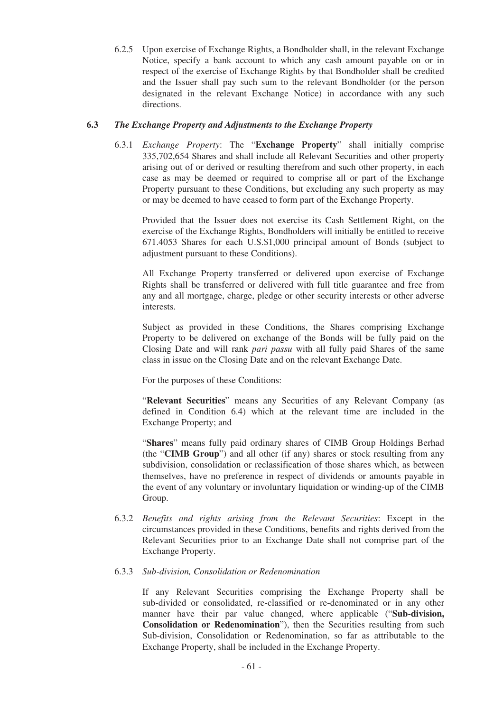6.2.5 Upon exercise of Exchange Rights, a Bondholder shall, in the relevant Exchange Notice, specify a bank account to which any cash amount payable on or in respect of the exercise of Exchange Rights by that Bondholder shall be credited and the Issuer shall pay such sum to the relevant Bondholder (or the person designated in the relevant Exchange Notice) in accordance with any such directions.

## **6.3** *The Exchange Property and Adjustments to the Exchange Property*

6.3.1 *Exchange Property*: The "**Exchange Property**" shall initially comprise 335,702,654 Shares and shall include all Relevant Securities and other property arising out of or derived or resulting therefrom and such other property, in each case as may be deemed or required to comprise all or part of the Exchange Property pursuant to these Conditions, but excluding any such property as may or may be deemed to have ceased to form part of the Exchange Property.

Provided that the Issuer does not exercise its Cash Settlement Right, on the exercise of the Exchange Rights, Bondholders will initially be entitled to receive 671.4053 Shares for each U.S.\$1,000 principal amount of Bonds (subject to adjustment pursuant to these Conditions).

All Exchange Property transferred or delivered upon exercise of Exchange Rights shall be transferred or delivered with full title guarantee and free from any and all mortgage, charge, pledge or other security interests or other adverse interests.

Subject as provided in these Conditions, the Shares comprising Exchange Property to be delivered on exchange of the Bonds will be fully paid on the Closing Date and will rank *pari passu* with all fully paid Shares of the same class in issue on the Closing Date and on the relevant Exchange Date.

For the purposes of these Conditions:

"**Relevant Securities**" means any Securities of any Relevant Company (as defined in Condition 6.4) which at the relevant time are included in the Exchange Property; and

"**Shares**" means fully paid ordinary shares of CIMB Group Holdings Berhad (the "**CIMB Group**") and all other (if any) shares or stock resulting from any subdivision, consolidation or reclassification of those shares which, as between themselves, have no preference in respect of dividends or amounts payable in the event of any voluntary or involuntary liquidation or winding-up of the CIMB Group.

6.3.2 *Benefits and rights arising from the Relevant Securities*: Except in the circumstances provided in these Conditions, benefits and rights derived from the Relevant Securities prior to an Exchange Date shall not comprise part of the Exchange Property.

### 6.3.3 *Sub-division, Consolidation or Redenomination*

If any Relevant Securities comprising the Exchange Property shall be sub-divided or consolidated, re-classified or re-denominated or in any other manner have their par value changed, where applicable ("**Sub-division, Consolidation or Redenomination**"), then the Securities resulting from such Sub-division, Consolidation or Redenomination, so far as attributable to the Exchange Property, shall be included in the Exchange Property.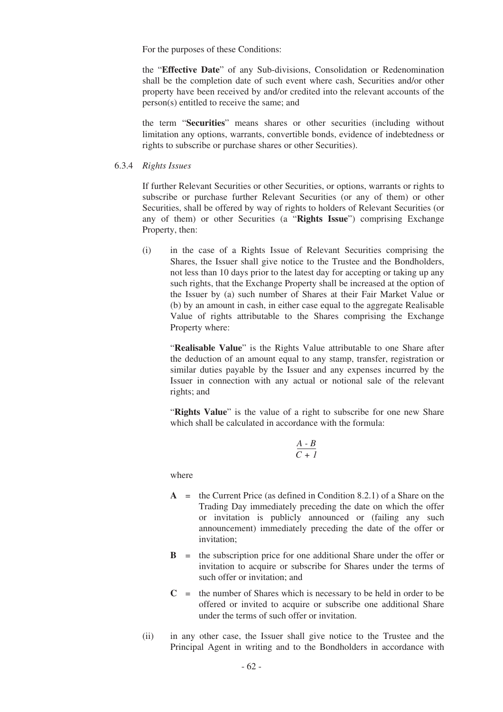For the purposes of these Conditions:

the "**Effective Date**" of any Sub-divisions, Consolidation or Redenomination shall be the completion date of such event where cash, Securities and/or other property have been received by and/or credited into the relevant accounts of the person(s) entitled to receive the same; and

the term "**Securities**" means shares or other securities (including without limitation any options, warrants, convertible bonds, evidence of indebtedness or rights to subscribe or purchase shares or other Securities).

#### 6.3.4 *Rights Issues*

If further Relevant Securities or other Securities, or options, warrants or rights to subscribe or purchase further Relevant Securities (or any of them) or other Securities, shall be offered by way of rights to holders of Relevant Securities (or any of them) or other Securities (a "**Rights Issue**") comprising Exchange Property, then:

(i) in the case of a Rights Issue of Relevant Securities comprising the Shares, the Issuer shall give notice to the Trustee and the Bondholders, not less than 10 days prior to the latest day for accepting or taking up any such rights, that the Exchange Property shall be increased at the option of the Issuer by (a) such number of Shares at their Fair Market Value or (b) by an amount in cash, in either case equal to the aggregate Realisable Value of rights attributable to the Shares comprising the Exchange Property where:

"**Realisable Value**" is the Rights Value attributable to one Share after the deduction of an amount equal to any stamp, transfer, registration or similar duties payable by the Issuer and any expenses incurred by the Issuer in connection with any actual or notional sale of the relevant rights; and

"**Rights Value**" is the value of a right to subscribe for one new Share which shall be calculated in accordance with the formula:

$$
\frac{A\cdot B}{C+I}
$$

where

- **A** = the Current Price (as defined in Condition 8.2.1) of a Share on the Trading Day immediately preceding the date on which the offer or invitation is publicly announced or (failing any such announcement) immediately preceding the date of the offer or invitation;
- **B** = the subscription price for one additional Share under the offer or invitation to acquire or subscribe for Shares under the terms of such offer or invitation; and
- $C =$  the number of Shares which is necessary to be held in order to be offered or invited to acquire or subscribe one additional Share under the terms of such offer or invitation.
- (ii) in any other case, the Issuer shall give notice to the Trustee and the Principal Agent in writing and to the Bondholders in accordance with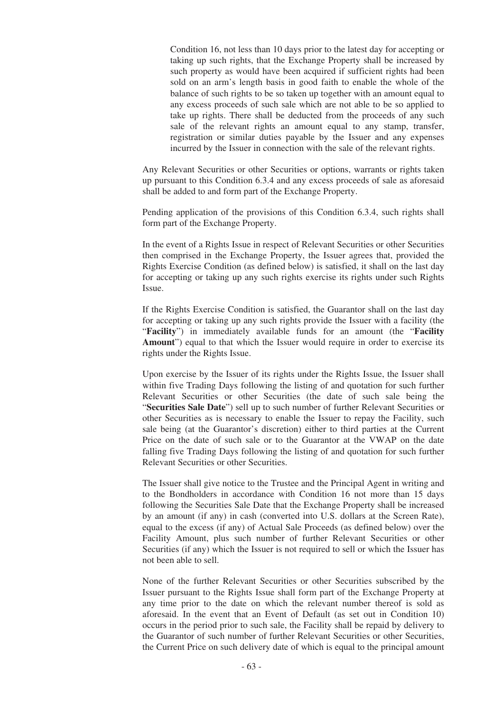Condition 16, not less than 10 days prior to the latest day for accepting or taking up such rights, that the Exchange Property shall be increased by such property as would have been acquired if sufficient rights had been sold on an arm's length basis in good faith to enable the whole of the balance of such rights to be so taken up together with an amount equal to any excess proceeds of such sale which are not able to be so applied to take up rights. There shall be deducted from the proceeds of any such sale of the relevant rights an amount equal to any stamp, transfer, registration or similar duties payable by the Issuer and any expenses incurred by the Issuer in connection with the sale of the relevant rights.

Any Relevant Securities or other Securities or options, warrants or rights taken up pursuant to this Condition 6.3.4 and any excess proceeds of sale as aforesaid shall be added to and form part of the Exchange Property.

Pending application of the provisions of this Condition 6.3.4, such rights shall form part of the Exchange Property.

In the event of a Rights Issue in respect of Relevant Securities or other Securities then comprised in the Exchange Property, the Issuer agrees that, provided the Rights Exercise Condition (as defined below) is satisfied, it shall on the last day for accepting or taking up any such rights exercise its rights under such Rights Issue.

If the Rights Exercise Condition is satisfied, the Guarantor shall on the last day for accepting or taking up any such rights provide the Issuer with a facility (the "**Facility**") in immediately available funds for an amount (the "**Facility Amount**") equal to that which the Issuer would require in order to exercise its rights under the Rights Issue.

Upon exercise by the Issuer of its rights under the Rights Issue, the Issuer shall within five Trading Days following the listing of and quotation for such further Relevant Securities or other Securities (the date of such sale being the "**Securities Sale Date**") sell up to such number of further Relevant Securities or other Securities as is necessary to enable the Issuer to repay the Facility, such sale being (at the Guarantor's discretion) either to third parties at the Current Price on the date of such sale or to the Guarantor at the VWAP on the date falling five Trading Days following the listing of and quotation for such further Relevant Securities or other Securities.

The Issuer shall give notice to the Trustee and the Principal Agent in writing and to the Bondholders in accordance with Condition 16 not more than 15 days following the Securities Sale Date that the Exchange Property shall be increased by an amount (if any) in cash (converted into U.S. dollars at the Screen Rate), equal to the excess (if any) of Actual Sale Proceeds (as defined below) over the Facility Amount, plus such number of further Relevant Securities or other Securities (if any) which the Issuer is not required to sell or which the Issuer has not been able to sell.

None of the further Relevant Securities or other Securities subscribed by the Issuer pursuant to the Rights Issue shall form part of the Exchange Property at any time prior to the date on which the relevant number thereof is sold as aforesaid. In the event that an Event of Default (as set out in Condition 10) occurs in the period prior to such sale, the Facility shall be repaid by delivery to the Guarantor of such number of further Relevant Securities or other Securities, the Current Price on such delivery date of which is equal to the principal amount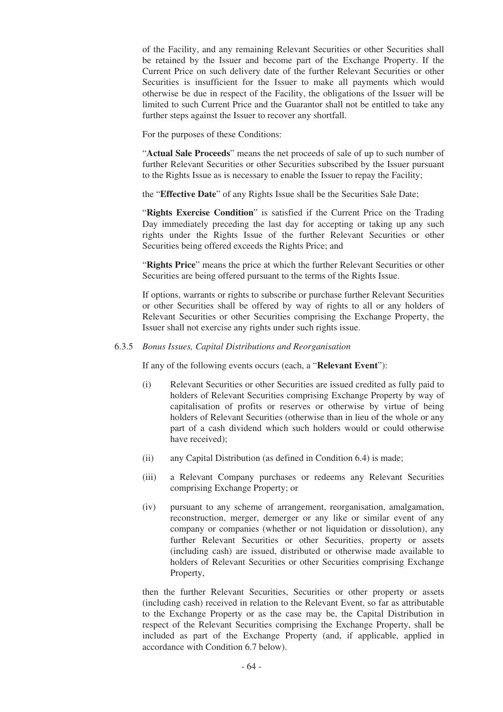of the Facility, and any remaining Relevant Securities or other Securities shall be retained by the Issuer and become part of the Exchange Property. If the Current Price on such delivery date of the further Relevant Securities or other Securities is insufficient for the Issuer to make all payments which would otherwise be due in respect of the Facility, the obligations of the Issuer will be limited to such Current Price and the Guarantor shall not be entitled to take any further steps against the Issuer to recover any shortfall.

For the purposes of these Conditions:

"**Actual Sale Proceeds**" means the net proceeds of sale of up to such number of further Relevant Securities or other Securities subscribed by the Issuer pursuant to the Rights Issue as is necessary to enable the Issuer to repay the Facility;

the "**Effective Date**" of any Rights Issue shall be the Securities Sale Date;

"**Rights Exercise Condition**" is satisfied if the Current Price on the Trading Day immediately preceding the last day for accepting or taking up any such rights under the Rights Issue of the further Relevant Securities or other Securities being offered exceeds the Rights Price; and

"**Rights Price**" means the price at which the further Relevant Securities or other Securities are being offered pursuant to the terms of the Rights Issue.

If options, warrants or rights to subscribe or purchase further Relevant Securities or other Securities shall be offered by way of rights to all or any holders of Relevant Securities or other Securities comprising the Exchange Property, the Issuer shall not exercise any rights under such rights issue.

#### 6.3.5 *Bonus Issues, Capital Distributions and Reorganisation*

If any of the following events occurs (each, a "**Relevant Event**"):

- (i) Relevant Securities or other Securities are issued credited as fully paid to holders of Relevant Securities comprising Exchange Property by way of capitalisation of profits or reserves or otherwise by virtue of being holders of Relevant Securities (otherwise than in lieu of the whole or any part of a cash dividend which such holders would or could otherwise have received);
- (ii) any Capital Distribution (as defined in Condition 6.4) is made;
- (iii) a Relevant Company purchases or redeems any Relevant Securities comprising Exchange Property; or
- (iv) pursuant to any scheme of arrangement, reorganisation, amalgamation, reconstruction, merger, demerger or any like or similar event of any company or companies (whether or not liquidation or dissolution), any further Relevant Securities or other Securities, property or assets (including cash) are issued, distributed or otherwise made available to holders of Relevant Securities or other Securities comprising Exchange Property,

then the further Relevant Securities, Securities or other property or assets (including cash) received in relation to the Relevant Event, so far as attributable to the Exchange Property or as the case may be, the Capital Distribution in respect of the Relevant Securities comprising the Exchange Property, shall be included as part of the Exchange Property (and, if applicable, applied in accordance with Condition 6.7 below).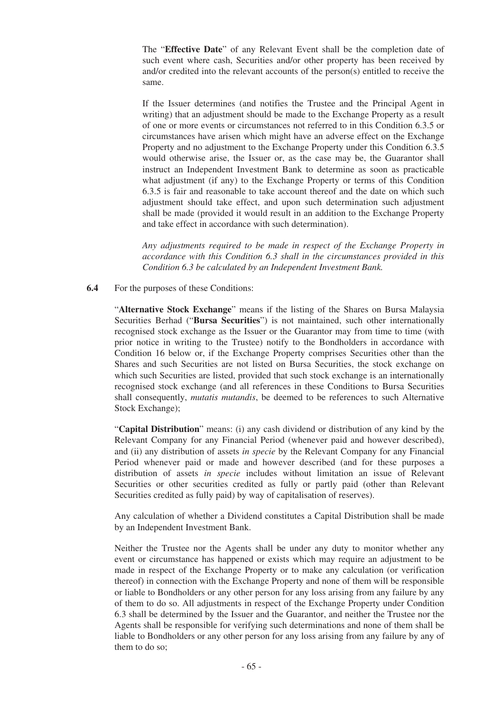The "**Effective Date**" of any Relevant Event shall be the completion date of such event where cash, Securities and/or other property has been received by and/or credited into the relevant accounts of the person(s) entitled to receive the same.

If the Issuer determines (and notifies the Trustee and the Principal Agent in writing) that an adjustment should be made to the Exchange Property as a result of one or more events or circumstances not referred to in this Condition 6.3.5 or circumstances have arisen which might have an adverse effect on the Exchange Property and no adjustment to the Exchange Property under this Condition 6.3.5 would otherwise arise, the Issuer or, as the case may be, the Guarantor shall instruct an Independent Investment Bank to determine as soon as practicable what adjustment (if any) to the Exchange Property or terms of this Condition 6.3.5 is fair and reasonable to take account thereof and the date on which such adjustment should take effect, and upon such determination such adjustment shall be made (provided it would result in an addition to the Exchange Property and take effect in accordance with such determination).

*Any adjustments required to be made in respect of the Exchange Property in accordance with this Condition 6.3 shall in the circumstances provided in this Condition 6.3 be calculated by an Independent Investment Bank.*

**6.4** For the purposes of these Conditions:

"**Alternative Stock Exchange**" means if the listing of the Shares on Bursa Malaysia Securities Berhad ("**Bursa Securities**") is not maintained, such other internationally recognised stock exchange as the Issuer or the Guarantor may from time to time (with prior notice in writing to the Trustee) notify to the Bondholders in accordance with Condition 16 below or, if the Exchange Property comprises Securities other than the Shares and such Securities are not listed on Bursa Securities, the stock exchange on which such Securities are listed, provided that such stock exchange is an internationally recognised stock exchange (and all references in these Conditions to Bursa Securities shall consequently, *mutatis mutandis*, be deemed to be references to such Alternative Stock Exchange);

"**Capital Distribution**" means: (i) any cash dividend or distribution of any kind by the Relevant Company for any Financial Period (whenever paid and however described), and (ii) any distribution of assets *in specie* by the Relevant Company for any Financial Period whenever paid or made and however described (and for these purposes a distribution of assets *in specie* includes without limitation an issue of Relevant Securities or other securities credited as fully or partly paid (other than Relevant Securities credited as fully paid) by way of capitalisation of reserves).

Any calculation of whether a Dividend constitutes a Capital Distribution shall be made by an Independent Investment Bank.

Neither the Trustee nor the Agents shall be under any duty to monitor whether any event or circumstance has happened or exists which may require an adjustment to be made in respect of the Exchange Property or to make any calculation (or verification thereof) in connection with the Exchange Property and none of them will be responsible or liable to Bondholders or any other person for any loss arising from any failure by any of them to do so. All adjustments in respect of the Exchange Property under Condition 6.3 shall be determined by the Issuer and the Guarantor, and neither the Trustee nor the Agents shall be responsible for verifying such determinations and none of them shall be liable to Bondholders or any other person for any loss arising from any failure by any of them to do so;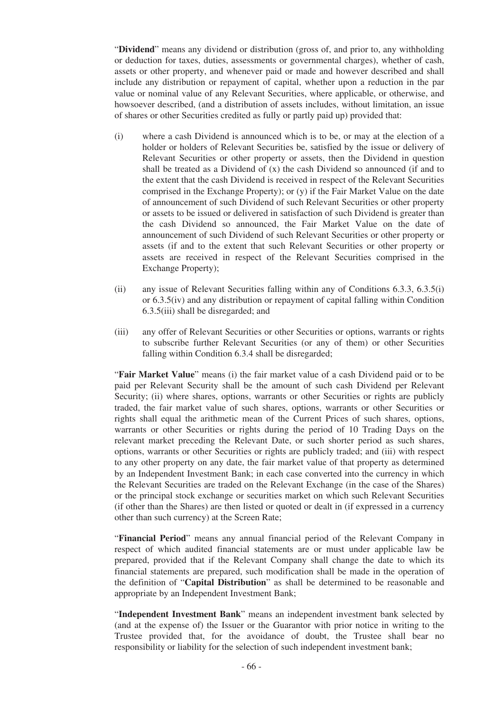"**Dividend**" means any dividend or distribution (gross of, and prior to, any withholding or deduction for taxes, duties, assessments or governmental charges), whether of cash, assets or other property, and whenever paid or made and however described and shall include any distribution or repayment of capital, whether upon a reduction in the par value or nominal value of any Relevant Securities, where applicable, or otherwise, and howsoever described, (and a distribution of assets includes, without limitation, an issue of shares or other Securities credited as fully or partly paid up) provided that:

- (i) where a cash Dividend is announced which is to be, or may at the election of a holder or holders of Relevant Securities be, satisfied by the issue or delivery of Relevant Securities or other property or assets, then the Dividend in question shall be treated as a Dividend of (x) the cash Dividend so announced (if and to the extent that the cash Dividend is received in respect of the Relevant Securities comprised in the Exchange Property); or (y) if the Fair Market Value on the date of announcement of such Dividend of such Relevant Securities or other property or assets to be issued or delivered in satisfaction of such Dividend is greater than the cash Dividend so announced, the Fair Market Value on the date of announcement of such Dividend of such Relevant Securities or other property or assets (if and to the extent that such Relevant Securities or other property or assets are received in respect of the Relevant Securities comprised in the Exchange Property);
- (ii) any issue of Relevant Securities falling within any of Conditions 6.3.3, 6.3.5(i) or 6.3.5(iv) and any distribution or repayment of capital falling within Condition 6.3.5(iii) shall be disregarded; and
- (iii) any offer of Relevant Securities or other Securities or options, warrants or rights to subscribe further Relevant Securities (or any of them) or other Securities falling within Condition 6.3.4 shall be disregarded;

"**Fair Market Value**" means (i) the fair market value of a cash Dividend paid or to be paid per Relevant Security shall be the amount of such cash Dividend per Relevant Security: (ii) where shares, options, warrants or other Securities or rights are publicly traded, the fair market value of such shares, options, warrants or other Securities or rights shall equal the arithmetic mean of the Current Prices of such shares, options, warrants or other Securities or rights during the period of 10 Trading Days on the relevant market preceding the Relevant Date, or such shorter period as such shares, options, warrants or other Securities or rights are publicly traded; and (iii) with respect to any other property on any date, the fair market value of that property as determined by an Independent Investment Bank; in each case converted into the currency in which the Relevant Securities are traded on the Relevant Exchange (in the case of the Shares) or the principal stock exchange or securities market on which such Relevant Securities (if other than the Shares) are then listed or quoted or dealt in (if expressed in a currency other than such currency) at the Screen Rate;

"**Financial Period**" means any annual financial period of the Relevant Company in respect of which audited financial statements are or must under applicable law be prepared, provided that if the Relevant Company shall change the date to which its financial statements are prepared, such modification shall be made in the operation of the definition of "**Capital Distribution**" as shall be determined to be reasonable and appropriate by an Independent Investment Bank;

"**Independent Investment Bank**" means an independent investment bank selected by (and at the expense of) the Issuer or the Guarantor with prior notice in writing to the Trustee provided that, for the avoidance of doubt, the Trustee shall bear no responsibility or liability for the selection of such independent investment bank;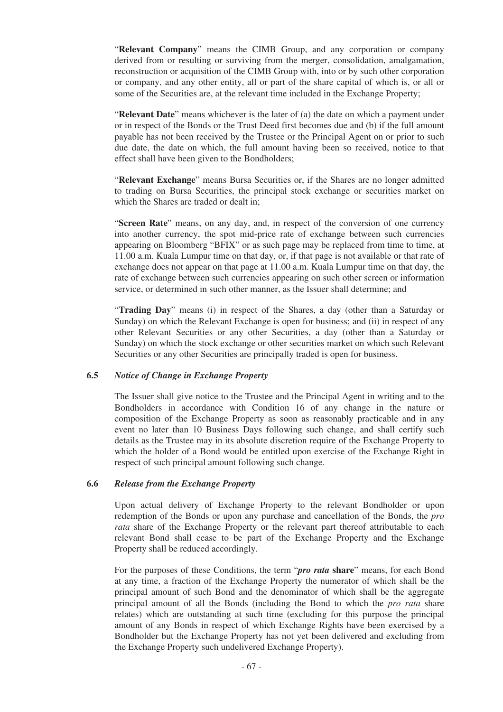"**Relevant Company**" means the CIMB Group, and any corporation or company derived from or resulting or surviving from the merger, consolidation, amalgamation, reconstruction or acquisition of the CIMB Group with, into or by such other corporation or company, and any other entity, all or part of the share capital of which is, or all or some of the Securities are, at the relevant time included in the Exchange Property;

"**Relevant Date**" means whichever is the later of (a) the date on which a payment under or in respect of the Bonds or the Trust Deed first becomes due and (b) if the full amount payable has not been received by the Trustee or the Principal Agent on or prior to such due date, the date on which, the full amount having been so received, notice to that effect shall have been given to the Bondholders;

"**Relevant Exchange**" means Bursa Securities or, if the Shares are no longer admitted to trading on Bursa Securities, the principal stock exchange or securities market on which the Shares are traded or dealt in;

"**Screen Rate**" means, on any day, and, in respect of the conversion of one currency into another currency, the spot mid-price rate of exchange between such currencies appearing on Bloomberg "BFIX" or as such page may be replaced from time to time, at 11.00 a.m. Kuala Lumpur time on that day, or, if that page is not available or that rate of exchange does not appear on that page at 11.00 a.m. Kuala Lumpur time on that day, the rate of exchange between such currencies appearing on such other screen or information service, or determined in such other manner, as the Issuer shall determine; and

"**Trading Day**" means (i) in respect of the Shares, a day (other than a Saturday or Sunday) on which the Relevant Exchange is open for business; and (ii) in respect of any other Relevant Securities or any other Securities, a day (other than a Saturday or Sunday) on which the stock exchange or other securities market on which such Relevant Securities or any other Securities are principally traded is open for business.

### **6.5** *Notice of Change in Exchange Property*

The Issuer shall give notice to the Trustee and the Principal Agent in writing and to the Bondholders in accordance with Condition 16 of any change in the nature or composition of the Exchange Property as soon as reasonably practicable and in any event no later than 10 Business Days following such change, and shall certify such details as the Trustee may in its absolute discretion require of the Exchange Property to which the holder of a Bond would be entitled upon exercise of the Exchange Right in respect of such principal amount following such change.

# **6.6** *Release from the Exchange Property*

Upon actual delivery of Exchange Property to the relevant Bondholder or upon redemption of the Bonds or upon any purchase and cancellation of the Bonds, the *pro rata* share of the Exchange Property or the relevant part thereof attributable to each relevant Bond shall cease to be part of the Exchange Property and the Exchange Property shall be reduced accordingly.

For the purposes of these Conditions, the term "*pro rata* **share**" means, for each Bond at any time, a fraction of the Exchange Property the numerator of which shall be the principal amount of such Bond and the denominator of which shall be the aggregate principal amount of all the Bonds (including the Bond to which the *pro rata* share relates) which are outstanding at such time (excluding for this purpose the principal amount of any Bonds in respect of which Exchange Rights have been exercised by a Bondholder but the Exchange Property has not yet been delivered and excluding from the Exchange Property such undelivered Exchange Property).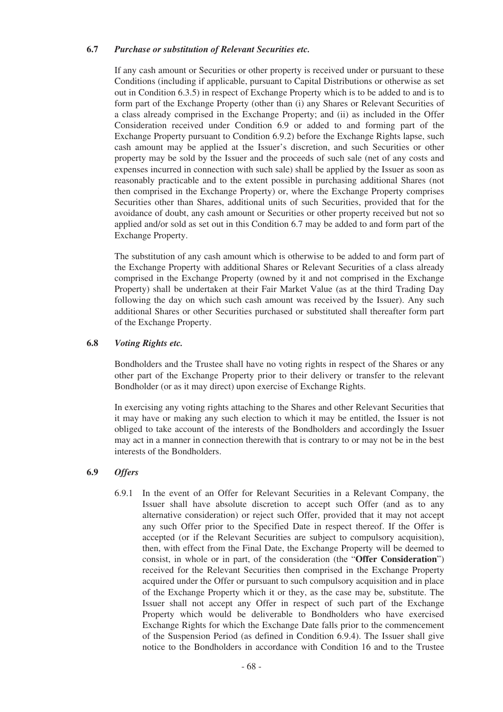### **6.7** *Purchase or substitution of Relevant Securities etc.*

If any cash amount or Securities or other property is received under or pursuant to these Conditions (including if applicable, pursuant to Capital Distributions or otherwise as set out in Condition 6.3.5) in respect of Exchange Property which is to be added to and is to form part of the Exchange Property (other than (i) any Shares or Relevant Securities of a class already comprised in the Exchange Property; and (ii) as included in the Offer Consideration received under Condition 6.9 or added to and forming part of the Exchange Property pursuant to Condition 6.9.2) before the Exchange Rights lapse, such cash amount may be applied at the Issuer's discretion, and such Securities or other property may be sold by the Issuer and the proceeds of such sale (net of any costs and expenses incurred in connection with such sale) shall be applied by the Issuer as soon as reasonably practicable and to the extent possible in purchasing additional Shares (not then comprised in the Exchange Property) or, where the Exchange Property comprises Securities other than Shares, additional units of such Securities, provided that for the avoidance of doubt, any cash amount or Securities or other property received but not so applied and/or sold as set out in this Condition 6.7 may be added to and form part of the Exchange Property.

The substitution of any cash amount which is otherwise to be added to and form part of the Exchange Property with additional Shares or Relevant Securities of a class already comprised in the Exchange Property (owned by it and not comprised in the Exchange Property) shall be undertaken at their Fair Market Value (as at the third Trading Day following the day on which such cash amount was received by the Issuer). Any such additional Shares or other Securities purchased or substituted shall thereafter form part of the Exchange Property.

## **6.8** *Voting Rights etc.*

Bondholders and the Trustee shall have no voting rights in respect of the Shares or any other part of the Exchange Property prior to their delivery or transfer to the relevant Bondholder (or as it may direct) upon exercise of Exchange Rights.

In exercising any voting rights attaching to the Shares and other Relevant Securities that it may have or making any such election to which it may be entitled, the Issuer is not obliged to take account of the interests of the Bondholders and accordingly the Issuer may act in a manner in connection therewith that is contrary to or may not be in the best interests of the Bondholders.

# **6.9** *Offers*

6.9.1 In the event of an Offer for Relevant Securities in a Relevant Company, the Issuer shall have absolute discretion to accept such Offer (and as to any alternative consideration) or reject such Offer, provided that it may not accept any such Offer prior to the Specified Date in respect thereof. If the Offer is accepted (or if the Relevant Securities are subject to compulsory acquisition), then, with effect from the Final Date, the Exchange Property will be deemed to consist, in whole or in part, of the consideration (the "**Offer Consideration**") received for the Relevant Securities then comprised in the Exchange Property acquired under the Offer or pursuant to such compulsory acquisition and in place of the Exchange Property which it or they, as the case may be, substitute. The Issuer shall not accept any Offer in respect of such part of the Exchange Property which would be deliverable to Bondholders who have exercised Exchange Rights for which the Exchange Date falls prior to the commencement of the Suspension Period (as defined in Condition 6.9.4). The Issuer shall give notice to the Bondholders in accordance with Condition 16 and to the Trustee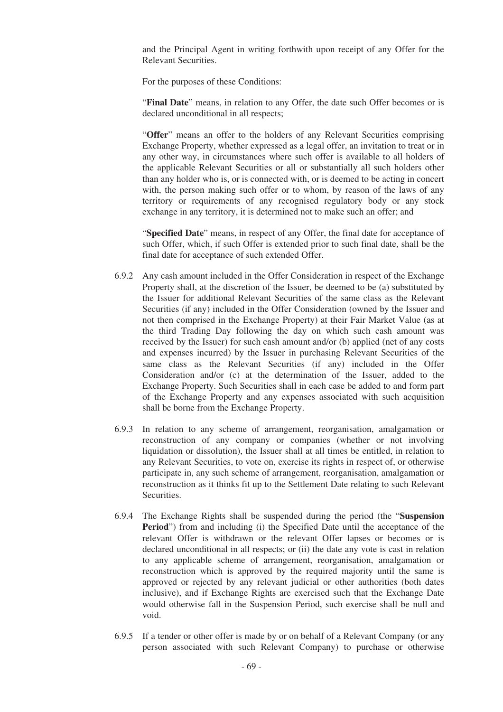and the Principal Agent in writing forthwith upon receipt of any Offer for the Relevant Securities.

For the purposes of these Conditions:

"**Final Date**" means, in relation to any Offer, the date such Offer becomes or is declared unconditional in all respects;

"**Offer**" means an offer to the holders of any Relevant Securities comprising Exchange Property, whether expressed as a legal offer, an invitation to treat or in any other way, in circumstances where such offer is available to all holders of the applicable Relevant Securities or all or substantially all such holders other than any holder who is, or is connected with, or is deemed to be acting in concert with, the person making such offer or to whom, by reason of the laws of any territory or requirements of any recognised regulatory body or any stock exchange in any territory, it is determined not to make such an offer; and

"**Specified Date**" means, in respect of any Offer, the final date for acceptance of such Offer, which, if such Offer is extended prior to such final date, shall be the final date for acceptance of such extended Offer.

- 6.9.2 Any cash amount included in the Offer Consideration in respect of the Exchange Property shall, at the discretion of the Issuer, be deemed to be (a) substituted by the Issuer for additional Relevant Securities of the same class as the Relevant Securities (if any) included in the Offer Consideration (owned by the Issuer and not then comprised in the Exchange Property) at their Fair Market Value (as at the third Trading Day following the day on which such cash amount was received by the Issuer) for such cash amount and/or (b) applied (net of any costs and expenses incurred) by the Issuer in purchasing Relevant Securities of the same class as the Relevant Securities (if any) included in the Offer Consideration and/or (c) at the determination of the Issuer, added to the Exchange Property. Such Securities shall in each case be added to and form part of the Exchange Property and any expenses associated with such acquisition shall be borne from the Exchange Property.
- 6.9.3 In relation to any scheme of arrangement, reorganisation, amalgamation or reconstruction of any company or companies (whether or not involving liquidation or dissolution), the Issuer shall at all times be entitled, in relation to any Relevant Securities, to vote on, exercise its rights in respect of, or otherwise participate in, any such scheme of arrangement, reorganisation, amalgamation or reconstruction as it thinks fit up to the Settlement Date relating to such Relevant Securities.
- 6.9.4 The Exchange Rights shall be suspended during the period (the "**Suspension Period**") from and including (i) the Specified Date until the acceptance of the relevant Offer is withdrawn or the relevant Offer lapses or becomes or is declared unconditional in all respects; or (ii) the date any vote is cast in relation to any applicable scheme of arrangement, reorganisation, amalgamation or reconstruction which is approved by the required majority until the same is approved or rejected by any relevant judicial or other authorities (both dates inclusive), and if Exchange Rights are exercised such that the Exchange Date would otherwise fall in the Suspension Period, such exercise shall be null and void.
- 6.9.5 If a tender or other offer is made by or on behalf of a Relevant Company (or any person associated with such Relevant Company) to purchase or otherwise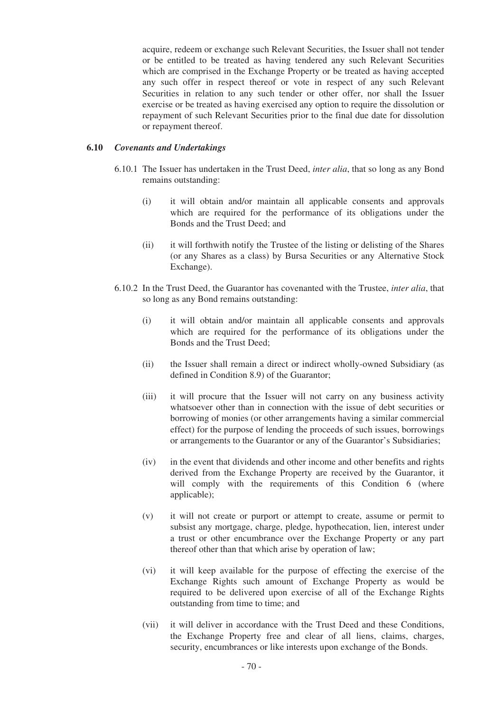acquire, redeem or exchange such Relevant Securities, the Issuer shall not tender or be entitled to be treated as having tendered any such Relevant Securities which are comprised in the Exchange Property or be treated as having accepted any such offer in respect thereof or vote in respect of any such Relevant Securities in relation to any such tender or other offer, nor shall the Issuer exercise or be treated as having exercised any option to require the dissolution or repayment of such Relevant Securities prior to the final due date for dissolution or repayment thereof.

### **6.10** *Covenants and Undertakings*

- 6.10.1 The Issuer has undertaken in the Trust Deed, *inter alia*, that so long as any Bond remains outstanding:
	- (i) it will obtain and/or maintain all applicable consents and approvals which are required for the performance of its obligations under the Bonds and the Trust Deed; and
	- (ii) it will forthwith notify the Trustee of the listing or delisting of the Shares (or any Shares as a class) by Bursa Securities or any Alternative Stock Exchange).
- 6.10.2 In the Trust Deed, the Guarantor has covenanted with the Trustee, *inter alia*, that so long as any Bond remains outstanding:
	- (i) it will obtain and/or maintain all applicable consents and approvals which are required for the performance of its obligations under the Bonds and the Trust Deed;
	- (ii) the Issuer shall remain a direct or indirect wholly-owned Subsidiary (as defined in Condition 8.9) of the Guarantor;
	- (iii) it will procure that the Issuer will not carry on any business activity whatsoever other than in connection with the issue of debt securities or borrowing of monies (or other arrangements having a similar commercial effect) for the purpose of lending the proceeds of such issues, borrowings or arrangements to the Guarantor or any of the Guarantor's Subsidiaries;
	- (iv) in the event that dividends and other income and other benefits and rights derived from the Exchange Property are received by the Guarantor, it will comply with the requirements of this Condition 6 (where applicable);
	- (v) it will not create or purport or attempt to create, assume or permit to subsist any mortgage, charge, pledge, hypothecation, lien, interest under a trust or other encumbrance over the Exchange Property or any part thereof other than that which arise by operation of law;
	- (vi) it will keep available for the purpose of effecting the exercise of the Exchange Rights such amount of Exchange Property as would be required to be delivered upon exercise of all of the Exchange Rights outstanding from time to time; and
	- (vii) it will deliver in accordance with the Trust Deed and these Conditions, the Exchange Property free and clear of all liens, claims, charges, security, encumbrances or like interests upon exchange of the Bonds.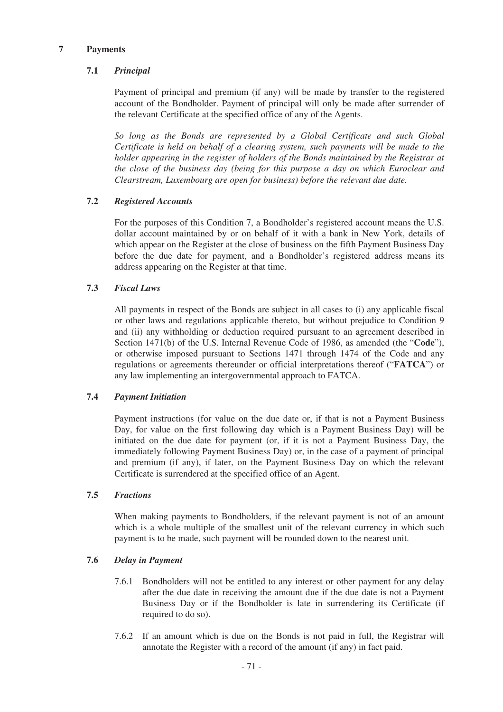## **7 Payments**

# **7.1** *Principal*

Payment of principal and premium (if any) will be made by transfer to the registered account of the Bondholder. Payment of principal will only be made after surrender of the relevant Certificate at the specified office of any of the Agents.

*So long as the Bonds are represented by a Global Certificate and such Global Certificate is held on behalf of a clearing system, such payments will be made to the holder appearing in the register of holders of the Bonds maintained by the Registrar at the close of the business day (being for this purpose a day on which Euroclear and Clearstream, Luxembourg are open for business) before the relevant due date.*

# **7.2** *Registered Accounts*

For the purposes of this Condition 7, a Bondholder's registered account means the U.S. dollar account maintained by or on behalf of it with a bank in New York, details of which appear on the Register at the close of business on the fifth Payment Business Day before the due date for payment, and a Bondholder's registered address means its address appearing on the Register at that time.

## **7.3** *Fiscal Laws*

All payments in respect of the Bonds are subject in all cases to (i) any applicable fiscal or other laws and regulations applicable thereto, but without prejudice to Condition 9 and (ii) any withholding or deduction required pursuant to an agreement described in Section 1471(b) of the U.S. Internal Revenue Code of 1986, as amended (the "**Code**"), or otherwise imposed pursuant to Sections 1471 through 1474 of the Code and any regulations or agreements thereunder or official interpretations thereof ("**FATCA**") or any law implementing an intergovernmental approach to FATCA.

### **7.4** *Payment Initiation*

Payment instructions (for value on the due date or, if that is not a Payment Business Day, for value on the first following day which is a Payment Business Day) will be initiated on the due date for payment (or, if it is not a Payment Business Day, the immediately following Payment Business Day) or, in the case of a payment of principal and premium (if any), if later, on the Payment Business Day on which the relevant Certificate is surrendered at the specified office of an Agent.

### **7.5** *Fractions*

When making payments to Bondholders, if the relevant payment is not of an amount which is a whole multiple of the smallest unit of the relevant currency in which such payment is to be made, such payment will be rounded down to the nearest unit.

### **7.6** *Delay in Payment*

- 7.6.1 Bondholders will not be entitled to any interest or other payment for any delay after the due date in receiving the amount due if the due date is not a Payment Business Day or if the Bondholder is late in surrendering its Certificate (if required to do so).
- 7.6.2 If an amount which is due on the Bonds is not paid in full, the Registrar will annotate the Register with a record of the amount (if any) in fact paid.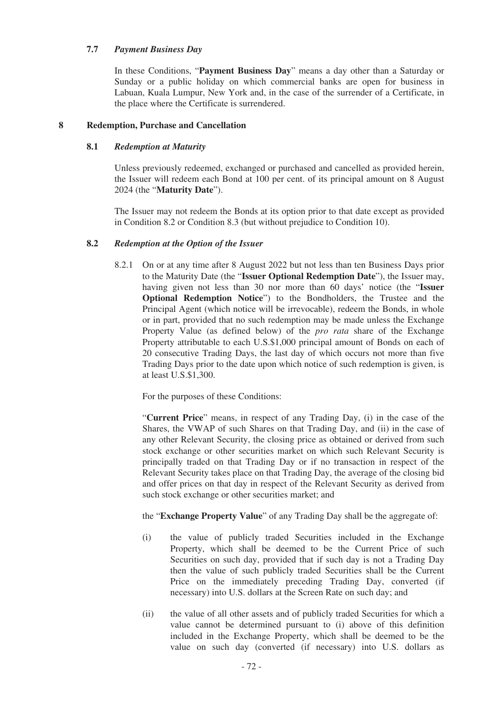## **7.7** *Payment Business Day*

In these Conditions, "**Payment Business Day**" means a day other than a Saturday or Sunday or a public holiday on which commercial banks are open for business in Labuan, Kuala Lumpur, New York and, in the case of the surrender of a Certificate, in the place where the Certificate is surrendered.

## **8 Redemption, Purchase and Cancellation**

## **8.1** *Redemption at Maturity*

Unless previously redeemed, exchanged or purchased and cancelled as provided herein, the Issuer will redeem each Bond at 100 per cent. of its principal amount on 8 August 2024 (the "**Maturity Date**").

The Issuer may not redeem the Bonds at its option prior to that date except as provided in Condition 8.2 or Condition 8.3 (but without prejudice to Condition 10).

### **8.2** *Redemption at the Option of the Issuer*

8.2.1 On or at any time after 8 August 2022 but not less than ten Business Days prior to the Maturity Date (the "**Issuer Optional Redemption Date**"), the Issuer may, having given not less than 30 nor more than 60 days' notice (the "**Issuer Optional Redemption Notice**") to the Bondholders, the Trustee and the Principal Agent (which notice will be irrevocable), redeem the Bonds, in whole or in part, provided that no such redemption may be made unless the Exchange Property Value (as defined below) of the *pro rata* share of the Exchange Property attributable to each U.S.\$1,000 principal amount of Bonds on each of 20 consecutive Trading Days, the last day of which occurs not more than five Trading Days prior to the date upon which notice of such redemption is given, is at least U.S.\$1,300.

For the purposes of these Conditions:

"**Current Price**" means, in respect of any Trading Day, (i) in the case of the Shares, the VWAP of such Shares on that Trading Day, and (ii) in the case of any other Relevant Security, the closing price as obtained or derived from such stock exchange or other securities market on which such Relevant Security is principally traded on that Trading Day or if no transaction in respect of the Relevant Security takes place on that Trading Day, the average of the closing bid and offer prices on that day in respect of the Relevant Security as derived from such stock exchange or other securities market; and

the "**Exchange Property Value**" of any Trading Day shall be the aggregate of:

- (i) the value of publicly traded Securities included in the Exchange Property, which shall be deemed to be the Current Price of such Securities on such day, provided that if such day is not a Trading Day then the value of such publicly traded Securities shall be the Current Price on the immediately preceding Trading Day, converted (if necessary) into U.S. dollars at the Screen Rate on such day; and
- (ii) the value of all other assets and of publicly traded Securities for which a value cannot be determined pursuant to (i) above of this definition included in the Exchange Property, which shall be deemed to be the value on such day (converted (if necessary) into U.S. dollars as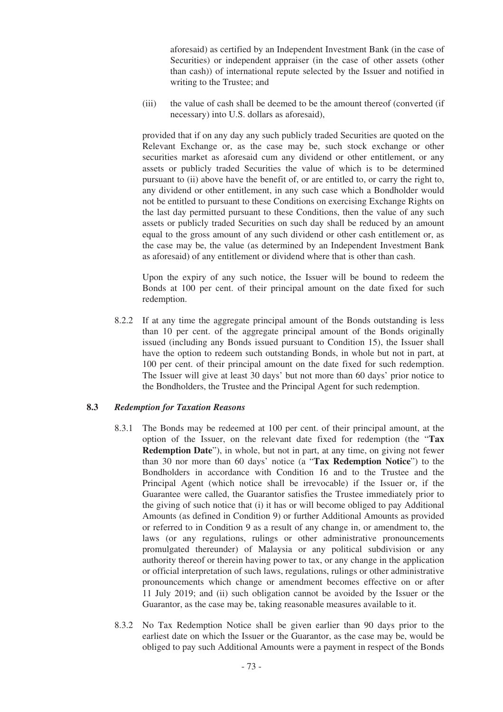aforesaid) as certified by an Independent Investment Bank (in the case of Securities) or independent appraiser (in the case of other assets (other than cash)) of international repute selected by the Issuer and notified in writing to the Trustee; and

(iii) the value of cash shall be deemed to be the amount thereof (converted (if necessary) into U.S. dollars as aforesaid),

provided that if on any day any such publicly traded Securities are quoted on the Relevant Exchange or, as the case may be, such stock exchange or other securities market as aforesaid cum any dividend or other entitlement, or any assets or publicly traded Securities the value of which is to be determined pursuant to (ii) above have the benefit of, or are entitled to, or carry the right to, any dividend or other entitlement, in any such case which a Bondholder would not be entitled to pursuant to these Conditions on exercising Exchange Rights on the last day permitted pursuant to these Conditions, then the value of any such assets or publicly traded Securities on such day shall be reduced by an amount equal to the gross amount of any such dividend or other cash entitlement or, as the case may be, the value (as determined by an Independent Investment Bank as aforesaid) of any entitlement or dividend where that is other than cash.

Upon the expiry of any such notice, the Issuer will be bound to redeem the Bonds at 100 per cent. of their principal amount on the date fixed for such redemption.

8.2.2 If at any time the aggregate principal amount of the Bonds outstanding is less than 10 per cent. of the aggregate principal amount of the Bonds originally issued (including any Bonds issued pursuant to Condition 15), the Issuer shall have the option to redeem such outstanding Bonds, in whole but not in part, at 100 per cent. of their principal amount on the date fixed for such redemption. The Issuer will give at least 30 days' but not more than 60 days' prior notice to the Bondholders, the Trustee and the Principal Agent for such redemption.

### **8.3** *Redemption for Taxation Reasons*

- 8.3.1 The Bonds may be redeemed at 100 per cent. of their principal amount, at the option of the Issuer, on the relevant date fixed for redemption (the "**Tax Redemption Date**"), in whole, but not in part, at any time, on giving not fewer than 30 nor more than 60 days' notice (a "**Tax Redemption Notice**") to the Bondholders in accordance with Condition 16 and to the Trustee and the Principal Agent (which notice shall be irrevocable) if the Issuer or, if the Guarantee were called, the Guarantor satisfies the Trustee immediately prior to the giving of such notice that (i) it has or will become obliged to pay Additional Amounts (as defined in Condition 9) or further Additional Amounts as provided or referred to in Condition 9 as a result of any change in, or amendment to, the laws (or any regulations, rulings or other administrative pronouncements promulgated thereunder) of Malaysia or any political subdivision or any authority thereof or therein having power to tax, or any change in the application or official interpretation of such laws, regulations, rulings or other administrative pronouncements which change or amendment becomes effective on or after 11 July 2019; and (ii) such obligation cannot be avoided by the Issuer or the Guarantor, as the case may be, taking reasonable measures available to it.
- 8.3.2 No Tax Redemption Notice shall be given earlier than 90 days prior to the earliest date on which the Issuer or the Guarantor, as the case may be, would be obliged to pay such Additional Amounts were a payment in respect of the Bonds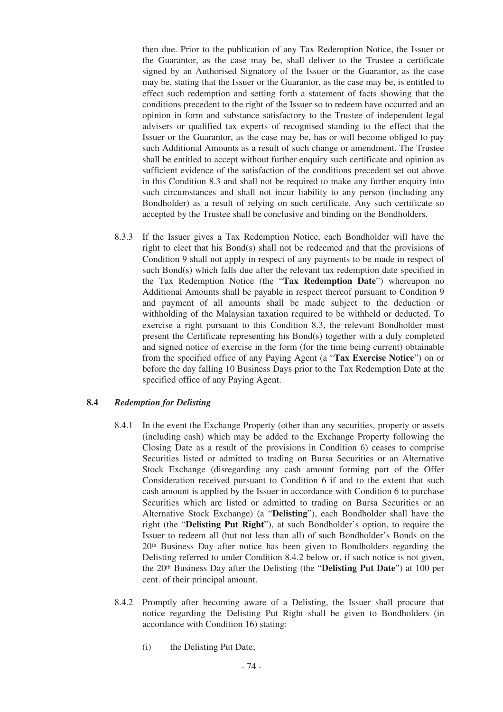then due. Prior to the publication of any Tax Redemption Notice, the Issuer or the Guarantor, as the case may be, shall deliver to the Trustee a certificate signed by an Authorised Signatory of the Issuer or the Guarantor, as the case may be, stating that the Issuer or the Guarantor, as the case may be, is entitled to effect such redemption and setting forth a statement of facts showing that the conditions precedent to the right of the Issuer so to redeem have occurred and an opinion in form and substance satisfactory to the Trustee of independent legal advisers or qualified tax experts of recognised standing to the effect that the Issuer or the Guarantor, as the case may be, has or will become obliged to pay such Additional Amounts as a result of such change or amendment. The Trustee shall be entitled to accept without further enquiry such certificate and opinion as sufficient evidence of the satisfaction of the conditions precedent set out above in this Condition 8.3 and shall not be required to make any further enquiry into such circumstances and shall not incur liability to any person (including any Bondholder) as a result of relying on such certificate. Any such certificate so accepted by the Trustee shall be conclusive and binding on the Bondholders.

8.3.3 If the Issuer gives a Tax Redemption Notice, each Bondholder will have the right to elect that his Bond(s) shall not be redeemed and that the provisions of Condition 9 shall not apply in respect of any payments to be made in respect of such Bond(s) which falls due after the relevant tax redemption date specified in the Tax Redemption Notice (the "**Tax Redemption Date**") whereupon no Additional Amounts shall be payable in respect thereof pursuant to Condition 9 and payment of all amounts shall be made subject to the deduction or withholding of the Malaysian taxation required to be withheld or deducted. To exercise a right pursuant to this Condition 8.3, the relevant Bondholder must present the Certificate representing his Bond(s) together with a duly completed and signed notice of exercise in the form (for the time being current) obtainable from the specified office of any Paying Agent (a "**Tax Exercise Notice**") on or before the day falling 10 Business Days prior to the Tax Redemption Date at the specified office of any Paying Agent.

# **8.4** *Redemption for Delisting*

- 8.4.1 In the event the Exchange Property (other than any securities, property or assets (including cash) which may be added to the Exchange Property following the Closing Date as a result of the provisions in Condition 6) ceases to comprise Securities listed or admitted to trading on Bursa Securities or an Alternative Stock Exchange (disregarding any cash amount forming part of the Offer Consideration received pursuant to Condition 6 if and to the extent that such cash amount is applied by the Issuer in accordance with Condition 6 to purchase Securities which are listed or admitted to trading on Bursa Securities or an Alternative Stock Exchange) (a "**Delisting**"), each Bondholder shall have the right (the "**Delisting Put Right**"), at such Bondholder's option, to require the Issuer to redeem all (but not less than all) of such Bondholder's Bonds on the 20th Business Day after notice has been given to Bondholders regarding the Delisting referred to under Condition 8.4.2 below or, if such notice is not given, the 20th Business Day after the Delisting (the "**Delisting Put Date**") at 100 per cent. of their principal amount.
- 8.4.2 Promptly after becoming aware of a Delisting, the Issuer shall procure that notice regarding the Delisting Put Right shall be given to Bondholders (in accordance with Condition 16) stating:
	- (i) the Delisting Put Date;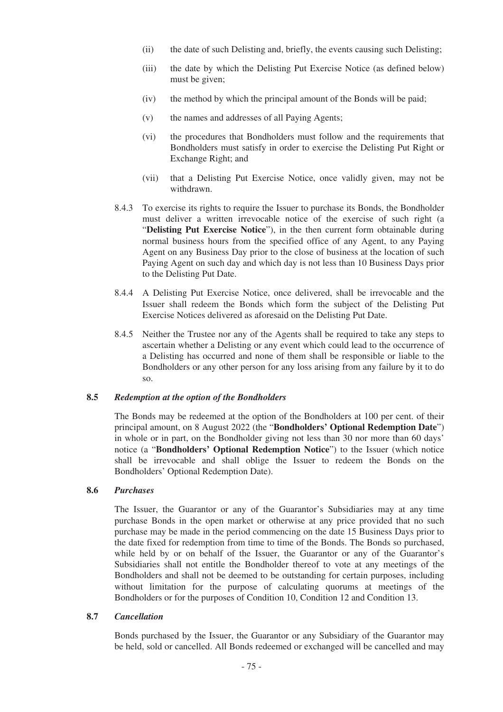- (ii) the date of such Delisting and, briefly, the events causing such Delisting;
- (iii) the date by which the Delisting Put Exercise Notice (as defined below) must be given;
- (iv) the method by which the principal amount of the Bonds will be paid;
- (v) the names and addresses of all Paying Agents;
- (vi) the procedures that Bondholders must follow and the requirements that Bondholders must satisfy in order to exercise the Delisting Put Right or Exchange Right; and
- (vii) that a Delisting Put Exercise Notice, once validly given, may not be withdrawn.
- 8.4.3 To exercise its rights to require the Issuer to purchase its Bonds, the Bondholder must deliver a written irrevocable notice of the exercise of such right (a "**Delisting Put Exercise Notice**"), in the then current form obtainable during normal business hours from the specified office of any Agent, to any Paying Agent on any Business Day prior to the close of business at the location of such Paying Agent on such day and which day is not less than 10 Business Days prior to the Delisting Put Date.
- 8.4.4 A Delisting Put Exercise Notice, once delivered, shall be irrevocable and the Issuer shall redeem the Bonds which form the subject of the Delisting Put Exercise Notices delivered as aforesaid on the Delisting Put Date.
- 8.4.5 Neither the Trustee nor any of the Agents shall be required to take any steps to ascertain whether a Delisting or any event which could lead to the occurrence of a Delisting has occurred and none of them shall be responsible or liable to the Bondholders or any other person for any loss arising from any failure by it to do so.

### **8.5** *Redemption at the option of the Bondholders*

The Bonds may be redeemed at the option of the Bondholders at 100 per cent. of their principal amount, on 8 August 2022 (the "**Bondholders' Optional Redemption Date**") in whole or in part, on the Bondholder giving not less than 30 nor more than 60 days' notice (a "**Bondholders' Optional Redemption Notice**") to the Issuer (which notice shall be irrevocable and shall oblige the Issuer to redeem the Bonds on the Bondholders' Optional Redemption Date).

#### **8.6** *Purchases*

The Issuer, the Guarantor or any of the Guarantor's Subsidiaries may at any time purchase Bonds in the open market or otherwise at any price provided that no such purchase may be made in the period commencing on the date 15 Business Days prior to the date fixed for redemption from time to time of the Bonds. The Bonds so purchased, while held by or on behalf of the Issuer, the Guarantor or any of the Guarantor's Subsidiaries shall not entitle the Bondholder thereof to vote at any meetings of the Bondholders and shall not be deemed to be outstanding for certain purposes, including without limitation for the purpose of calculating quorums at meetings of the Bondholders or for the purposes of Condition 10, Condition 12 and Condition 13.

#### **8.7** *Cancellation*

Bonds purchased by the Issuer, the Guarantor or any Subsidiary of the Guarantor may be held, sold or cancelled. All Bonds redeemed or exchanged will be cancelled and may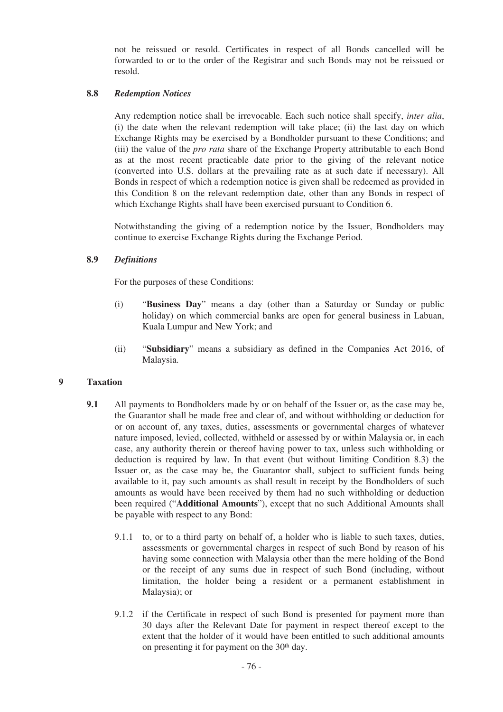not be reissued or resold. Certificates in respect of all Bonds cancelled will be forwarded to or to the order of the Registrar and such Bonds may not be reissued or resold.

### **8.8** *Redemption Notices*

Any redemption notice shall be irrevocable. Each such notice shall specify, *inter alia*, (i) the date when the relevant redemption will take place; (ii) the last day on which Exchange Rights may be exercised by a Bondholder pursuant to these Conditions; and (iii) the value of the *pro rata* share of the Exchange Property attributable to each Bond as at the most recent practicable date prior to the giving of the relevant notice (converted into U.S. dollars at the prevailing rate as at such date if necessary). All Bonds in respect of which a redemption notice is given shall be redeemed as provided in this Condition 8 on the relevant redemption date, other than any Bonds in respect of which Exchange Rights shall have been exercised pursuant to Condition 6.

Notwithstanding the giving of a redemption notice by the Issuer, Bondholders may continue to exercise Exchange Rights during the Exchange Period.

## **8.9** *Definitions*

For the purposes of these Conditions:

- (i) "**Business Day**" means a day (other than a Saturday or Sunday or public holiday) on which commercial banks are open for general business in Labuan, Kuala Lumpur and New York; and
- (ii) "**Subsidiary**" means a subsidiary as defined in the Companies Act 2016, of Malaysia.

### **9 Taxation**

- **9.1** All payments to Bondholders made by or on behalf of the Issuer or, as the case may be, the Guarantor shall be made free and clear of, and without withholding or deduction for or on account of, any taxes, duties, assessments or governmental charges of whatever nature imposed, levied, collected, withheld or assessed by or within Malaysia or, in each case, any authority therein or thereof having power to tax, unless such withholding or deduction is required by law. In that event (but without limiting Condition 8.3) the Issuer or, as the case may be, the Guarantor shall, subject to sufficient funds being available to it, pay such amounts as shall result in receipt by the Bondholders of such amounts as would have been received by them had no such withholding or deduction been required ("**Additional Amounts**"), except that no such Additional Amounts shall be payable with respect to any Bond:
	- 9.1.1 to, or to a third party on behalf of, a holder who is liable to such taxes, duties, assessments or governmental charges in respect of such Bond by reason of his having some connection with Malaysia other than the mere holding of the Bond or the receipt of any sums due in respect of such Bond (including, without limitation, the holder being a resident or a permanent establishment in Malaysia); or
	- 9.1.2 if the Certificate in respect of such Bond is presented for payment more than 30 days after the Relevant Date for payment in respect thereof except to the extent that the holder of it would have been entitled to such additional amounts on presenting it for payment on the 30<sup>th</sup> day.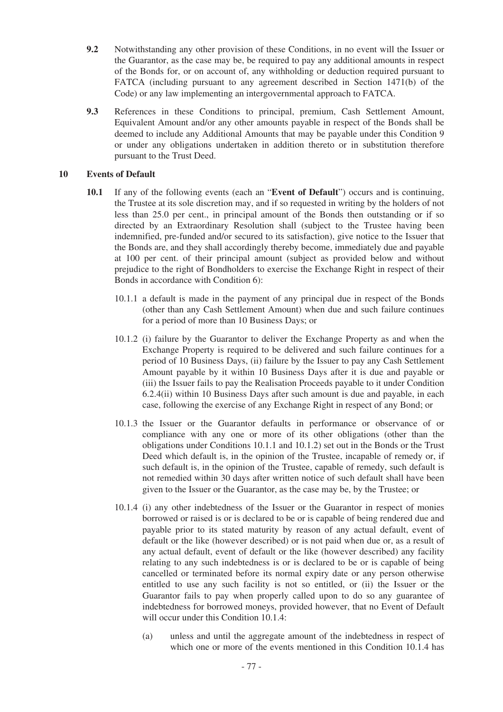- **9.2** Notwithstanding any other provision of these Conditions, in no event will the Issuer or the Guarantor, as the case may be, be required to pay any additional amounts in respect of the Bonds for, or on account of, any withholding or deduction required pursuant to FATCA (including pursuant to any agreement described in Section 1471(b) of the Code) or any law implementing an intergovernmental approach to FATCA.
- **9.3** References in these Conditions to principal, premium, Cash Settlement Amount, Equivalent Amount and/or any other amounts payable in respect of the Bonds shall be deemed to include any Additional Amounts that may be payable under this Condition 9 or under any obligations undertaken in addition thereto or in substitution therefore pursuant to the Trust Deed.

## **10 Events of Default**

- **10.1** If any of the following events (each an "**Event of Default**") occurs and is continuing, the Trustee at its sole discretion may, and if so requested in writing by the holders of not less than 25.0 per cent., in principal amount of the Bonds then outstanding or if so directed by an Extraordinary Resolution shall (subject to the Trustee having been indemnified, pre-funded and/or secured to its satisfaction), give notice to the Issuer that the Bonds are, and they shall accordingly thereby become, immediately due and payable at 100 per cent. of their principal amount (subject as provided below and without prejudice to the right of Bondholders to exercise the Exchange Right in respect of their Bonds in accordance with Condition 6):
	- 10.1.1 a default is made in the payment of any principal due in respect of the Bonds (other than any Cash Settlement Amount) when due and such failure continues for a period of more than 10 Business Days; or
	- 10.1.2 (i) failure by the Guarantor to deliver the Exchange Property as and when the Exchange Property is required to be delivered and such failure continues for a period of 10 Business Days, (ii) failure by the Issuer to pay any Cash Settlement Amount payable by it within 10 Business Days after it is due and payable or (iii) the Issuer fails to pay the Realisation Proceeds payable to it under Condition 6.2.4(ii) within 10 Business Days after such amount is due and payable, in each case, following the exercise of any Exchange Right in respect of any Bond; or
	- 10.1.3 the Issuer or the Guarantor defaults in performance or observance of or compliance with any one or more of its other obligations (other than the obligations under Conditions 10.1.1 and 10.1.2) set out in the Bonds or the Trust Deed which default is, in the opinion of the Trustee, incapable of remedy or, if such default is, in the opinion of the Trustee, capable of remedy, such default is not remedied within 30 days after written notice of such default shall have been given to the Issuer or the Guarantor, as the case may be, by the Trustee; or
	- 10.1.4 (i) any other indebtedness of the Issuer or the Guarantor in respect of monies borrowed or raised is or is declared to be or is capable of being rendered due and payable prior to its stated maturity by reason of any actual default, event of default or the like (however described) or is not paid when due or, as a result of any actual default, event of default or the like (however described) any facility relating to any such indebtedness is or is declared to be or is capable of being cancelled or terminated before its normal expiry date or any person otherwise entitled to use any such facility is not so entitled, or (ii) the Issuer or the Guarantor fails to pay when properly called upon to do so any guarantee of indebtedness for borrowed moneys, provided however, that no Event of Default will occur under this Condition 10.1.4:
		- (a) unless and until the aggregate amount of the indebtedness in respect of which one or more of the events mentioned in this Condition 10.1.4 has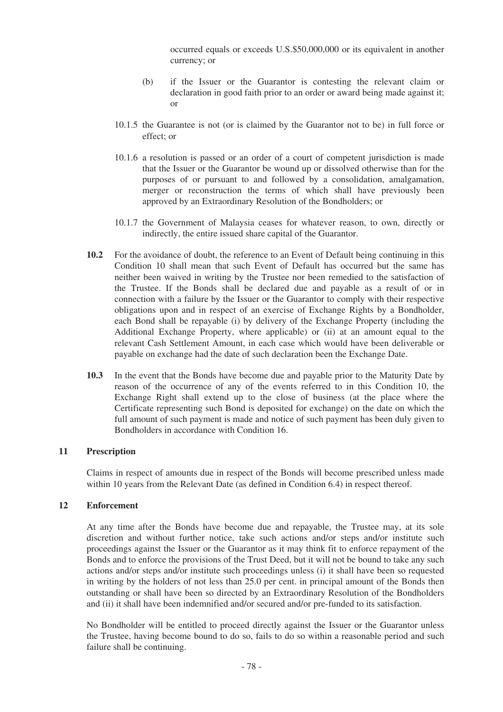occurred equals or exceeds U.S.\$50,000,000 or its equivalent in another currency; or

- (b) if the Issuer or the Guarantor is contesting the relevant claim or declaration in good faith prior to an order or award being made against it; or
- 10.1.5 the Guarantee is not (or is claimed by the Guarantor not to be) in full force or effect; or
- 10.1.6 a resolution is passed or an order of a court of competent jurisdiction is made that the Issuer or the Guarantor be wound up or dissolved otherwise than for the purposes of or pursuant to and followed by a consolidation, amalgamation, merger or reconstruction the terms of which shall have previously been approved by an Extraordinary Resolution of the Bondholders; or
- 10.1.7 the Government of Malaysia ceases for whatever reason, to own, directly or indirectly, the entire issued share capital of the Guarantor.
- **10.2** For the avoidance of doubt, the reference to an Event of Default being continuing in this Condition 10 shall mean that such Event of Default has occurred but the same has neither been waived in writing by the Trustee nor been remedied to the satisfaction of the Trustee. If the Bonds shall be declared due and payable as a result of or in connection with a failure by the Issuer or the Guarantor to comply with their respective obligations upon and in respect of an exercise of Exchange Rights by a Bondholder, each Bond shall be repayable (i) by delivery of the Exchange Property (including the Additional Exchange Property, where applicable) or (ii) at an amount equal to the relevant Cash Settlement Amount, in each case which would have been deliverable or payable on exchange had the date of such declaration been the Exchange Date.
- **10.3** In the event that the Bonds have become due and payable prior to the Maturity Date by reason of the occurrence of any of the events referred to in this Condition 10, the Exchange Right shall extend up to the close of business (at the place where the Certificate representing such Bond is deposited for exchange) on the date on which the full amount of such payment is made and notice of such payment has been duly given to Bondholders in accordance with Condition 16.

### **11 Prescription**

Claims in respect of amounts due in respect of the Bonds will become prescribed unless made within 10 years from the Relevant Date (as defined in Condition 6.4) in respect thereof.

### **12 Enforcement**

At any time after the Bonds have become due and repayable, the Trustee may, at its sole discretion and without further notice, take such actions and/or steps and/or institute such proceedings against the Issuer or the Guarantor as it may think fit to enforce repayment of the Bonds and to enforce the provisions of the Trust Deed, but it will not be bound to take any such actions and/or steps and/or institute such proceedings unless (i) it shall have been so requested in writing by the holders of not less than 25.0 per cent. in principal amount of the Bonds then outstanding or shall have been so directed by an Extraordinary Resolution of the Bondholders and (ii) it shall have been indemnified and/or secured and/or pre-funded to its satisfaction.

No Bondholder will be entitled to proceed directly against the Issuer or the Guarantor unless the Trustee, having become bound to do so, fails to do so within a reasonable period and such failure shall be continuing.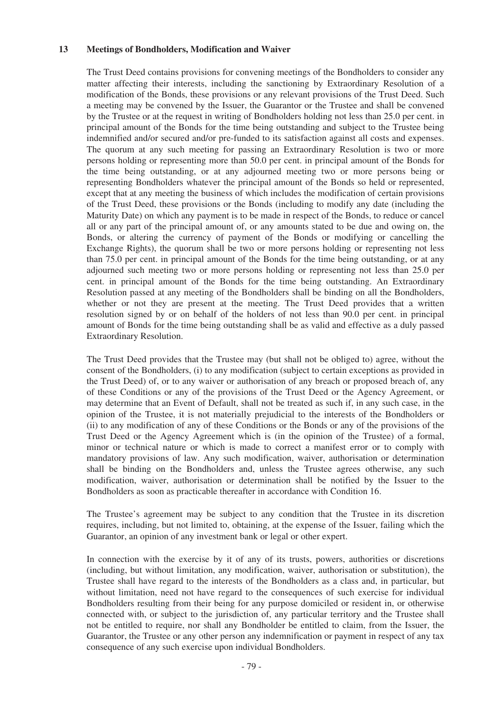#### **13 Meetings of Bondholders, Modification and Waiver**

The Trust Deed contains provisions for convening meetings of the Bondholders to consider any matter affecting their interests, including the sanctioning by Extraordinary Resolution of a modification of the Bonds, these provisions or any relevant provisions of the Trust Deed. Such a meeting may be convened by the Issuer, the Guarantor or the Trustee and shall be convened by the Trustee or at the request in writing of Bondholders holding not less than 25.0 per cent. in principal amount of the Bonds for the time being outstanding and subject to the Trustee being indemnified and/or secured and/or pre-funded to its satisfaction against all costs and expenses. The quorum at any such meeting for passing an Extraordinary Resolution is two or more persons holding or representing more than 50.0 per cent. in principal amount of the Bonds for the time being outstanding, or at any adjourned meeting two or more persons being or representing Bondholders whatever the principal amount of the Bonds so held or represented, except that at any meeting the business of which includes the modification of certain provisions of the Trust Deed, these provisions or the Bonds (including to modify any date (including the Maturity Date) on which any payment is to be made in respect of the Bonds, to reduce or cancel all or any part of the principal amount of, or any amounts stated to be due and owing on, the Bonds, or altering the currency of payment of the Bonds or modifying or cancelling the Exchange Rights), the quorum shall be two or more persons holding or representing not less than 75.0 per cent. in principal amount of the Bonds for the time being outstanding, or at any adjourned such meeting two or more persons holding or representing not less than 25.0 per cent. in principal amount of the Bonds for the time being outstanding. An Extraordinary Resolution passed at any meeting of the Bondholders shall be binding on all the Bondholders, whether or not they are present at the meeting. The Trust Deed provides that a written resolution signed by or on behalf of the holders of not less than 90.0 per cent. in principal amount of Bonds for the time being outstanding shall be as valid and effective as a duly passed Extraordinary Resolution.

The Trust Deed provides that the Trustee may (but shall not be obliged to) agree, without the consent of the Bondholders, (i) to any modification (subject to certain exceptions as provided in the Trust Deed) of, or to any waiver or authorisation of any breach or proposed breach of, any of these Conditions or any of the provisions of the Trust Deed or the Agency Agreement, or may determine that an Event of Default, shall not be treated as such if, in any such case, in the opinion of the Trustee, it is not materially prejudicial to the interests of the Bondholders or (ii) to any modification of any of these Conditions or the Bonds or any of the provisions of the Trust Deed or the Agency Agreement which is (in the opinion of the Trustee) of a formal, minor or technical nature or which is made to correct a manifest error or to comply with mandatory provisions of law. Any such modification, waiver, authorisation or determination shall be binding on the Bondholders and, unless the Trustee agrees otherwise, any such modification, waiver, authorisation or determination shall be notified by the Issuer to the Bondholders as soon as practicable thereafter in accordance with Condition 16.

The Trustee's agreement may be subject to any condition that the Trustee in its discretion requires, including, but not limited to, obtaining, at the expense of the Issuer, failing which the Guarantor, an opinion of any investment bank or legal or other expert.

In connection with the exercise by it of any of its trusts, powers, authorities or discretions (including, but without limitation, any modification, waiver, authorisation or substitution), the Trustee shall have regard to the interests of the Bondholders as a class and, in particular, but without limitation, need not have regard to the consequences of such exercise for individual Bondholders resulting from their being for any purpose domiciled or resident in, or otherwise connected with, or subject to the jurisdiction of, any particular territory and the Trustee shall not be entitled to require, nor shall any Bondholder be entitled to claim, from the Issuer, the Guarantor, the Trustee or any other person any indemnification or payment in respect of any tax consequence of any such exercise upon individual Bondholders.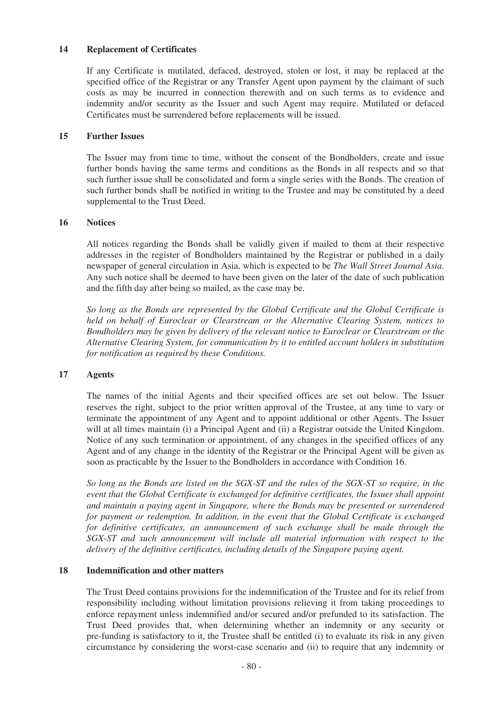### **14 Replacement of Certificates**

If any Certificate is mutilated, defaced, destroyed, stolen or lost, it may be replaced at the specified office of the Registrar or any Transfer Agent upon payment by the claimant of such costs as may be incurred in connection therewith and on such terms as to evidence and indemnity and/or security as the Issuer and such Agent may require. Mutilated or defaced Certificates must be surrendered before replacements will be issued.

### **15 Further Issues**

The Issuer may from time to time, without the consent of the Bondholders, create and issue further bonds having the same terms and conditions as the Bonds in all respects and so that such further issue shall be consolidated and form a single series with the Bonds. The creation of such further bonds shall be notified in writing to the Trustee and may be constituted by a deed supplemental to the Trust Deed.

## **16 Notices**

All notices regarding the Bonds shall be validly given if mailed to them at their respective addresses in the register of Bondholders maintained by the Registrar or published in a daily newspaper of general circulation in Asia, which is expected to be *The Wall Street Journal Asia*. Any such notice shall be deemed to have been given on the later of the date of such publication and the fifth day after being so mailed, as the case may be.

*So long as the Bonds are represented by the Global Certificate and the Global Certificate is held on behalf of Euroclear or Clearstream or the Alternative Clearing System, notices to Bondholders may be given by delivery of the relevant notice to Euroclear or Clearstream or the Alternative Clearing System, for communication by it to entitled account holders in substitution for notification as required by these Conditions.*

# **17 Agents**

The names of the initial Agents and their specified offices are set out below. The Issuer reserves the right, subject to the prior written approval of the Trustee, at any time to vary or terminate the appointment of any Agent and to appoint additional or other Agents. The Issuer will at all times maintain (i) a Principal Agent and (ii) a Registrar outside the United Kingdom. Notice of any such termination or appointment, of any changes in the specified offices of any Agent and of any change in the identity of the Registrar or the Principal Agent will be given as soon as practicable by the Issuer to the Bondholders in accordance with Condition 16.

*So long as the Bonds are listed on the SGX-ST and the rules of the SGX-ST so require, in the event that the Global Certificate is exchanged for definitive certificates, the Issuer shall appoint and maintain a paying agent in Singapore, where the Bonds may be presented or surrendered for payment or redemption. In addition, in the event that the Global Certificate is exchanged for definitive certificates, an announcement of such exchange shall be made through the SGX-ST and such announcement will include all material information with respect to the delivery of the definitive certificates, including details of the Singapore paying agent.*

### **18 Indemnification and other matters**

The Trust Deed contains provisions for the indemnification of the Trustee and for its relief from responsibility including without limitation provisions relieving it from taking proceedings to enforce repayment unless indemnified and/or secured and/or prefunded to its satisfaction. The Trust Deed provides that, when determining whether an indemnity or any security or pre-funding is satisfactory to it, the Trustee shall be entitled (i) to evaluate its risk in any given circumstance by considering the worst-case scenario and (ii) to require that any indemnity or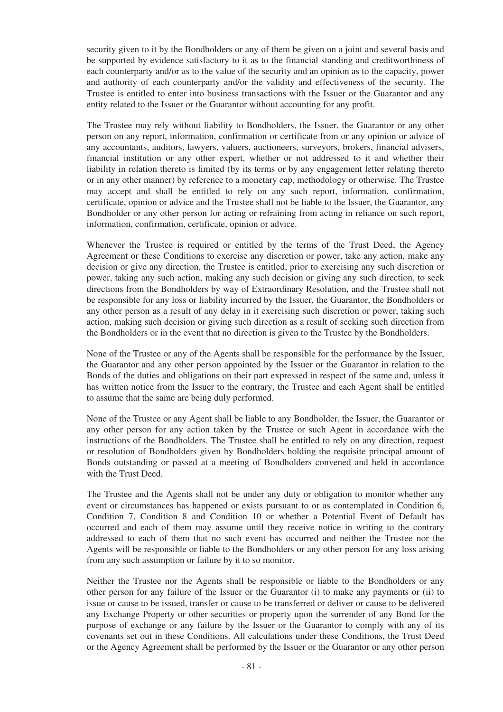security given to it by the Bondholders or any of them be given on a joint and several basis and be supported by evidence satisfactory to it as to the financial standing and creditworthiness of each counterparty and/or as to the value of the security and an opinion as to the capacity, power and authority of each counterparty and/or the validity and effectiveness of the security. The Trustee is entitled to enter into business transactions with the Issuer or the Guarantor and any entity related to the Issuer or the Guarantor without accounting for any profit.

The Trustee may rely without liability to Bondholders, the Issuer, the Guarantor or any other person on any report, information, confirmation or certificate from or any opinion or advice of any accountants, auditors, lawyers, valuers, auctioneers, surveyors, brokers, financial advisers, financial institution or any other expert, whether or not addressed to it and whether their liability in relation thereto is limited (by its terms or by any engagement letter relating thereto or in any other manner) by reference to a monetary cap, methodology or otherwise. The Trustee may accept and shall be entitled to rely on any such report, information, confirmation, certificate, opinion or advice and the Trustee shall not be liable to the Issuer, the Guarantor, any Bondholder or any other person for acting or refraining from acting in reliance on such report, information, confirmation, certificate, opinion or advice.

Whenever the Trustee is required or entitled by the terms of the Trust Deed, the Agency Agreement or these Conditions to exercise any discretion or power, take any action, make any decision or give any direction, the Trustee is entitled, prior to exercising any such discretion or power, taking any such action, making any such decision or giving any such direction, to seek directions from the Bondholders by way of Extraordinary Resolution, and the Trustee shall not be responsible for any loss or liability incurred by the Issuer, the Guarantor, the Bondholders or any other person as a result of any delay in it exercising such discretion or power, taking such action, making such decision or giving such direction as a result of seeking such direction from the Bondholders or in the event that no direction is given to the Trustee by the Bondholders.

None of the Trustee or any of the Agents shall be responsible for the performance by the Issuer, the Guarantor and any other person appointed by the Issuer or the Guarantor in relation to the Bonds of the duties and obligations on their part expressed in respect of the same and, unless it has written notice from the Issuer to the contrary, the Trustee and each Agent shall be entitled to assume that the same are being duly performed.

None of the Trustee or any Agent shall be liable to any Bondholder, the Issuer, the Guarantor or any other person for any action taken by the Trustee or such Agent in accordance with the instructions of the Bondholders. The Trustee shall be entitled to rely on any direction, request or resolution of Bondholders given by Bondholders holding the requisite principal amount of Bonds outstanding or passed at a meeting of Bondholders convened and held in accordance with the Trust Deed.

The Trustee and the Agents shall not be under any duty or obligation to monitor whether any event or circumstances has happened or exists pursuant to or as contemplated in Condition 6, Condition 7, Condition 8 and Condition 10 or whether a Potential Event of Default has occurred and each of them may assume until they receive notice in writing to the contrary addressed to each of them that no such event has occurred and neither the Trustee nor the Agents will be responsible or liable to the Bondholders or any other person for any loss arising from any such assumption or failure by it to so monitor.

Neither the Trustee nor the Agents shall be responsible or liable to the Bondholders or any other person for any failure of the Issuer or the Guarantor (i) to make any payments or (ii) to issue or cause to be issued, transfer or cause to be transferred or deliver or cause to be delivered any Exchange Property or other securities or property upon the surrender of any Bond for the purpose of exchange or any failure by the Issuer or the Guarantor to comply with any of its covenants set out in these Conditions. All calculations under these Conditions, the Trust Deed or the Agency Agreement shall be performed by the Issuer or the Guarantor or any other person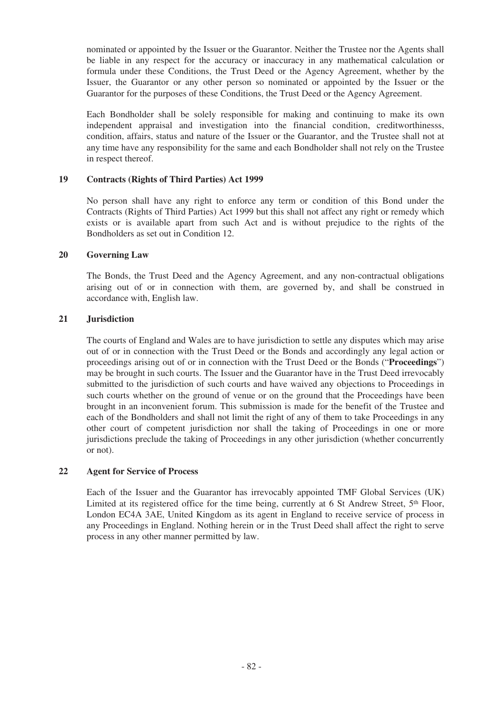nominated or appointed by the Issuer or the Guarantor. Neither the Trustee nor the Agents shall be liable in any respect for the accuracy or inaccuracy in any mathematical calculation or formula under these Conditions, the Trust Deed or the Agency Agreement, whether by the Issuer, the Guarantor or any other person so nominated or appointed by the Issuer or the Guarantor for the purposes of these Conditions, the Trust Deed or the Agency Agreement.

Each Bondholder shall be solely responsible for making and continuing to make its own independent appraisal and investigation into the financial condition, creditworthinesss, condition, affairs, status and nature of the Issuer or the Guarantor, and the Trustee shall not at any time have any responsibility for the same and each Bondholder shall not rely on the Trustee in respect thereof.

## **19 Contracts (Rights of Third Parties) Act 1999**

No person shall have any right to enforce any term or condition of this Bond under the Contracts (Rights of Third Parties) Act 1999 but this shall not affect any right or remedy which exists or is available apart from such Act and is without prejudice to the rights of the Bondholders as set out in Condition 12.

# **20 Governing Law**

The Bonds, the Trust Deed and the Agency Agreement, and any non-contractual obligations arising out of or in connection with them, are governed by, and shall be construed in accordance with, English law.

## **21 Jurisdiction**

The courts of England and Wales are to have jurisdiction to settle any disputes which may arise out of or in connection with the Trust Deed or the Bonds and accordingly any legal action or proceedings arising out of or in connection with the Trust Deed or the Bonds ("**Proceedings**") may be brought in such courts. The Issuer and the Guarantor have in the Trust Deed irrevocably submitted to the jurisdiction of such courts and have waived any objections to Proceedings in such courts whether on the ground of venue or on the ground that the Proceedings have been brought in an inconvenient forum. This submission is made for the benefit of the Trustee and each of the Bondholders and shall not limit the right of any of them to take Proceedings in any other court of competent jurisdiction nor shall the taking of Proceedings in one or more jurisdictions preclude the taking of Proceedings in any other jurisdiction (whether concurrently or not).

### **22 Agent for Service of Process**

Each of the Issuer and the Guarantor has irrevocably appointed TMF Global Services (UK) Limited at its registered office for the time being, currently at 6 St Andrew Street, 5<sup>th</sup> Floor, London EC4A 3AE, United Kingdom as its agent in England to receive service of process in any Proceedings in England. Nothing herein or in the Trust Deed shall affect the right to serve process in any other manner permitted by law.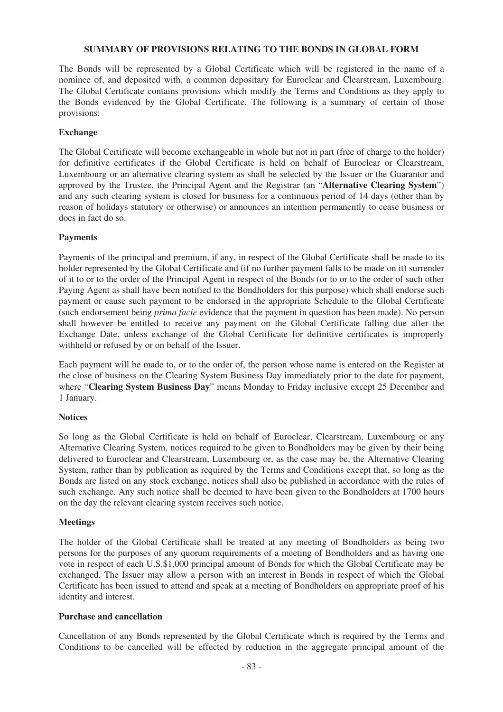### **SUMMARY OF PROVISIONS RELATING TO THE BONDS IN GLOBAL FORM**

The Bonds will be represented by a Global Certificate which will be registered in the name of a nominee of, and deposited with, a common depositary for Euroclear and Clearstream, Luxembourg. The Global Certificate contains provisions which modify the Terms and Conditions as they apply to the Bonds evidenced by the Global Certificate. The following is a summary of certain of those provisions:

## **Exchange**

The Global Certificate will become exchangeable in whole but not in part (free of charge to the holder) for definitive certificates if the Global Certificate is held on behalf of Euroclear or Clearstream, Luxembourg or an alternative clearing system as shall be selected by the Issuer or the Guarantor and approved by the Trustee, the Principal Agent and the Registrar (an "**Alternative Clearing System**") and any such clearing system is closed for business for a continuous period of 14 days (other than by reason of holidays statutory or otherwise) or announces an intention permanently to cease business or does in fact do so.

# **Payments**

Payments of the principal and premium, if any, in respect of the Global Certificate shall be made to its holder represented by the Global Certificate and (if no further payment falls to be made on it) surrender of it to or to the order of the Principal Agent in respect of the Bonds (or to or to the order of such other Paying Agent as shall have been notified to the Bondholders for this purpose) which shall endorse such payment or cause such payment to be endorsed in the appropriate Schedule to the Global Certificate (such endorsement being *prima facie* evidence that the payment in question has been made). No person shall however be entitled to receive any payment on the Global Certificate falling due after the Exchange Date, unless exchange of the Global Certificate for definitive certificates is improperly withheld or refused by or on behalf of the Issuer.

Each payment will be made to, or to the order of, the person whose name is entered on the Register at the close of business on the Clearing System Business Day immediately prior to the date for payment, where "**Clearing System Business Day**" means Monday to Friday inclusive except 25 December and 1 January.

# **Notices**

So long as the Global Certificate is held on behalf of Euroclear, Clearstream, Luxembourg or any Alternative Clearing System, notices required to be given to Bondholders may be given by their being delivered to Euroclear and Clearstream, Luxembourg or, as the case may be, the Alternative Clearing System, rather than by publication as required by the Terms and Conditions except that, so long as the Bonds are listed on any stock exchange, notices shall also be published in accordance with the rules of such exchange. Any such notice shall be deemed to have been given to the Bondholders at 1700 hours on the day the relevant clearing system receives such notice.

# **Meetings**

The holder of the Global Certificate shall be treated at any meeting of Bondholders as being two persons for the purposes of any quorum requirements of a meeting of Bondholders and as having one vote in respect of each U.S.\$1,000 principal amount of Bonds for which the Global Certificate may be exchanged. The Issuer may allow a person with an interest in Bonds in respect of which the Global Certificate has been issued to attend and speak at a meeting of Bondholders on appropriate proof of his identity and interest.

### **Purchase and cancellation**

Cancellation of any Bonds represented by the Global Certificate which is required by the Terms and Conditions to be cancelled will be effected by reduction in the aggregate principal amount of the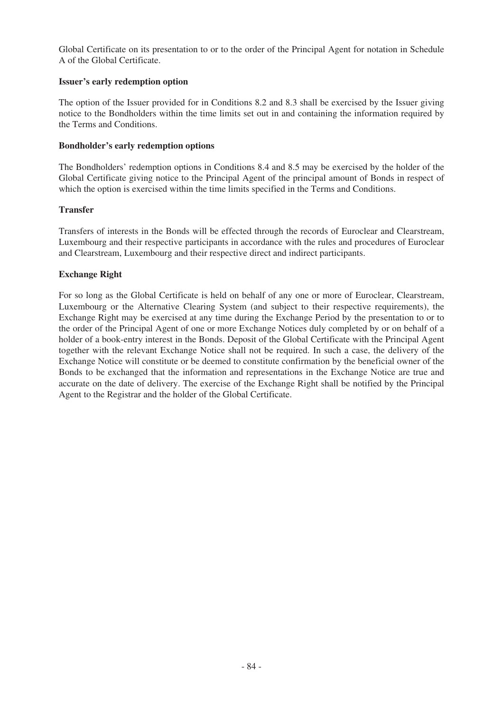Global Certificate on its presentation to or to the order of the Principal Agent for notation in Schedule A of the Global Certificate.

## **Issuer's early redemption option**

The option of the Issuer provided for in Conditions 8.2 and 8.3 shall be exercised by the Issuer giving notice to the Bondholders within the time limits set out in and containing the information required by the Terms and Conditions.

## **Bondholder's early redemption options**

The Bondholders' redemption options in Conditions 8.4 and 8.5 may be exercised by the holder of the Global Certificate giving notice to the Principal Agent of the principal amount of Bonds in respect of which the option is exercised within the time limits specified in the Terms and Conditions.

## **Transfer**

Transfers of interests in the Bonds will be effected through the records of Euroclear and Clearstream, Luxembourg and their respective participants in accordance with the rules and procedures of Euroclear and Clearstream, Luxembourg and their respective direct and indirect participants.

# **Exchange Right**

For so long as the Global Certificate is held on behalf of any one or more of Euroclear, Clearstream, Luxembourg or the Alternative Clearing System (and subject to their respective requirements), the Exchange Right may be exercised at any time during the Exchange Period by the presentation to or to the order of the Principal Agent of one or more Exchange Notices duly completed by or on behalf of a holder of a book-entry interest in the Bonds. Deposit of the Global Certificate with the Principal Agent together with the relevant Exchange Notice shall not be required. In such a case, the delivery of the Exchange Notice will constitute or be deemed to constitute confirmation by the beneficial owner of the Bonds to be exchanged that the information and representations in the Exchange Notice are true and accurate on the date of delivery. The exercise of the Exchange Right shall be notified by the Principal Agent to the Registrar and the holder of the Global Certificate.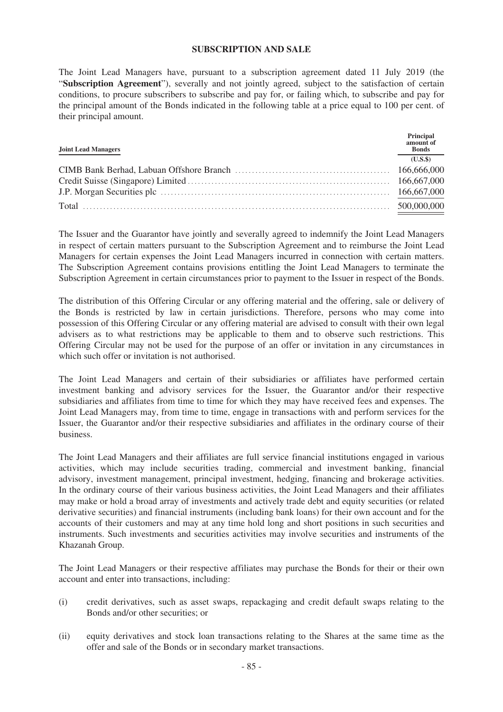#### **SUBSCRIPTION AND SALE**

The Joint Lead Managers have, pursuant to a subscription agreement dated 11 July 2019 (the "**Subscription Agreement**"), severally and not jointly agreed, subject to the satisfaction of certain conditions, to procure subscribers to subscribe and pay for, or failing which, to subscribe and pay for the principal amount of the Bonds indicated in the following table at a price equal to 100 per cent. of their principal amount.

| <b>Joint Lead Managers</b> | Principal<br>amount of<br><b>Bonds</b> |
|----------------------------|----------------------------------------|
|                            | (U.S.S)                                |
|                            |                                        |
|                            |                                        |
|                            |                                        |
|                            |                                        |

The Issuer and the Guarantor have jointly and severally agreed to indemnify the Joint Lead Managers in respect of certain matters pursuant to the Subscription Agreement and to reimburse the Joint Lead Managers for certain expenses the Joint Lead Managers incurred in connection with certain matters. The Subscription Agreement contains provisions entitling the Joint Lead Managers to terminate the Subscription Agreement in certain circumstances prior to payment to the Issuer in respect of the Bonds.

The distribution of this Offering Circular or any offering material and the offering, sale or delivery of the Bonds is restricted by law in certain jurisdictions. Therefore, persons who may come into possession of this Offering Circular or any offering material are advised to consult with their own legal advisers as to what restrictions may be applicable to them and to observe such restrictions. This Offering Circular may not be used for the purpose of an offer or invitation in any circumstances in which such offer or invitation is not authorised.

The Joint Lead Managers and certain of their subsidiaries or affiliates have performed certain investment banking and advisory services for the Issuer, the Guarantor and/or their respective subsidiaries and affiliates from time to time for which they may have received fees and expenses. The Joint Lead Managers may, from time to time, engage in transactions with and perform services for the Issuer, the Guarantor and/or their respective subsidiaries and affiliates in the ordinary course of their business.

The Joint Lead Managers and their affiliates are full service financial institutions engaged in various activities, which may include securities trading, commercial and investment banking, financial advisory, investment management, principal investment, hedging, financing and brokerage activities. In the ordinary course of their various business activities, the Joint Lead Managers and their affiliates may make or hold a broad array of investments and actively trade debt and equity securities (or related derivative securities) and financial instruments (including bank loans) for their own account and for the accounts of their customers and may at any time hold long and short positions in such securities and instruments. Such investments and securities activities may involve securities and instruments of the Khazanah Group.

The Joint Lead Managers or their respective affiliates may purchase the Bonds for their or their own account and enter into transactions, including:

- (i) credit derivatives, such as asset swaps, repackaging and credit default swaps relating to the Bonds and/or other securities; or
- (ii) equity derivatives and stock loan transactions relating to the Shares at the same time as the offer and sale of the Bonds or in secondary market transactions.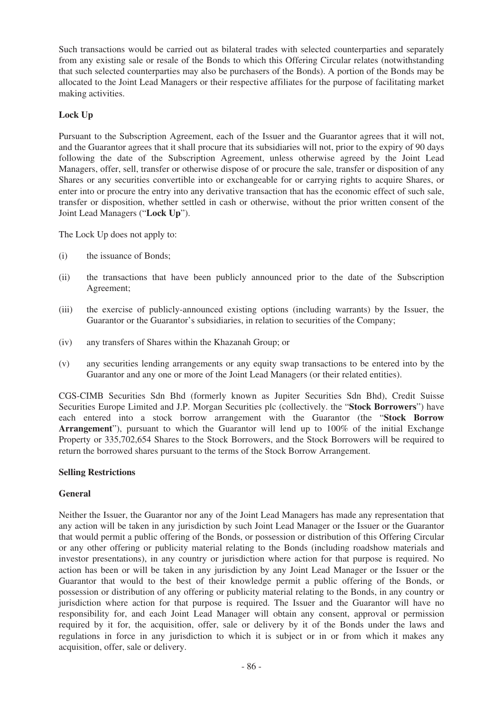Such transactions would be carried out as bilateral trades with selected counterparties and separately from any existing sale or resale of the Bonds to which this Offering Circular relates (notwithstanding that such selected counterparties may also be purchasers of the Bonds). A portion of the Bonds may be allocated to the Joint Lead Managers or their respective affiliates for the purpose of facilitating market making activities.

# **Lock Up**

Pursuant to the Subscription Agreement, each of the Issuer and the Guarantor agrees that it will not, and the Guarantor agrees that it shall procure that its subsidiaries will not, prior to the expiry of 90 days following the date of the Subscription Agreement, unless otherwise agreed by the Joint Lead Managers, offer, sell, transfer or otherwise dispose of or procure the sale, transfer or disposition of any Shares or any securities convertible into or exchangeable for or carrying rights to acquire Shares, or enter into or procure the entry into any derivative transaction that has the economic effect of such sale, transfer or disposition, whether settled in cash or otherwise, without the prior written consent of the Joint Lead Managers ("**Lock Up**").

The Lock Up does not apply to:

- (i) the issuance of Bonds;
- (ii) the transactions that have been publicly announced prior to the date of the Subscription Agreement;
- (iii) the exercise of publicly-announced existing options (including warrants) by the Issuer, the Guarantor or the Guarantor's subsidiaries, in relation to securities of the Company;
- (iv) any transfers of Shares within the Khazanah Group; or
- (v) any securities lending arrangements or any equity swap transactions to be entered into by the Guarantor and any one or more of the Joint Lead Managers (or their related entities).

CGS-CIMB Securities Sdn Bhd (formerly known as Jupiter Securities Sdn Bhd), Credit Suisse Securities Europe Limited and J.P. Morgan Securities plc (collectively. the "**Stock Borrowers**") have each entered into a stock borrow arrangement with the Guarantor (the "**Stock Borrow Arrangement**"), pursuant to which the Guarantor will lend up to 100% of the initial Exchange Property or 335,702,654 Shares to the Stock Borrowers, and the Stock Borrowers will be required to return the borrowed shares pursuant to the terms of the Stock Borrow Arrangement.

### **Selling Restrictions**

### **General**

Neither the Issuer, the Guarantor nor any of the Joint Lead Managers has made any representation that any action will be taken in any jurisdiction by such Joint Lead Manager or the Issuer or the Guarantor that would permit a public offering of the Bonds, or possession or distribution of this Offering Circular or any other offering or publicity material relating to the Bonds (including roadshow materials and investor presentations), in any country or jurisdiction where action for that purpose is required. No action has been or will be taken in any jurisdiction by any Joint Lead Manager or the Issuer or the Guarantor that would to the best of their knowledge permit a public offering of the Bonds, or possession or distribution of any offering or publicity material relating to the Bonds, in any country or jurisdiction where action for that purpose is required. The Issuer and the Guarantor will have no responsibility for, and each Joint Lead Manager will obtain any consent, approval or permission required by it for, the acquisition, offer, sale or delivery by it of the Bonds under the laws and regulations in force in any jurisdiction to which it is subject or in or from which it makes any acquisition, offer, sale or delivery.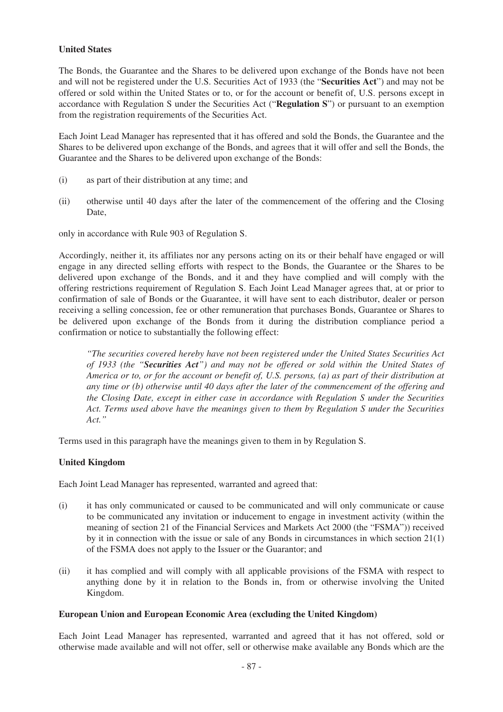## **United States**

The Bonds, the Guarantee and the Shares to be delivered upon exchange of the Bonds have not been and will not be registered under the U.S. Securities Act of 1933 (the "**Securities Act**") and may not be offered or sold within the United States or to, or for the account or benefit of, U.S. persons except in accordance with Regulation S under the Securities Act ("**Regulation S**") or pursuant to an exemption from the registration requirements of the Securities Act.

Each Joint Lead Manager has represented that it has offered and sold the Bonds, the Guarantee and the Shares to be delivered upon exchange of the Bonds, and agrees that it will offer and sell the Bonds, the Guarantee and the Shares to be delivered upon exchange of the Bonds:

- (i) as part of their distribution at any time; and
- (ii) otherwise until 40 days after the later of the commencement of the offering and the Closing Date,

only in accordance with Rule 903 of Regulation S.

Accordingly, neither it, its affiliates nor any persons acting on its or their behalf have engaged or will engage in any directed selling efforts with respect to the Bonds, the Guarantee or the Shares to be delivered upon exchange of the Bonds, and it and they have complied and will comply with the offering restrictions requirement of Regulation S. Each Joint Lead Manager agrees that, at or prior to confirmation of sale of Bonds or the Guarantee, it will have sent to each distributor, dealer or person receiving a selling concession, fee or other remuneration that purchases Bonds, Guarantee or Shares to be delivered upon exchange of the Bonds from it during the distribution compliance period a confirmation or notice to substantially the following effect:

*"The securities covered hereby have not been registered under the United States Securities Act of 1933 (the "Securities Act") and may not be offered or sold within the United States of America or to, or for the account or benefit of, U.S. persons, (a) as part of their distribution at any time or (b) otherwise until 40 days after the later of the commencement of the offering and the Closing Date, except in either case in accordance with Regulation S under the Securities Act. Terms used above have the meanings given to them by Regulation S under the Securities Act."*

Terms used in this paragraph have the meanings given to them in by Regulation S.

# **United Kingdom**

Each Joint Lead Manager has represented, warranted and agreed that:

- (i) it has only communicated or caused to be communicated and will only communicate or cause to be communicated any invitation or inducement to engage in investment activity (within the meaning of section 21 of the Financial Services and Markets Act 2000 (the "FSMA")) received by it in connection with the issue or sale of any Bonds in circumstances in which section 21(1) of the FSMA does not apply to the Issuer or the Guarantor; and
- (ii) it has complied and will comply with all applicable provisions of the FSMA with respect to anything done by it in relation to the Bonds in, from or otherwise involving the United Kingdom.

### **European Union and European Economic Area (excluding the United Kingdom)**

Each Joint Lead Manager has represented, warranted and agreed that it has not offered, sold or otherwise made available and will not offer, sell or otherwise make available any Bonds which are the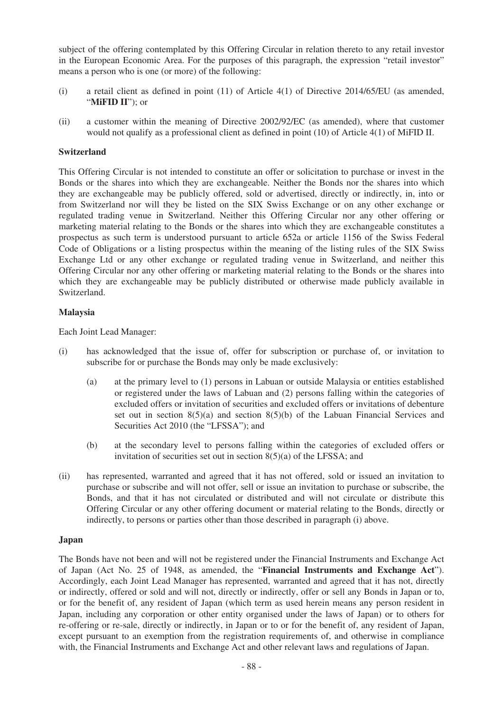subject of the offering contemplated by this Offering Circular in relation thereto to any retail investor in the European Economic Area. For the purposes of this paragraph, the expression "retail investor" means a person who is one (or more) of the following:

- (i) a retail client as defined in point (11) of Article 4(1) of Directive 2014/65/EU (as amended, "**MiFID II**"); or
- (ii) a customer within the meaning of Directive 2002/92/EC (as amended), where that customer would not qualify as a professional client as defined in point (10) of Article 4(1) of MiFID II.

## **Switzerland**

This Offering Circular is not intended to constitute an offer or solicitation to purchase or invest in the Bonds or the shares into which they are exchangeable. Neither the Bonds nor the shares into which they are exchangeable may be publicly offered, sold or advertised, directly or indirectly, in, into or from Switzerland nor will they be listed on the SIX Swiss Exchange or on any other exchange or regulated trading venue in Switzerland. Neither this Offering Circular nor any other offering or marketing material relating to the Bonds or the shares into which they are exchangeable constitutes a prospectus as such term is understood pursuant to article 652a or article 1156 of the Swiss Federal Code of Obligations or a listing prospectus within the meaning of the listing rules of the SIX Swiss Exchange Ltd or any other exchange or regulated trading venue in Switzerland, and neither this Offering Circular nor any other offering or marketing material relating to the Bonds or the shares into which they are exchangeable may be publicly distributed or otherwise made publicly available in Switzerland.

### **Malaysia**

Each Joint Lead Manager:

- (i) has acknowledged that the issue of, offer for subscription or purchase of, or invitation to subscribe for or purchase the Bonds may only be made exclusively:
	- (a) at the primary level to (1) persons in Labuan or outside Malaysia or entities established or registered under the laws of Labuan and (2) persons falling within the categories of excluded offers or invitation of securities and excluded offers or invitations of debenture set out in section  $8(5)(a)$  and section  $8(5)(b)$  of the Labuan Financial Services and Securities Act 2010 (the "LFSSA"); and
	- (b) at the secondary level to persons falling within the categories of excluded offers or invitation of securities set out in section  $8(5)(a)$  of the LFSSA; and
- (ii) has represented, warranted and agreed that it has not offered, sold or issued an invitation to purchase or subscribe and will not offer, sell or issue an invitation to purchase or subscribe, the Bonds, and that it has not circulated or distributed and will not circulate or distribute this Offering Circular or any other offering document or material relating to the Bonds, directly or indirectly, to persons or parties other than those described in paragraph (i) above.

### **Japan**

The Bonds have not been and will not be registered under the Financial Instruments and Exchange Act of Japan (Act No. 25 of 1948, as amended, the "**Financial Instruments and Exchange Act**"). Accordingly, each Joint Lead Manager has represented, warranted and agreed that it has not, directly or indirectly, offered or sold and will not, directly or indirectly, offer or sell any Bonds in Japan or to, or for the benefit of, any resident of Japan (which term as used herein means any person resident in Japan, including any corporation or other entity organised under the laws of Japan) or to others for re-offering or re-sale, directly or indirectly, in Japan or to or for the benefit of, any resident of Japan, except pursuant to an exemption from the registration requirements of, and otherwise in compliance with, the Financial Instruments and Exchange Act and other relevant laws and regulations of Japan.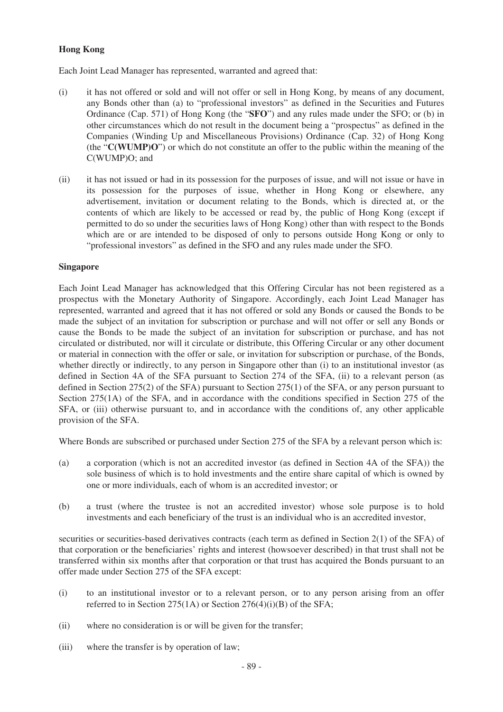# **Hong Kong**

Each Joint Lead Manager has represented, warranted and agreed that:

- (i) it has not offered or sold and will not offer or sell in Hong Kong, by means of any document, any Bonds other than (a) to "professional investors" as defined in the Securities and Futures Ordinance (Cap. 571) of Hong Kong (the "**SFO**") and any rules made under the SFO; or (b) in other circumstances which do not result in the document being a "prospectus" as defined in the Companies (Winding Up and Miscellaneous Provisions) Ordinance (Cap. 32) of Hong Kong (the "**C(WUMP)O**") or which do not constitute an offer to the public within the meaning of the C(WUMP)O; and
- (ii) it has not issued or had in its possession for the purposes of issue, and will not issue or have in its possession for the purposes of issue, whether in Hong Kong or elsewhere, any advertisement, invitation or document relating to the Bonds, which is directed at, or the contents of which are likely to be accessed or read by, the public of Hong Kong (except if permitted to do so under the securities laws of Hong Kong) other than with respect to the Bonds which are or are intended to be disposed of only to persons outside Hong Kong or only to "professional investors" as defined in the SFO and any rules made under the SFO.

## **Singapore**

Each Joint Lead Manager has acknowledged that this Offering Circular has not been registered as a prospectus with the Monetary Authority of Singapore. Accordingly, each Joint Lead Manager has represented, warranted and agreed that it has not offered or sold any Bonds or caused the Bonds to be made the subject of an invitation for subscription or purchase and will not offer or sell any Bonds or cause the Bonds to be made the subject of an invitation for subscription or purchase, and has not circulated or distributed, nor will it circulate or distribute, this Offering Circular or any other document or material in connection with the offer or sale, or invitation for subscription or purchase, of the Bonds, whether directly or indirectly, to any person in Singapore other than (i) to an institutional investor (as defined in Section 4A of the SFA pursuant to Section 274 of the SFA, (ii) to a relevant person (as defined in Section 275(2) of the SFA) pursuant to Section 275(1) of the SFA, or any person pursuant to Section 275(1A) of the SFA, and in accordance with the conditions specified in Section 275 of the SFA, or (iii) otherwise pursuant to, and in accordance with the conditions of, any other applicable provision of the SFA.

Where Bonds are subscribed or purchased under Section 275 of the SFA by a relevant person which is:

- (a) a corporation (which is not an accredited investor (as defined in Section 4A of the SFA)) the sole business of which is to hold investments and the entire share capital of which is owned by one or more individuals, each of whom is an accredited investor; or
- (b) a trust (where the trustee is not an accredited investor) whose sole purpose is to hold investments and each beneficiary of the trust is an individual who is an accredited investor,

securities or securities-based derivatives contracts (each term as defined in Section 2(1) of the SFA) of that corporation or the beneficiaries' rights and interest (howsoever described) in that trust shall not be transferred within six months after that corporation or that trust has acquired the Bonds pursuant to an offer made under Section 275 of the SFA except:

- (i) to an institutional investor or to a relevant person, or to any person arising from an offer referred to in Section 275(1A) or Section 276(4)(i)(B) of the SFA;
- (ii) where no consideration is or will be given for the transfer;
- (iii) where the transfer is by operation of law;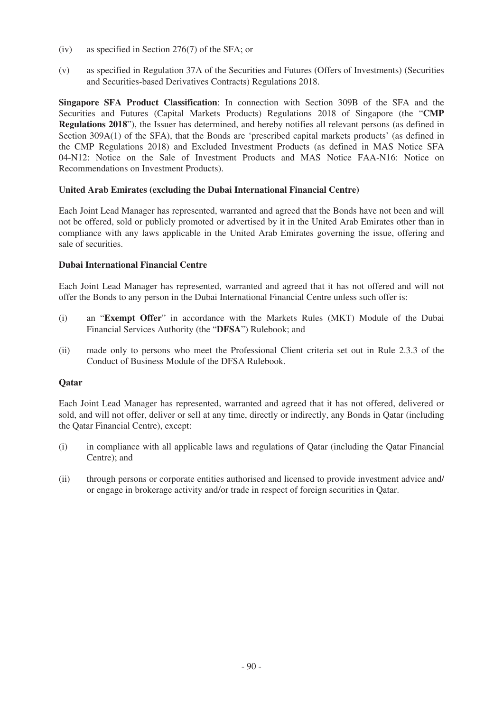- (iv) as specified in Section 276(7) of the SFA; or
- (v) as specified in Regulation 37A of the Securities and Futures (Offers of Investments) (Securities and Securities-based Derivatives Contracts) Regulations 2018.

**Singapore SFA Product Classification**: In connection with Section 309B of the SFA and the Securities and Futures (Capital Markets Products) Regulations 2018 of Singapore (the "**CMP Regulations 2018**"), the Issuer has determined, and hereby notifies all relevant persons (as defined in Section 309A(1) of the SFA), that the Bonds are 'prescribed capital markets products' (as defined in the CMP Regulations 2018) and Excluded Investment Products (as defined in MAS Notice SFA 04-N12: Notice on the Sale of Investment Products and MAS Notice FAA-N16: Notice on Recommendations on Investment Products).

# **United Arab Emirates (excluding the Dubai International Financial Centre)**

Each Joint Lead Manager has represented, warranted and agreed that the Bonds have not been and will not be offered, sold or publicly promoted or advertised by it in the United Arab Emirates other than in compliance with any laws applicable in the United Arab Emirates governing the issue, offering and sale of securities.

## **Dubai International Financial Centre**

Each Joint Lead Manager has represented, warranted and agreed that it has not offered and will not offer the Bonds to any person in the Dubai International Financial Centre unless such offer is:

- (i) an "**Exempt Offer**" in accordance with the Markets Rules (MKT) Module of the Dubai Financial Services Authority (the "**DFSA**") Rulebook; and
- (ii) made only to persons who meet the Professional Client criteria set out in Rule 2.3.3 of the Conduct of Business Module of the DFSA Rulebook.

# **Qatar**

Each Joint Lead Manager has represented, warranted and agreed that it has not offered, delivered or sold, and will not offer, deliver or sell at any time, directly or indirectly, any Bonds in Qatar (including the Qatar Financial Centre), except:

- (i) in compliance with all applicable laws and regulations of Qatar (including the Qatar Financial Centre); and
- (ii) through persons or corporate entities authorised and licensed to provide investment advice and/ or engage in brokerage activity and/or trade in respect of foreign securities in Qatar.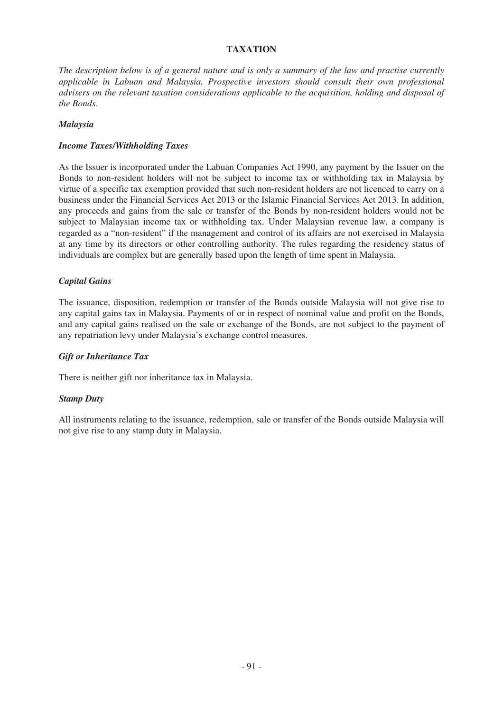# **TAXATION**

*The description below is of a general nature and is only a summary of the law and practise currently applicable in Labuan and Malaysia. Prospective investors should consult their own professional advisers on the relevant taxation considerations applicable to the acquisition, holding and disposal of the Bonds.*

## *Malaysia*

## *Income Taxes/Withholding Taxes*

As the Issuer is incorporated under the Labuan Companies Act 1990, any payment by the Issuer on the Bonds to non-resident holders will not be subject to income tax or withholding tax in Malaysia by virtue of a specific tax exemption provided that such non-resident holders are not licenced to carry on a business under the Financial Services Act 2013 or the Islamic Financial Services Act 2013. In addition, any proceeds and gains from the sale or transfer of the Bonds by non-resident holders would not be subject to Malaysian income tax or withholding tax. Under Malaysian revenue law, a company is regarded as a "non-resident" if the management and control of its affairs are not exercised in Malaysia at any time by its directors or other controlling authority. The rules regarding the residency status of individuals are complex but are generally based upon the length of time spent in Malaysia.

## *Capital Gains*

The issuance, disposition, redemption or transfer of the Bonds outside Malaysia will not give rise to any capital gains tax in Malaysia. Payments of or in respect of nominal value and profit on the Bonds, and any capital gains realised on the sale or exchange of the Bonds, are not subject to the payment of any repatriation levy under Malaysia's exchange control measures.

### *Gift or Inheritance Tax*

There is neither gift nor inheritance tax in Malaysia.

### *Stamp Duty*

All instruments relating to the issuance, redemption, sale or transfer of the Bonds outside Malaysia will not give rise to any stamp duty in Malaysia.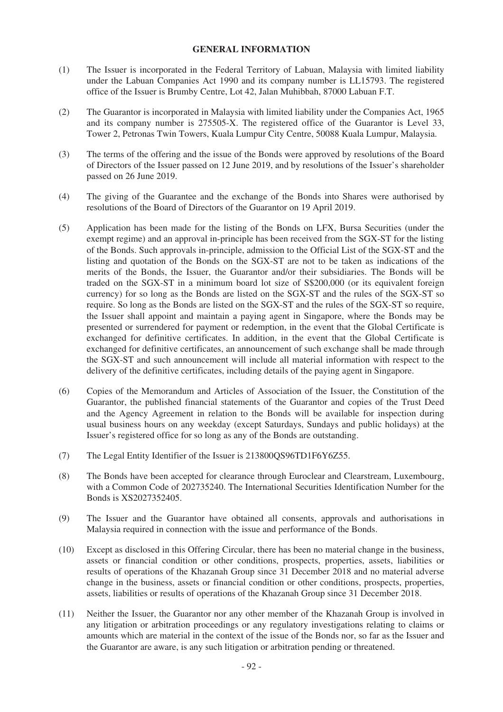### **GENERAL INFORMATION**

- (1) The Issuer is incorporated in the Federal Territory of Labuan, Malaysia with limited liability under the Labuan Companies Act 1990 and its company number is LL15793. The registered office of the Issuer is Brumby Centre, Lot 42, Jalan Muhibbah, 87000 Labuan F.T.
- (2) The Guarantor is incorporated in Malaysia with limited liability under the Companies Act, 1965 and its company number is 275505-X. The registered office of the Guarantor is Level 33, Tower 2, Petronas Twin Towers, Kuala Lumpur City Centre, 50088 Kuala Lumpur, Malaysia.
- (3) The terms of the offering and the issue of the Bonds were approved by resolutions of the Board of Directors of the Issuer passed on 12 June 2019, and by resolutions of the Issuer's shareholder passed on 26 June 2019.
- (4) The giving of the Guarantee and the exchange of the Bonds into Shares were authorised by resolutions of the Board of Directors of the Guarantor on 19 April 2019.
- (5) Application has been made for the listing of the Bonds on LFX, Bursa Securities (under the exempt regime) and an approval in-principle has been received from the SGX-ST for the listing of the Bonds. Such approvals in-principle, admission to the Official List of the SGX-ST and the listing and quotation of the Bonds on the SGX-ST are not to be taken as indications of the merits of the Bonds, the Issuer, the Guarantor and/or their subsidiaries. The Bonds will be traded on the SGX-ST in a minimum board lot size of S\$200,000 (or its equivalent foreign currency) for so long as the Bonds are listed on the SGX-ST and the rules of the SGX-ST so require. So long as the Bonds are listed on the SGX-ST and the rules of the SGX-ST so require, the Issuer shall appoint and maintain a paying agent in Singapore, where the Bonds may be presented or surrendered for payment or redemption, in the event that the Global Certificate is exchanged for definitive certificates. In addition, in the event that the Global Certificate is exchanged for definitive certificates, an announcement of such exchange shall be made through the SGX-ST and such announcement will include all material information with respect to the delivery of the definitive certificates, including details of the paying agent in Singapore.
- (6) Copies of the Memorandum and Articles of Association of the Issuer, the Constitution of the Guarantor, the published financial statements of the Guarantor and copies of the Trust Deed and the Agency Agreement in relation to the Bonds will be available for inspection during usual business hours on any weekday (except Saturdays, Sundays and public holidays) at the Issuer's registered office for so long as any of the Bonds are outstanding.
- (7) The Legal Entity Identifier of the Issuer is 213800QS96TD1F6Y6Z55.
- (8) The Bonds have been accepted for clearance through Euroclear and Clearstream, Luxembourg, with a Common Code of 202735240. The International Securities Identification Number for the Bonds is XS2027352405.
- (9) The Issuer and the Guarantor have obtained all consents, approvals and authorisations in Malaysia required in connection with the issue and performance of the Bonds.
- (10) Except as disclosed in this Offering Circular, there has been no material change in the business, assets or financial condition or other conditions, prospects, properties, assets, liabilities or results of operations of the Khazanah Group since 31 December 2018 and no material adverse change in the business, assets or financial condition or other conditions, prospects, properties, assets, liabilities or results of operations of the Khazanah Group since 31 December 2018.
- (11) Neither the Issuer, the Guarantor nor any other member of the Khazanah Group is involved in any litigation or arbitration proceedings or any regulatory investigations relating to claims or amounts which are material in the context of the issue of the Bonds nor, so far as the Issuer and the Guarantor are aware, is any such litigation or arbitration pending or threatened.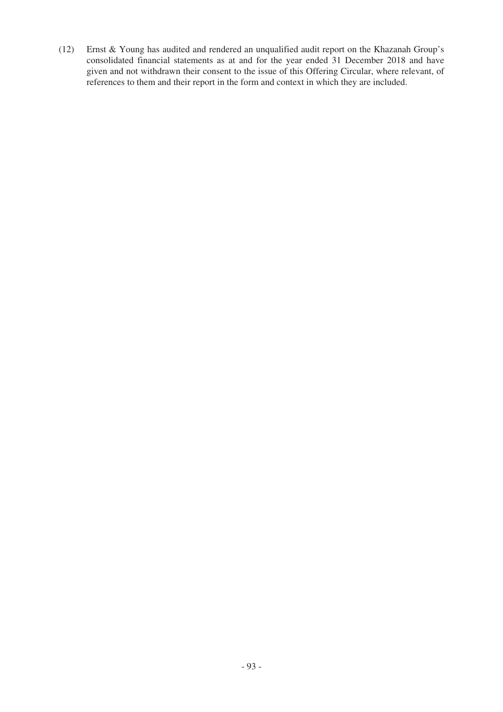(12) Ernst & Young has audited and rendered an unqualified audit report on the Khazanah Group's consolidated financial statements as at and for the year ended 31 December 2018 and have given and not withdrawn their consent to the issue of this Offering Circular, where relevant, of references to them and their report in the form and context in which they are included.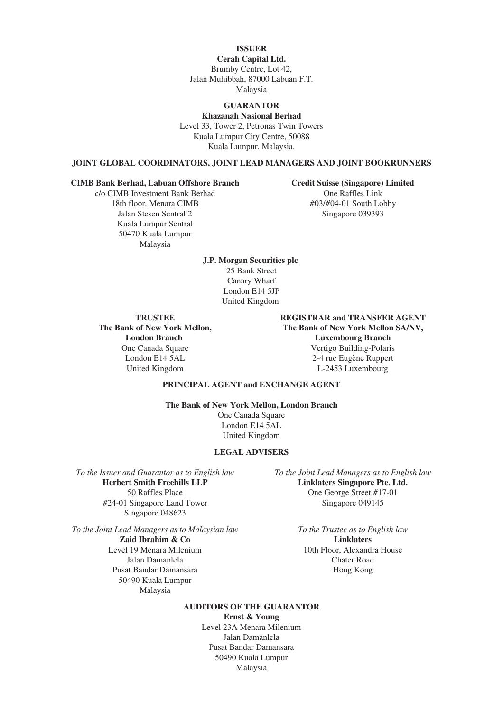#### **ISSUER**

**Cerah Capital Ltd.** Brumby Centre, Lot 42, Jalan Muhibbah, 87000 Labuan F.T. Malaysia

## **GUARANTOR**

**Khazanah Nasional Berhad** Level 33, Tower 2, Petronas Twin Towers Kuala Lumpur City Centre, 50088 Kuala Lumpur, Malaysia.

#### **JOINT GLOBAL COORDINATORS, JOINT LEAD MANAGERS AND JOINT BOOKRUNNERS**

#### **CIMB Bank Berhad, Labuan Offshore Branch Credit Suisse (Singapore) Limited**

Kuala Lumpur Sentral 50470 Kuala Lumpur Malaysia

c/o CIMB Investment Bank Berhad One Raffles Link<br>18th floor. Menara CIMB #03/#04-01 South Lo #03/#04-01 South Lobby Jalan Stesen Sentral 2 Singapore 039393

> **J.P. Morgan Securities plc** 25 Bank Street Canary Wharf London E14 5JP United Kingdom

**The Bank of New York Mellon, London Branch**

**TRUSTEE REGISTRAR and TRANSFER AGENT The Bank of New York Mellon SA/NV, Luxembourg Branch** Vertigo Building-Polaris London E14 5AL 2-4 rue Eugène Ruppert United Kingdom L-2453 Luxembourg

#### **PRINCIPAL AGENT and EXCHANGE AGENT**

**The Bank of New York Mellon, London Branch** One Canada Square London E14 5AL

United Kingdom

#### **LEGAL ADVISERS**

**Herbert Smith Freehills LLP Linklaters Singapore Pte. Ltd.** #24-01 Singapore Land Tower Singapore 049145 Singapore 048623

*To the Joint Lead Managers as to Malaysian law To the Trustee as to English law*

Pusat Bandar Damansara **Hong Kong** 50490 Kuala Lumpur Malaysia

*To the Issuer and Guarantor as to English law To the Joint Lead Managers as to English law* 50 Raffles Place One George Street #17-01

**Zaid Ibrahim & Co** Linklaters Level 19 Menara Milenium 10th Floor, Alexandra House Jalan Damanlela Chater Road

### **AUDITORS OF THE GUARANTOR**

**Ernst & Young** Level 23A Menara Milenium Jalan Damanlela Pusat Bandar Damansara 50490 Kuala Lumpur Malaysia